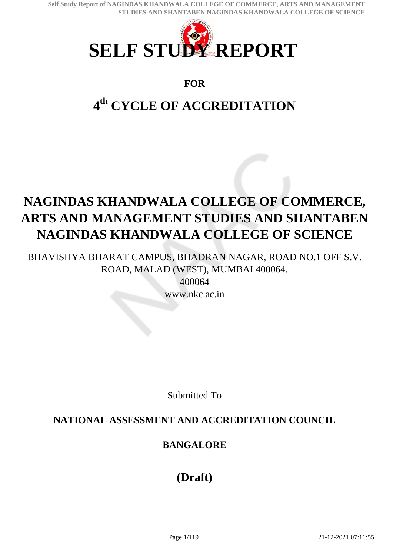

### **FOR**

# **4 th CYCLE OF ACCREDITATION**

# **NAGINDAS KHANDWALA COLLEGE OF COMMERCE, ARTS AND MANAGEMENT STUDIES AND SHANTABEN NAGINDAS KHANDWALA COLLEGE OF SCIENCE**

BHAVISHYA BHARAT CAMPUS, BHADRAN NAGAR, ROAD NO.1 OFF S.V. ROAD, MALAD (WEST), MUMBAI 400064.

> 400064 www.nkc.ac.in

Submitted To

## **NATIONAL ASSESSMENT AND ACCREDITATION COUNCIL**

## **BANGALORE**

## **(Draft)**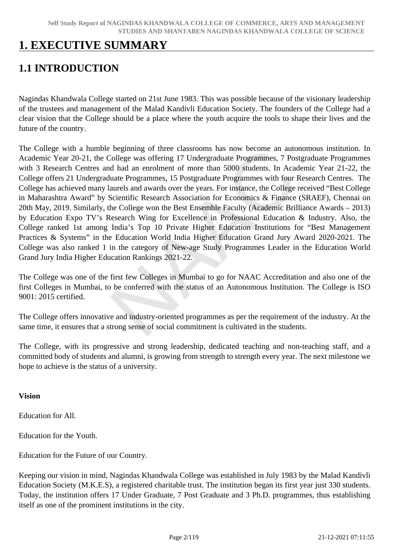## **1. EXECUTIVE SUMMARY**

## **1.1 INTRODUCTION**

Nagindas Khandwala College started on 21st June 1983. This was possible because of the visionary leadership of the trustees and management of the Malad Kandivli Education Society. The founders of the College had a clear vision that the College should be a place where the youth acquire the tools to shape their lives and the future of the country.

The College with a humble beginning of three classrooms has now become an autonomous institution. In Academic Year 20-21, the College was offering 17 Undergraduate Programmes, 7 Postgraduate Programmes with 3 Research Centres and had an enrolment of more than 5000 students. In Academic Year 21-22, the College offers 21 Undergraduate Programmes, 15 Postgraduate Programmes with four Research Centres. The College has achieved many laurels and awards over the years. For instance, the College received "Best College in Maharashtra Award" by Scientific Research Association for Economics & Finance (SRAEF), Chennai on 20th May, 2019. Similarly, the College won the Best Ensemble Faculty (Academic Brilliance Awards – 2013) by Education Expo TV's Research Wing for Excellence in Professional Education & Industry. Also, the College ranked 1st among India's Top 10 Private Higher Education Institutions for "Best Management Practices & Systems" in the Education World India Higher Education Grand Jury Award 2020-2021. The College was also ranked 1 in the category of New-age Study Programmes Leader in the Education World Grand Jury India Higher Education Rankings 2021-22.

The College was one of the first few Colleges in Mumbai to go for NAAC Accreditation and also one of the first Colleges in Mumbai, to be conferred with the status of an Autonomous Institution. The College is ISO 9001: 2015 certified.

The College offers innovative and industry-oriented programmes as per the requirement of the industry. At the same time, it ensures that a strong sense of social commitment is cultivated in the students.

The College, with its progressive and strong leadership, dedicated teaching and non-teaching staff, and a committed body of students and alumni, is growing from strength to strength every year. The next milestone we hope to achieve is the status of a university.

#### **Vision**

Education for All.

Education for the Youth.

Education for the Future of our Country.

Keeping our vision in mind, Nagindas Khandwala College was established in July 1983 by the Malad Kandivli Education Society (M.K.E.S), a registered charitable trust. The institution began its first year just 330 students. Today, the institution offers 17 Under Graduate, 7 Post Graduate and 3 Ph.D. programmes, thus establishing itself as one of the prominent institutions in the city.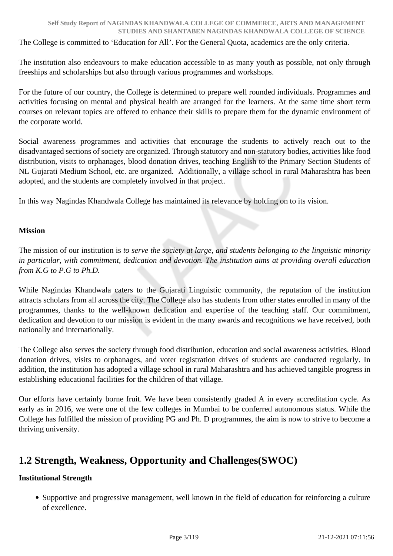The College is committed to 'Education for All'. For the General Quota, academics are the only criteria.

The institution also endeavours to make education accessible to as many youth as possible, not only through freeships and scholarships but also through various programmes and workshops.

For the future of our country, the College is determined to prepare well rounded individuals. Programmes and activities focusing on mental and physical health are arranged for the learners. At the same time short term courses on relevant topics are offered to enhance their skills to prepare them for the dynamic environment of the corporate world.

Social awareness programmes and activities that encourage the students to actively reach out to the disadvantaged sections of society are organized. Through statutory and non-statutory bodies, activities like food distribution, visits to orphanages, blood donation drives, teaching English to the Primary Section Students of NL Gujarati Medium School, etc. are organized. Additionally, a village school in rural Maharashtra has been adopted, and the students are completely involved in that project.

In this way Nagindas Khandwala College has maintained its relevance by holding on to its vision.

#### **Mission**

The mission of our institution is *to serve the society at large, and students belonging to the linguistic minority in particular, with commitment, dedication and devotion. The institution aims at providing overall education from K.G to P.G to Ph.D.*

While Nagindas Khandwala caters to the Gujarati Linguistic community, the reputation of the institution attracts scholars from all across the city. The College also has students from other states enrolled in many of the programmes, thanks to the well-known dedication and expertise of the teaching staff. Our commitment, dedication and devotion to our mission is evident in the many awards and recognitions we have received, both nationally and internationally.

The College also serves the society through food distribution, education and social awareness activities. Blood donation drives, visits to orphanages, and voter registration drives of students are conducted regularly. In addition, the institution has adopted a village school in rural Maharashtra and has achieved tangible progress in establishing educational facilities for the children of that village.

Our efforts have certainly borne fruit. We have been consistently graded A in every accreditation cycle. As early as in 2016, we were one of the few colleges in Mumbai to be conferred autonomous status. While the College has fulfilled the mission of providing PG and Ph. D programmes, the aim is now to strive to become a thriving university.

## **1.2 Strength, Weakness, Opportunity and Challenges(SWOC)**

#### **Institutional Strength**

Supportive and progressive management, well known in the field of education for reinforcing a culture of excellence.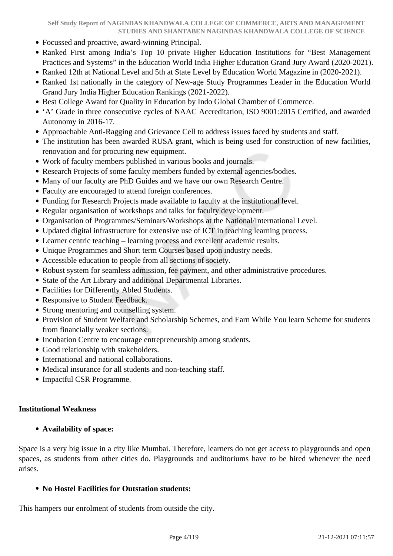- Focussed and proactive, award-winning Principal.
- Ranked First among India's Top 10 private Higher Education Institutions for "Best Management" Practices and Systems" in the Education World India Higher Education Grand Jury Award (2020-2021).
- Ranked 12th at National Level and 5th at State Level by Education World Magazine in (2020-2021).
- Ranked 1st nationally in the category of New-age Study Programmes Leader in the Education World Grand Jury India Higher Education Rankings (2021-2022).
- Best College Award for Quality in Education by Indo Global Chamber of Commerce.
- 'A' Grade in three consecutive cycles of NAAC Accreditation, ISO 9001:2015 Certified, and awarded Autonomy in 2016-17.
- Approachable Anti-Ragging and Grievance Cell to address issues faced by students and staff.
- The institution has been awarded RUSA grant, which is being used for construction of new facilities, renovation and for procuring new equipment.
- Work of faculty members published in various books and journals.
- Research Projects of some faculty members funded by external agencies/bodies.
- Many of our faculty are PhD Guides and we have our own Research Centre.
- Faculty are encouraged to attend foreign conferences.
- Funding for Research Projects made available to faculty at the institutional level.
- Regular organisation of workshops and talks for faculty development.
- Organisation of Programmes/Seminars/Workshops at the National/International Level.
- Updated digital infrastructure for extensive use of ICT in teaching learning process.
- Learner centric teaching learning process and excellent academic results.
- Unique Programmes and Short term Courses based upon industry needs.
- Accessible education to people from all sections of society.
- Robust system for seamless admission, fee payment, and other administrative procedures.
- State of the Art Library and additional Departmental Libraries.
- Facilities for Differently Abled Students.
- Responsive to Student Feedback.
- Strong mentoring and counselling system.
- Provision of Student Welfare and Scholarship Schemes, and Earn While You learn Scheme for students from financially weaker sections.
- Incubation Centre to encourage entrepreneurship among students.
- Good relationship with stakeholders.
- International and national collaborations.
- Medical insurance for all students and non-teaching staff.
- Impactful CSR Programme.

#### **Institutional Weakness**

#### **Availability of space:**

Space is a very big issue in a city like Mumbai. Therefore, learners do not get access to playgrounds and open spaces, as students from other cities do. Playgrounds and auditoriums have to be hired whenever the need arises.

#### **No Hostel Facilities for Outstation students:**

This hampers our enrolment of students from outside the city.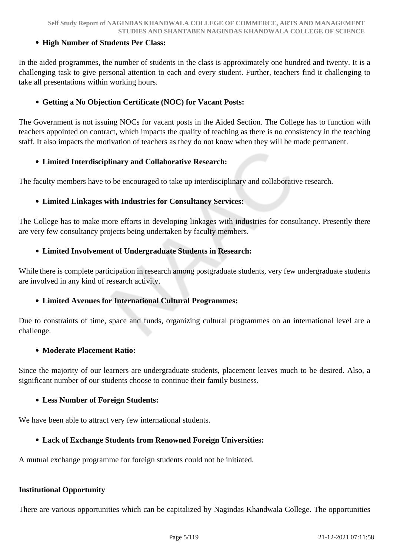#### **High Number of Students Per Class:**

In the aided programmes, the number of students in the class is approximately one hundred and twenty. It is a challenging task to give personal attention to each and every student. Further, teachers find it challenging to take all presentations within working hours.

#### **Getting a No Objection Certificate (NOC) for Vacant Posts:**

The Government is not issuing NOCs for vacant posts in the Aided Section. The College has to function with teachers appointed on contract, which impacts the quality of teaching as there is no consistency in the teaching staff. It also impacts the motivation of teachers as they do not know when they will be made permanent.

#### **Limited Interdisciplinary and Collaborative Research:**

The faculty members have to be encouraged to take up interdisciplinary and collaborative research.

#### **Limited Linkages with Industries for Consultancy Services:**

The College has to make more efforts in developing linkages with industries for consultancy. Presently there are very few consultancy projects being undertaken by faculty members.

#### **Limited Involvement of Undergraduate Students in Research:**

While there is complete participation in research among postgraduate students, very few undergraduate students are involved in any kind of research activity.

#### **Limited Avenues for International Cultural Programmes:**

Due to constraints of time, space and funds, organizing cultural programmes on an international level are a challenge.

#### **Moderate Placement Ratio:**

Since the majority of our learners are undergraduate students, placement leaves much to be desired. Also, a significant number of our students choose to continue their family business.

#### **Less Number of Foreign Students:**

We have been able to attract very few international students.

#### **Lack of Exchange Students from Renowned Foreign Universities:**

A mutual exchange programme for foreign students could not be initiated.

#### **Institutional Opportunity**

There are various opportunities which can be capitalized by Nagindas Khandwala College. The opportunities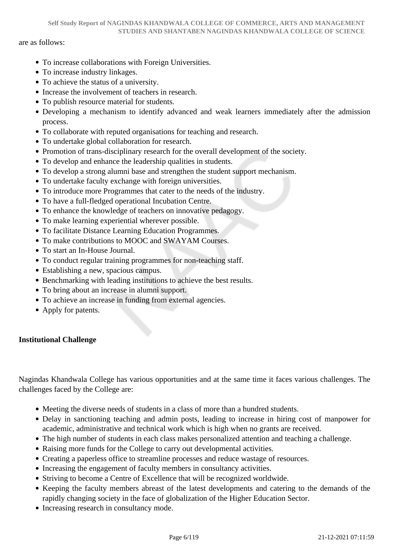#### are as follows:

- To increase collaborations with Foreign Universities.
- To increase industry linkages.
- To achieve the status of a university.
- Increase the involvement of teachers in research.
- To publish resource material for students.
- Developing a mechanism to identify advanced and weak learners immediately after the admission process.
- To collaborate with reputed organisations for teaching and research.
- To undertake global collaboration for research.
- Promotion of trans-disciplinary research for the overall development of the society.
- To develop and enhance the leadership qualities in students.
- To develop a strong alumni base and strengthen the student support mechanism.
- To undertake faculty exchange with foreign universities.
- To introduce more Programmes that cater to the needs of the industry.
- To have a full-fledged operational Incubation Centre.
- To enhance the knowledge of teachers on innovative pedagogy.
- To make learning experiential wherever possible.
- To facilitate Distance Learning Education Programmes.
- To make contributions to MOOC and SWAYAM Courses.
- To start an In-House Journal.
- To conduct regular training programmes for non-teaching staff.
- Establishing a new, spacious campus.
- Benchmarking with leading institutions to achieve the best results.
- To bring about an increase in alumni support.
- To achieve an increase in funding from external agencies.
- Apply for patents.

#### **Institutional Challenge**

Nagindas Khandwala College has various opportunities and at the same time it faces various challenges. The challenges faced by the College are:

- Meeting the diverse needs of students in a class of more than a hundred students.
- Delay in sanctioning teaching and admin posts, leading to increase in hiring cost of manpower for academic, administrative and technical work which is high when no grants are received.
- The high number of students in each class makes personalized attention and teaching a challenge.
- Raising more funds for the College to carry out developmental activities.
- Creating a paperless office to streamline processes and reduce wastage of resources.
- Increasing the engagement of faculty members in consultancy activities.
- Striving to become a Centre of Excellence that will be recognized worldwide.
- Keeping the faculty members abreast of the latest developments and catering to the demands of the rapidly changing society in the face of globalization of the Higher Education Sector.
- Increasing research in consultancy mode.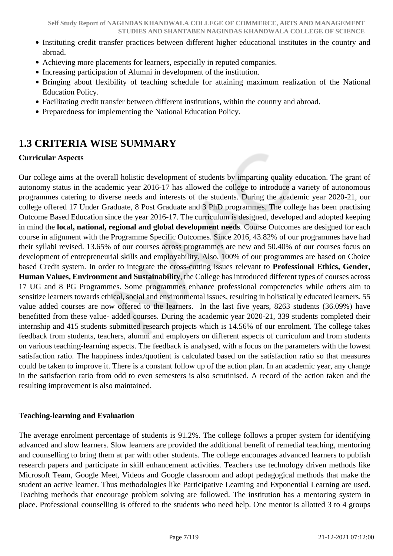- Instituting credit transfer practices between different higher educational institutes in the country and abroad.
- Achieving more placements for learners, especially in reputed companies.
- Increasing participation of Alumni in development of the institution.
- Bringing about flexibility of teaching schedule for attaining maximum realization of the National Education Policy.
- Facilitating credit transfer between different institutions, within the country and abroad.
- Preparedness for implementing the National Education Policy.

## **1.3 CRITERIA WISE SUMMARY**

#### **Curricular Aspects**

Our college aims at the overall holistic development of students by imparting quality education. The grant of autonomy status in the academic year 2016-17 has allowed the college to introduce a variety of autonomous programmes catering to diverse needs and interests of the students. During the academic year 2020-21, our college offered 17 Under Graduate, 8 Post Graduate and 3 PhD programmes. The college has been practising Outcome Based Education since the year 2016-17. The curriculum is designed, developed and adopted keeping in mind the **local, national, regional and global development needs**. Course Outcomes are designed for each course in alignment with the Programme Specific Outcomes. Since 2016, 43.82% of our programmes have had their syllabi revised. 13.65% of our courses across programmes are new and 50.40% of our courses focus on development of entrepreneurial skills and employability. Also, 100% of our programmes are based on Choice based Credit system. In order to integrate the cross-cutting issues relevant to **Professional Ethics, Gender, Human Values, Environment and Sustainability**, the College has introduced different types of courses across 17 UG and 8 PG Programmes. Some programmes enhance professional competencies while others aim to sensitize learners towards ethical, social and environmental issues, resulting in holistically educated learners. 55 value added courses are now offered to the learners. In the last five years, 8263 students (36.09%) have benefitted from these value- added courses. During the academic year 2020-21, 339 students completed their internship and 415 students submitted research projects which is 14.56% of our enrolment. The college takes feedback from students, teachers, alumni and employers on different aspects of curriculum and from students on various teaching-learning aspects. The feedback is analysed, with a focus on the parameters with the lowest satisfaction ratio. The happiness index/quotient is calculated based on the satisfaction ratio so that measures could be taken to improve it. There is a constant follow up of the action plan. In an academic year, any change in the satisfaction ratio from odd to even semesters is also scrutinised. A record of the action taken and the resulting improvement is also maintained.

#### **Teaching-learning and Evaluation**

The average enrolment percentage of students is 91.2%. The college follows a proper system for identifying advanced and slow learners. Slow learners are provided the additional benefit of remedial teaching, mentoring and counselling to bring them at par with other students. The college encourages advanced learners to publish research papers and participate in skill enhancement activities. Teachers use technology driven methods like Microsoft Team, Google Meet, Videos and Google classroom and adopt pedagogical methods that make the student an active learner. Thus methodologies like Participative Learning and Exponential Learning are used. Teaching methods that encourage problem solving are followed. The institution has a mentoring system in place. Professional counselling is offered to the students who need help. One mentor is allotted 3 to 4 groups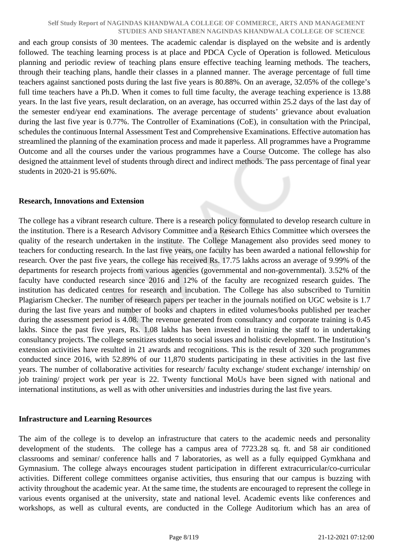and each group consists of 30 mentees. The academic calendar is displayed on the website and is ardently followed. The teaching learning process is at place and PDCA Cycle of Operation is followed. Meticulous planning and periodic review of teaching plans ensure effective teaching learning methods. The teachers, through their teaching plans, handle their classes in a planned manner. The average percentage of full time teachers against sanctioned posts during the last five years is 80.88%. On an average, 32.05% of the college's full time teachers have a Ph.D. When it comes to full time faculty, the average teaching experience is 13.88 years. In the last five years, result declaration, on an average, has occurred within 25.2 days of the last day of the semester end/year end examinations. The average percentage of students' grievance about evaluation during the last five year is 0.77%. The Controller of Examinations (CoE), in consultation with the Principal, schedules the continuous Internal Assessment Test and Comprehensive Examinations. Effective automation has streamlined the planning of the examination process and made it paperless. All programmes have a Programme Outcome and all the courses under the various programmes have a Course Outcome. The college has also designed the attainment level of students through direct and indirect methods. The pass percentage of final year students in 2020-21 is 95.60%.

#### **Research, Innovations and Extension**

The college has a vibrant research culture. There is a research policy formulated to develop research culture in the institution. There is a Research Advisory Committee and a Research Ethics Committee which oversees the quality of the research undertaken in the institute. The College Management also provides seed money to teachers for conducting research. In the last five years, one faculty has been awarded a national fellowship for research. Over the past five years, the college has received Rs. 17.75 lakhs across an average of 9.99% of the departments for research projects from various agencies (governmental and non-governmental). 3.52% of the faculty have conducted research since 2016 and 12% of the faculty are recognized research guides. The institution has dedicated centres for research and incubation. The College has also subscribed to Turnitin Plagiarism Checker. The number of research papers per teacher in the journals notified on UGC website is 1.7 during the last five years and number of books and chapters in edited volumes/books published per teacher during the assessment period is 4.08. The revenue generated from consultancy and corporate training is 0.45 lakhs. Since the past five years, Rs. 1.08 lakhs has been invested in training the staff to in undertaking consultancy projects. The college sensitizes students to social issues and holistic development. The Institution's extension activities have resulted in 21 awards and recognitions. This is the result of 320 such programmes conducted since 2016, with 52.89% of our 11,870 students participating in these activities in the last five years. The number of collaborative activities for research/ faculty exchange/ student exchange/ internship/ on job training/ project work per year is 22. Twenty functional MoUs have been signed with national and international institutions, as well as with other universities and industries during the last five years.

#### **Infrastructure and Learning Resources**

The aim of the college is to develop an infrastructure that caters to the academic needs and personality development of the students. The college has a campus area of 7723.28 sq. ft. and 58 air conditioned classrooms and seminar/ conference halls and 7 laboratories, as well as a fully equipped Gymkhana and Gymnasium. The college always encourages student participation in different extracurricular/co-curricular activities. Different college committees organise activities, thus ensuring that our campus is buzzing with activity throughout the academic year. At the same time, the students are encouraged to represent the college in various events organised at the university, state and national level. Academic events like conferences and workshops, as well as cultural events, are conducted in the College Auditorium which has an area of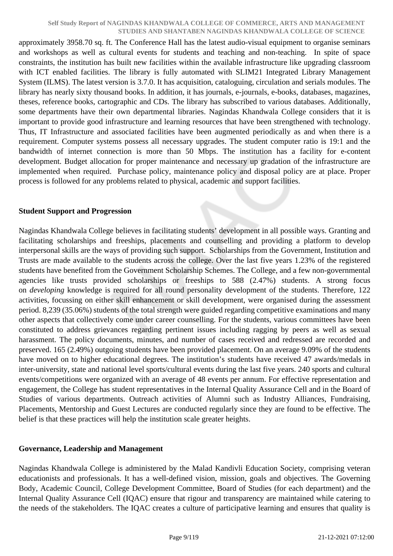approximately 3958.70 sq. ft. The Conference Hall has the latest audio-visual equipment to organise seminars and workshops as well as cultural events for students and teaching and non-teaching. In spite of space constraints, the institution has built new facilities within the available infrastructure like upgrading classroom with ICT enabled facilities. The library is fully automated with SLIM21 Integrated Library Management System (ILMS). The latest version is 3.7.0. It has acquisition, cataloguing, circulation and serials modules. The library has nearly sixty thousand books. In addition, it has journals, e-journals, e-books, databases, magazines, theses, reference books, cartographic and CDs. The library has subscribed to various databases. Additionally, some departments have their own departmental libraries. Nagindas Khandwala College considers that it is important to provide good infrastructure and learning resources that have been strengthened with technology. Thus, IT Infrastructure and associated facilities have been augmented periodically as and when there is a requirement. Computer systems possess all necessary upgrades. The student computer ratio is 19:1 and the bandwidth of internet connection is more than 50 Mbps. The institution has a facility for e-content development. Budget allocation for proper maintenance and necessary up gradation of the infrastructure are implemented when required. Purchase policy, maintenance policy and disposal policy are at place. Proper process is followed for any problems related to physical, academic and support facilities.

#### **Student Support and Progression**

Nagindas Khandwala College believes in facilitating students' development in all possible ways. Granting and facilitating scholarships and freeships, placements and counselling and providing a platform to develop interpersonal skills are the ways of providing such support. Scholarships from the Government, Institution and Trusts are made available to the students across the college. Over the last five years 1.23% of the registered students have benefited from the Government Scholarship Schemes. The College, and a few non-governmental agencies like trusts provided scholarships or freeships to 588 (2.47%) students. A strong focus on *developing* knowledge is required for all round personality development of the students. Therefore, 122 activities, focussing on either skill enhancement or skill development, were organised during the assessment period. 8,239 (35.06%) students of the total strength were guided regarding competitive examinations and many other aspects that collectively come under career counselling. For the students, various committees have been constituted to address grievances regarding pertinent issues including ragging by peers as well as sexual harassment. The policy documents, minutes, and number of cases received and redressed are recorded and preserved. 165 (2.49%) outgoing students have been provided placement. On an average 9.09% of the students have moved on to higher educational degrees. The institution's students have received 47 awards/medals in inter-university, state and national level sports/cultural events during the last five years. 240 sports and cultural events/competitions were organized with an average of 48 events per annum. For effective representation and engagement, the College has student representatives in the Internal Quality Assurance Cell and in the Board of Studies of various departments. Outreach activities of Alumni such as Industry Alliances, Fundraising, Placements, Mentorship and Guest Lectures are conducted regularly since they are found to be effective. The belief is that these practices will help the institution scale greater heights.

#### **Governance, Leadership and Management**

Nagindas Khandwala College is administered by the Malad Kandivli Education Society, comprising veteran educationists and professionals. It has a well-defined vision, mission, goals and objectives. The Governing Body, Academic Council, College Development Committee, Board of Studies (for each department) and the Internal Quality Assurance Cell (IQAC) ensure that rigour and transparency are maintained while catering to the needs of the stakeholders. The IQAC creates a culture of participative learning and ensures that quality is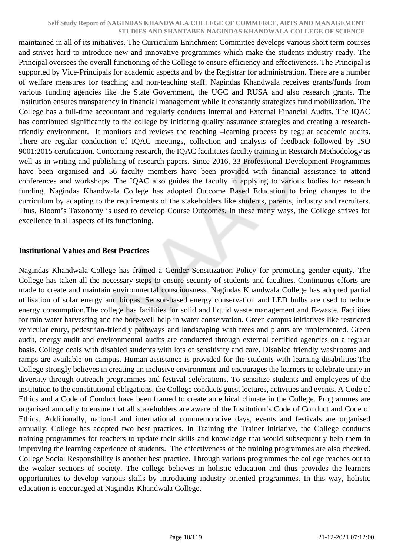maintained in all of its initiatives. The Curriculum Enrichment Committee develops various short term courses and strives hard to introduce new and innovative programmes which make the students industry ready. The Principal oversees the overall functioning of the College to ensure efficiency and effectiveness. The Principal is supported by Vice-Principals for academic aspects and by the Registrar for administration. There are a number of welfare measures for teaching and non-teaching staff. Nagindas Khandwala receives grants/funds from various funding agencies like the State Government, the UGC and RUSA and also research grants. The Institution ensures transparency in financial management while it constantly strategizes fund mobilization. The College has a full-time accountant and regularly conducts Internal and External Financial Audits. The IQAC has contributed significantly to the college by initiating quality assurance strategies and creating a researchfriendly environment. It monitors and reviews the teaching –learning process by regular academic audits. There are regular conduction of IQAC meetings, collection and analysis of feedback followed by ISO 9001:2015 certification. Concerning research, the IQAC facilitates faculty training in Research Methodology as well as in writing and publishing of research papers. Since 2016, 33 Professional Development Programmes have been organised and 56 faculty members have been provided with financial assistance to attend conferences and workshops. The IQAC also guides the faculty in applying to various bodies for research funding. Nagindas Khandwala College has adopted Outcome Based Education to bring changes to the curriculum by adapting to the requirements of the stakeholders like students, parents, industry and recruiters. Thus, Bloom's Taxonomy is used to develop Course Outcomes. In these many ways, the College strives for excellence in all aspects of its functioning.

#### **Institutional Values and Best Practices**

Nagindas Khandwala College has framed a Gender Sensitization Policy for promoting gender equity. The College has taken all the necessary steps to ensure security of students and faculties. Continuous efforts are made to create and maintain environmental consciousness. Nagindas Khandwala College has adopted partial utilisation of solar energy and biogas. Sensor-based energy conservation and LED bulbs are used to reduce energy consumption.The college has facilities for solid and liquid waste management and E-waste. Facilities for rain water harvesting and the bore-well help in water conservation. Green campus initiatives like restricted vehicular entry, pedestrian-friendly pathways and landscaping with trees and plants are implemented. Green audit, energy audit and environmental audits are conducted through external certified agencies on a regular basis. College deals with disabled students with lots of sensitivity and care. Disabled friendly washrooms and ramps are available on campus. Human assistance is provided for the students with learning disabilities.The College strongly believes in creating an inclusive environment and encourages the learners to celebrate unity in diversity through outreach programmes and festival celebrations. To sensitize students and employees of the institution to the constitutional obligations, the College conducts guest lectures, activities and events. A Code of Ethics and a Code of Conduct have been framed to create an ethical climate in the College. Programmes are organised annually to ensure that all stakeholders are aware of the Institution's Code of Conduct and Code of Ethics. Additionally, national and international commemorative days, events and festivals are organised annually. College has adopted two best practices. In Training the Trainer initiative, the College conducts training programmes for teachers to update their skills and knowledge that would subsequently help them in improving the learning experience of students. The effectiveness of the training programmes are also checked. College Social Responsibility is another best practice. Through various programmes the college reaches out to the weaker sections of society. The college believes in holistic education and thus provides the learners opportunities to develop various skills by introducing industry oriented programmes. In this way, holistic education is encouraged at Nagindas Khandwala College.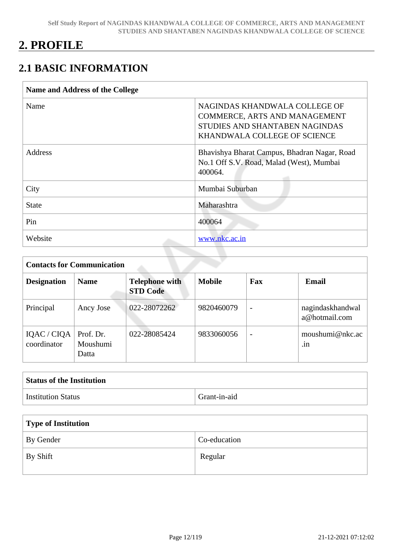## **2. PROFILE**

## **2.1 BASIC INFORMATION**

| <b>Name and Address of the College</b> |                                                                                                                                  |  |  |  |
|----------------------------------------|----------------------------------------------------------------------------------------------------------------------------------|--|--|--|
| Name                                   | NAGINDAS KHANDWALA COLLEGE OF<br>COMMERCE, ARTS AND MANAGEMENT<br>STUDIES AND SHANTABEN NAGINDAS<br>KHANDWALA COLLEGE OF SCIENCE |  |  |  |
| Address                                | Bhavishya Bharat Campus, Bhadran Nagar, Road<br>No.1 Off S.V. Road, Malad (West), Mumbai<br>400064.                              |  |  |  |
| City                                   | Mumbai Suburban                                                                                                                  |  |  |  |
| <b>State</b>                           | Maharashtra                                                                                                                      |  |  |  |
| Pin                                    | 400064                                                                                                                           |  |  |  |
| Website                                | www.nkc.ac.in                                                                                                                    |  |  |  |

| <b>Contacts for Communication</b> |                                |                                          |               |                          |                                   |
|-----------------------------------|--------------------------------|------------------------------------------|---------------|--------------------------|-----------------------------------|
| <b>Designation</b>                | <b>Name</b>                    | <b>Telephone with</b><br><b>STD Code</b> | <b>Mobile</b> | Fax                      | <b>Email</b>                      |
| Principal                         | Ancy Jose                      | 022-28072262                             | 9820460079    | $\overline{\phantom{a}}$ | nagindaskhandwal<br>a@hotmail.com |
| IQAC / CIQA<br>coordinator        | Prof. Dr.<br>Moushumi<br>Datta | 022-28085424                             | 9833060056    | $\overline{\phantom{a}}$ | moushumi@nkc.ac<br>.1n            |

| <b>Status of the Institution</b> |              |  |
|----------------------------------|--------------|--|
| <b>Institution Status</b>        | Grant-in-aid |  |

| Type of Institution   |              |  |  |
|-----------------------|--------------|--|--|
| By Gender             | Co-education |  |  |
| <sup> </sup> By Shift | Regular      |  |  |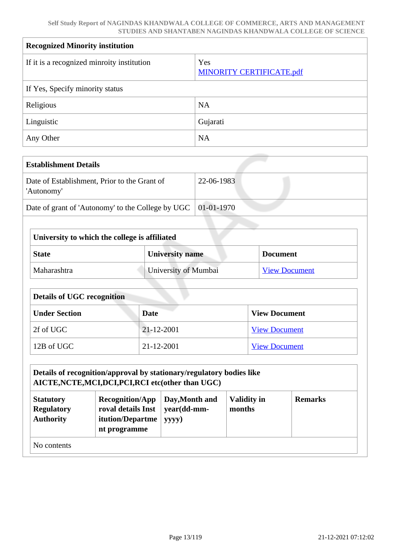| <b>Recognized Minority institution</b>     |                                        |  |  |  |
|--------------------------------------------|----------------------------------------|--|--|--|
| If it is a recognized minroity institution | Yes<br><b>MINORITY CERTIFICATE.pdf</b> |  |  |  |
| If Yes, Specify minority status            |                                        |  |  |  |
| Religious                                  | <b>NA</b>                              |  |  |  |
| Linguistic                                 | Gujarati                               |  |  |  |
| Any Other                                  | <b>NA</b>                              |  |  |  |

| <b>Establishment Details</b>                                         |            |
|----------------------------------------------------------------------|------------|
| Date of Establishment, Prior to the Grant of<br>'Autonomy'           | 22-06-1983 |
| Date of grant of 'Autonomy' to the College by UGC $\vert$ 01-01-1970 |            |

| University to which the college is affiliated               |  |  |  |
|-------------------------------------------------------------|--|--|--|
| <b>University name</b><br><b>State</b><br><b>Document</b>   |  |  |  |
| University of Mumbai<br>Maharashtra<br><b>View Document</b> |  |  |  |

| <b>Details of UGC recognition</b>                    |            |                      |  |
|------------------------------------------------------|------------|----------------------|--|
| <b>Under Section</b><br><b>View Document</b><br>Date |            |                      |  |
| 2f of UGC                                            | 21-12-2001 | <b>View Document</b> |  |
| 12B of UGC                                           | 21-12-2001 | <b>View Document</b> |  |

#### **Details of recognition/approval by stationary/regulatory bodies like AICTE,NCTE,MCI,DCI,PCI,RCI etc(other than UGC) Statutory Regulatory Authority Recognition/App roval details Inst itution/Departme Day,Month and year(dd-mmyyyy) Validity in months Remarks**

**nt programme**

|  | No contents |
|--|-------------|
|--|-------------|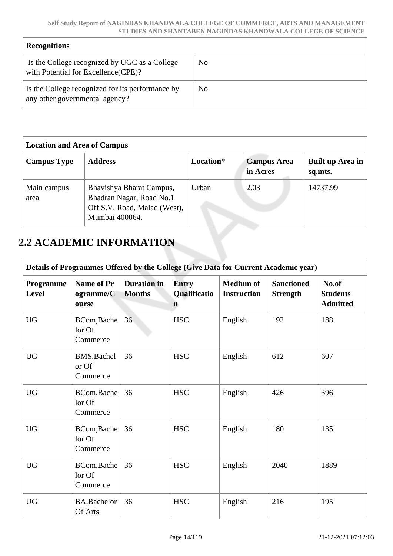| <b>Recognitions</b>                                                                   |                |  |  |  |
|---------------------------------------------------------------------------------------|----------------|--|--|--|
| Is the College recognized by UGC as a College<br>with Potential for Excellence (CPE)? | N <sub>0</sub> |  |  |  |
| Is the College recognized for its performance by<br>any other governmental agency?    | N <sub>0</sub> |  |  |  |

| <b>Location and Area of Campus</b> |                                                                                                        |           |                                |                             |  |
|------------------------------------|--------------------------------------------------------------------------------------------------------|-----------|--------------------------------|-----------------------------|--|
| <b>Campus Type</b>                 | <b>Address</b>                                                                                         | Location* | <b>Campus Area</b><br>in Acres | Built up Area in<br>sq.mts. |  |
| Main campus<br>area                | Bhavishya Bharat Campus,<br>Bhadran Nagar, Road No.1<br>Off S.V. Road, Malad (West),<br>Mumbai 400064. | Urban     | 2.03                           | 14737.99                    |  |

## **2.2 ACADEMIC INFORMATION**

| Details of Programmes Offered by the College (Give Data for Current Academic year) |                                         |                                     |                                             |                                        |                                      |                                             |
|------------------------------------------------------------------------------------|-----------------------------------------|-------------------------------------|---------------------------------------------|----------------------------------------|--------------------------------------|---------------------------------------------|
| <b>Programme</b><br>Level                                                          | <b>Name of Pr</b><br>ogramme/C<br>ourse | <b>Duration</b> in<br><b>Months</b> | <b>Entry</b><br>Qualificatio<br>$\mathbf n$ | <b>Medium of</b><br><b>Instruction</b> | <b>Sanctioned</b><br><b>Strength</b> | No.of<br><b>Students</b><br><b>Admitted</b> |
| <b>UG</b>                                                                          | BCom, Bache<br>lor Of<br>Commerce       | 36                                  | <b>HSC</b>                                  | English                                | 192                                  | 188                                         |
| <b>UG</b>                                                                          | BMS, Bachel<br>or Of<br>Commerce        | 36                                  | <b>HSC</b>                                  | English                                | 612                                  | 607                                         |
| <b>UG</b>                                                                          | BCom, Bache<br>lor Of<br>Commerce       | 36                                  | <b>HSC</b>                                  | English                                | 426                                  | 396                                         |
| <b>UG</b>                                                                          | BCom, Bache<br>lor Of<br>Commerce       | 36                                  | <b>HSC</b>                                  | English                                | 180                                  | 135                                         |
| <b>UG</b>                                                                          | BCom, Bache<br>lor Of<br>Commerce       | 36                                  | <b>HSC</b>                                  | English                                | 2040                                 | 1889                                        |
| <b>UG</b>                                                                          | BA, Bachelor<br>Of Arts                 | 36                                  | <b>HSC</b>                                  | English                                | 216                                  | 195                                         |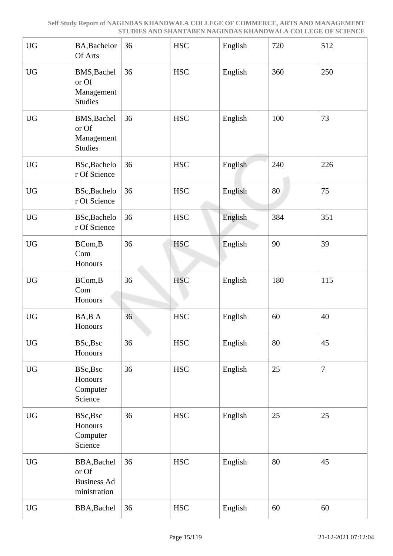| <b>UG</b>              | BA, Bachelor<br>Of Arts                                           | 36 | <b>HSC</b>        | English | 720 | 512            |
|------------------------|-------------------------------------------------------------------|----|-------------------|---------|-----|----------------|
| <b>UG</b>              | BMS, Bachel<br>or Of<br>Management<br><b>Studies</b>              | 36 | <b>HSC</b>        | English | 360 | 250            |
| <b>UG</b>              | BMS, Bachel<br>or Of<br>Management<br><b>Studies</b>              | 36 | <b>HSC</b>        | English | 100 | 73             |
| <b>UG</b>              | BSc, Bachelo<br>r Of Science                                      | 36 | <b>HSC</b>        | English | 240 | 226            |
| <b>UG</b>              | BSc, Bachelo<br>r Of Science                                      | 36 | <b>HSC</b>        | English | 80  | 75             |
| ${\rm U}{\rm G}$       | BSc, Bachelo<br>r Of Science                                      | 36 | <b>HSC</b>        | English | 384 | 351            |
| ${\rm U}{\rm G}$       | BCom, B<br>Com<br>Honours                                         | 36 | <b>HSC</b>        | English | 90  | 39             |
| <b>UG</b>              | BCom, B<br>Com<br>Honours                                         | 36 | <b>HSC</b>        | English | 180 | 115            |
| <b>UG</b>              | BA, BA<br>Honours                                                 | 36 | <b>HSC</b>        | English | 60  | 40             |
| ${\rm U}{\rm G}$       | BSc, Bsc<br>Honours                                               | 36 | $_{\mathrm{HSC}}$ | English | 80  | 45             |
| <b>UG</b>              | BSc, Bsc<br>Honours<br>Computer<br>Science                        | 36 | <b>HSC</b>        | English | 25  | $\overline{7}$ |
| UG                     | BSc, Bsc<br>Honours<br>Computer<br>Science                        | 36 | $_{\mathrm{HSC}}$ | English | 25  | 25             |
| $\mathbf{U}\mathbf{G}$ | <b>BBA, Bachel</b><br>or Of<br><b>Business Ad</b><br>ministration | 36 | $_{\mathrm{HSC}}$ | English | 80  | 45             |
| ${\rm U}{\rm G}$       | BBA, Bachel                                                       | 36 | <b>HSC</b>        | English | 60  | 60             |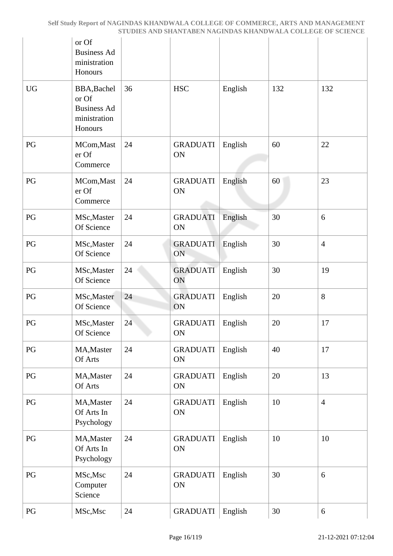|           | or Of<br><b>Business Ad</b><br>ministration<br>Honours                |    |                              |         |     |                |
|-----------|-----------------------------------------------------------------------|----|------------------------------|---------|-----|----------------|
| <b>UG</b> | BBA, Bachel<br>or Of<br><b>Business Ad</b><br>ministration<br>Honours | 36 | <b>HSC</b>                   | English | 132 | 132            |
| PG        | MCom, Mast<br>er Of<br>Commerce                                       | 24 | <b>GRADUATI</b><br>ON        | English | 60  | 22             |
| PG        | MCom, Mast<br>er Of<br>Commerce                                       | 24 | <b>GRADUATI</b><br>ON        | English | 60  | 23             |
| PG        | MSc, Master<br>Of Science                                             | 24 | <b>GRADUATI</b><br>ON        | English | 30  | 6              |
| PG        | MSc, Master<br>Of Science                                             | 24 | <b>GRADUATI</b><br>ON        | English | 30  | $\overline{4}$ |
| PG        | MSc, Master<br>Of Science                                             | 24 | <b>GRADUATI</b><br>ON        | English | 30  | 19             |
| PG        | MSc, Master<br>Of Science                                             | 24 | <b>GRADUATI</b><br>ON        | English | 20  | $8\,$          |
| PG        | MSc, Master<br>Of Science                                             | 24 | <b>GRADUATI</b><br>ON        | English | 20  | 17             |
| PG        | MA, Master<br>Of Arts                                                 | 24 | <b>GRADUATI</b><br>ON        | English | 40  | 17             |
| PG        | MA, Master<br>Of Arts                                                 | 24 | <b>GRADUATI</b><br><b>ON</b> | English | 20  | 13             |
| PG        | MA, Master<br>Of Arts In<br>Psychology                                | 24 | <b>GRADUATI</b><br>ON        | English | 10  | $\overline{4}$ |
| PG        | MA, Master<br>Of Arts In<br>Psychology                                | 24 | <b>GRADUATI</b><br>ON        | English | 10  | 10             |
| PG        | MSc, Msc<br>Computer<br>Science                                       | 24 | <b>GRADUATI</b><br>ON        | English | 30  | 6              |
| PG        | MSc, Msc                                                              | 24 | <b>GRADUATI</b>              | English | 30  | 6              |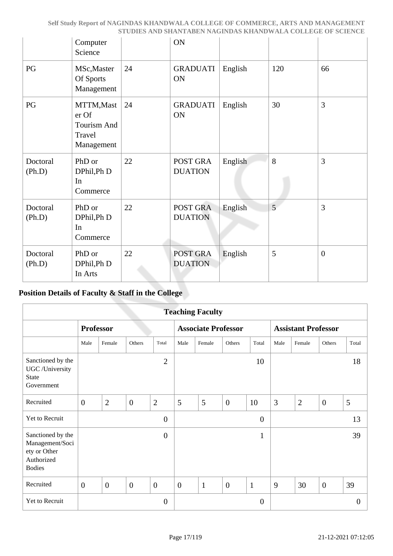|                    | Computer<br>Science                                        |    | ON                         |         |     |                |
|--------------------|------------------------------------------------------------|----|----------------------------|---------|-----|----------------|
| PG                 | MSc, Master<br>Of Sports<br>Management                     | 24 | <b>GRADUATI</b><br>ON      | English | 120 | 66             |
| PG                 | MTTM, Mast<br>er Of<br>Tourism And<br>Travel<br>Management | 24 | <b>GRADUATI</b><br>ON      | English | 30  | $\overline{3}$ |
| Doctoral<br>(Ph.D) | PhD or<br>DPhil, Ph D<br>In<br>Commerce                    | 22 | POST GRA<br><b>DUATION</b> | English | 8   | 3              |
| Doctoral<br>(Ph.D) | PhD or<br>DPhil, Ph D<br>In<br>Commerce                    | 22 | POST GRA<br><b>DUATION</b> | English | 5   | $\overline{3}$ |
| Doctoral<br>(Ph.D) | PhD or<br>DPhil, Ph D<br>In Arts                           | 22 | POST GRA<br><b>DUATION</b> | English | 5   | $\overline{0}$ |

### **Position Details of Faculty & Staff in the College**

|                                                                                     | <b>Teaching Faculty</b> |                  |                  |                  |                |                            |                |                  |                            |                |                |          |
|-------------------------------------------------------------------------------------|-------------------------|------------------|------------------|------------------|----------------|----------------------------|----------------|------------------|----------------------------|----------------|----------------|----------|
|                                                                                     |                         | <b>Professor</b> |                  |                  |                | <b>Associate Professor</b> |                |                  | <b>Assistant Professor</b> |                |                |          |
|                                                                                     | Male                    | Female           | Others           | Total            | Male           | Female                     | Others         | Total            | Male                       | Female         | Others         | Total    |
| Sanctioned by the<br>UGC /University<br><b>State</b><br>Government                  |                         |                  |                  | $\overline{2}$   |                |                            |                | 10               |                            |                |                | 18       |
| Recruited                                                                           | $\overline{0}$          | $\overline{2}$   | $\boldsymbol{0}$ | $\overline{2}$   | 5              | 5                          | $\overline{0}$ | 10               | 3                          | $\overline{2}$ | $\overline{0}$ | 5        |
| Yet to Recruit                                                                      |                         |                  |                  | $\overline{0}$   |                |                            |                | $\overline{0}$   |                            |                |                | 13       |
| Sanctioned by the<br>Management/Soci<br>ety or Other<br>Authorized<br><b>Bodies</b> |                         |                  |                  | $\overline{0}$   |                |                            |                | $\mathbf{1}$     |                            |                |                | 39       |
| Recruited                                                                           | $\overline{0}$          | $\mathbf{0}$     | $\theta$         | $\overline{0}$   | $\overline{0}$ | $\mathbf{1}$               | $\overline{0}$ | $\mathbf{1}$     | 9                          | 30             | $\overline{0}$ | 39       |
| Yet to Recruit                                                                      |                         |                  |                  | $\boldsymbol{0}$ |                |                            |                | $\boldsymbol{0}$ |                            |                |                | $\Omega$ |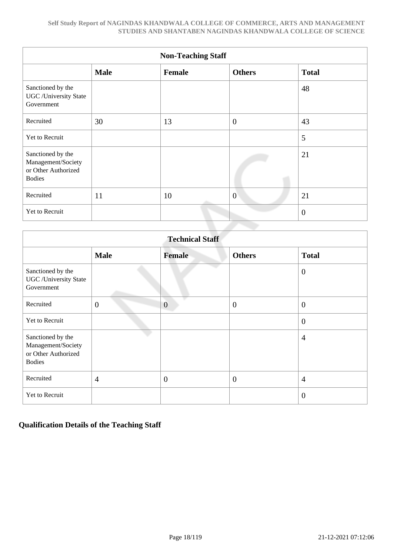|                                                                                 | <b>Non-Teaching Staff</b> |        |                |                |  |  |  |  |  |  |  |
|---------------------------------------------------------------------------------|---------------------------|--------|----------------|----------------|--|--|--|--|--|--|--|
|                                                                                 | <b>Male</b>               | Female | <b>Others</b>  | <b>Total</b>   |  |  |  |  |  |  |  |
| Sanctioned by the<br><b>UGC</b> / University State<br>Government                |                           |        |                | 48             |  |  |  |  |  |  |  |
| Recruited                                                                       | 30                        | 13     | $\overline{0}$ | 43             |  |  |  |  |  |  |  |
| Yet to Recruit                                                                  |                           |        |                | 5              |  |  |  |  |  |  |  |
| Sanctioned by the<br>Management/Society<br>or Other Authorized<br><b>Bodies</b> |                           |        |                | 21             |  |  |  |  |  |  |  |
| Recruited                                                                       | 11                        | 10     | $\overline{0}$ | 21             |  |  |  |  |  |  |  |
| Yet to Recruit                                                                  |                           |        |                | $\overline{0}$ |  |  |  |  |  |  |  |

|                                                                                 | <b>Technical Staff</b> |                |                  |                  |  |  |  |  |  |  |  |
|---------------------------------------------------------------------------------|------------------------|----------------|------------------|------------------|--|--|--|--|--|--|--|
|                                                                                 | <b>Male</b>            | <b>Female</b>  | <b>Others</b>    | <b>Total</b>     |  |  |  |  |  |  |  |
| Sanctioned by the<br><b>UGC</b> / University State<br>Government                |                        |                |                  | $\overline{0}$   |  |  |  |  |  |  |  |
| Recruited                                                                       | $\boldsymbol{0}$       | $\overline{0}$ | $\boldsymbol{0}$ | $\boldsymbol{0}$ |  |  |  |  |  |  |  |
| <b>Yet to Recruit</b>                                                           |                        |                |                  | $\overline{0}$   |  |  |  |  |  |  |  |
| Sanctioned by the<br>Management/Society<br>or Other Authorized<br><b>Bodies</b> |                        |                |                  | $\overline{4}$   |  |  |  |  |  |  |  |
| Recruited                                                                       | $\overline{4}$         | $\theta$       | $\boldsymbol{0}$ | $\overline{4}$   |  |  |  |  |  |  |  |
| Yet to Recruit                                                                  |                        |                |                  | $\overline{0}$   |  |  |  |  |  |  |  |

### **Qualification Details of the Teaching Staff**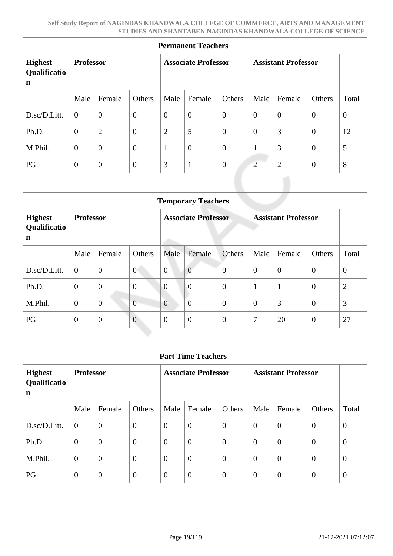| <b>Permanent Teachers</b>                     |                  |                |                  |                            |                  |                  |                            |                |                |          |  |
|-----------------------------------------------|------------------|----------------|------------------|----------------------------|------------------|------------------|----------------------------|----------------|----------------|----------|--|
| <b>Highest</b><br>Qualificatio<br>$\mathbf n$ | <b>Professor</b> |                |                  | <b>Associate Professor</b> |                  |                  | <b>Assistant Professor</b> |                |                |          |  |
|                                               | Male             | Female         | Others           | Male                       | Female           | Others           | Male                       | Female         | Others         | Total    |  |
| D.sc/D.Litt.                                  | $\overline{0}$   | $\overline{0}$ | $\overline{0}$   | $\overline{0}$             | $\overline{0}$   | $\overline{0}$   | $\theta$                   | $\theta$       | $\theta$       | $\theta$ |  |
| Ph.D.                                         | $\theta$         | $\overline{2}$ | $\boldsymbol{0}$ | $\overline{2}$             | 5                | $\theta$         | $\mathbf{0}$               | 3              | $\mathbf{0}$   | 12       |  |
| M.Phil.                                       | $\overline{0}$   | $\overline{0}$ | $\overline{0}$   | $\mathbf{1}$               | $\boldsymbol{0}$ | $\overline{0}$   | 1                          | 3              | $\theta$       | 5        |  |
| PG                                            | $\theta$         | $\theta$       | $\boldsymbol{0}$ | 3                          | $\mathbf{1}$     | $\boldsymbol{0}$ | $\overline{2}$             | $\overline{2}$ | $\overline{0}$ | 8        |  |

|                                     | <b>Temporary Teachers</b> |                |                |                            |                |                  |                            |                |                |                |  |
|-------------------------------------|---------------------------|----------------|----------------|----------------------------|----------------|------------------|----------------------------|----------------|----------------|----------------|--|
| <b>Highest</b><br>Qualificatio<br>n | <b>Professor</b>          |                |                | <b>Associate Professor</b> |                |                  | <b>Assistant Professor</b> |                |                |                |  |
|                                     | Male                      | Female         | Others         | Male                       | Female         | Others           | Male                       | Female         | Others         | Total          |  |
| D.sc/D.Litt.                        | $\boldsymbol{0}$          | $\mathbf{0}$   | $\overline{0}$ | $\overline{0}$             | $\overline{0}$ | $\boldsymbol{0}$ | $\overline{0}$             | $\overline{0}$ | $\overline{0}$ | $\theta$       |  |
| Ph.D.                               | $\overline{0}$            | $\overline{0}$ | $\overline{0}$ | $\overline{0}$             | $\overline{0}$ | $\overline{0}$   |                            | $\mathbf{1}$   | $\theta$       | $\overline{2}$ |  |
| M.Phil.                             | $\theta$                  | $\overline{0}$ | $\overline{0}$ | $\overline{0}$             | $\overline{0}$ | $\overline{0}$   | $\theta$                   | 3              | $\overline{0}$ | 3              |  |
| PG                                  | $\overline{0}$            | $\overline{0}$ | $\overline{0}$ | $\theta$                   | $\overline{0}$ | $\boldsymbol{0}$ | $\overline{7}$             | 20             | $\overline{0}$ | 27             |  |

| <b>Part Time Teachers</b>           |                  |                  |                            |                |                  |                            |                |                |                |                |
|-------------------------------------|------------------|------------------|----------------------------|----------------|------------------|----------------------------|----------------|----------------|----------------|----------------|
| <b>Highest</b><br>Qualificatio<br>n | <b>Professor</b> |                  | <b>Associate Professor</b> |                |                  | <b>Assistant Professor</b> |                |                |                |                |
|                                     | Male             | Female           | Others                     | Male           | Female           | Others                     | Male           | Female         | Others         | Total          |
| D.sc/D.Litt.                        | $\overline{0}$   | $\overline{0}$   | $\overline{0}$             | $\overline{0}$ | $\overline{0}$   | $\overline{0}$             | $\overline{0}$ | $\overline{0}$ | $\theta$       | $\overline{0}$ |
| Ph.D.                               | $\overline{0}$   | $\overline{0}$   | $\overline{0}$             | $\overline{0}$ | $\overline{0}$   | $\theta$                   | $\overline{0}$ | $\theta$       | $\theta$       | $\overline{0}$ |
| M.Phil.                             | $\mathbf{0}$     | $\boldsymbol{0}$ | $\overline{0}$             | $\overline{0}$ | $\boldsymbol{0}$ | $\overline{0}$             | $\overline{0}$ | $\overline{0}$ | $\overline{0}$ | $\overline{0}$ |
| PG                                  | $\theta$         | $\overline{0}$   | $\overline{0}$             | $\overline{0}$ | $\overline{0}$   | $\theta$                   | $\overline{0}$ | $\theta$       | $\theta$       | $\overline{0}$ |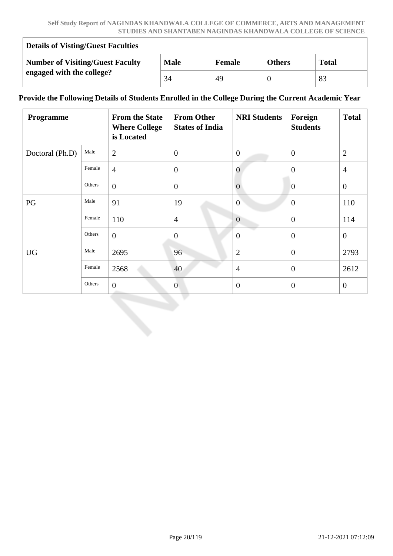| <b>Details of Visting/Guest Faculties</b> |             |               |               |              |  |  |  |  |  |
|-------------------------------------------|-------------|---------------|---------------|--------------|--|--|--|--|--|
| <b>Number of Visiting/Guest Faculty</b>   | <b>Male</b> | <b>Female</b> | <b>Others</b> | <b>Total</b> |  |  |  |  |  |
| engaged with the college?                 | 34          | 49            |               | 83           |  |  |  |  |  |

#### **Provide the Following Details of Students Enrolled in the College During the Current Academic Year**

| Programme       |        | <b>From the State</b><br><b>Where College</b><br>is Located | <b>From Other</b><br><b>States of India</b> | <b>NRI Students</b> | Foreign<br><b>Students</b> | <b>Total</b>   |
|-----------------|--------|-------------------------------------------------------------|---------------------------------------------|---------------------|----------------------------|----------------|
| Doctoral (Ph.D) | Male   | $\overline{2}$                                              | $\theta$                                    | $\overline{0}$      | $\theta$                   | $\overline{2}$ |
|                 | Female | $\overline{4}$                                              | $\boldsymbol{0}$                            | $\overline{0}$      | $\overline{0}$             | $\overline{4}$ |
|                 | Others | $\mathbf{0}$                                                | $\boldsymbol{0}$                            | $\overline{0}$      | $\overline{0}$             | $\overline{0}$ |
| PG              | Male   | 91                                                          | 19                                          | $\theta$            | $\theta$                   | 110            |
|                 | Female | 110                                                         | $\overline{4}$                              | $\overline{0}$      | $\overline{0}$             | 114            |
|                 | Others | $\overline{0}$                                              | $\boldsymbol{0}$                            | $\overline{0}$      | $\overline{0}$             | $\overline{0}$ |
| <b>UG</b>       | Male   | 2695                                                        | 96                                          | $\overline{2}$      | $\theta$                   | 2793           |
|                 | Female | 2568                                                        | 40                                          | $\overline{4}$      | $\theta$                   | 2612           |
|                 | Others | $\mathbf{0}$                                                | $\overline{0}$                              | $\overline{0}$      | $\theta$                   | $\overline{0}$ |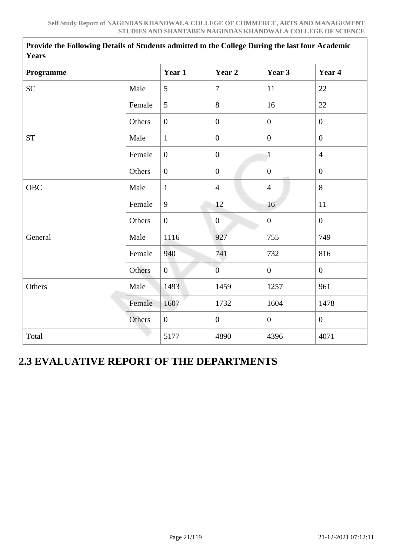**Provide the Following Details of Students admitted to the College During the last four Academic**

| <b>Years</b>       |        |                  |                  |                  |                  |
|--------------------|--------|------------------|------------------|------------------|------------------|
| Programme          |        | Year 1           | Year 2           | Year 3           | Year 4           |
| <b>SC</b>          | Male   | 5                | $\overline{7}$   | 11               | 22               |
|                    | Female | 5                | 8                | 16               | 22               |
|                    | Others | $\boldsymbol{0}$ | $\boldsymbol{0}$ | $\boldsymbol{0}$ | $\boldsymbol{0}$ |
| ${\cal S}{\cal T}$ | Male   | $\mathbf{1}$     | $\boldsymbol{0}$ | $\mathbf{0}$     | $\overline{0}$   |
|                    | Female | $\overline{0}$   | $\boldsymbol{0}$ | $\mathbf{1}$     | $\overline{4}$   |
|                    | Others | $\overline{0}$   | $\boldsymbol{0}$ | $\overline{0}$   | $\mathbf{0}$     |
| OBC                | Male   | $\mathbf{1}$     | $\overline{4}$   | $\overline{4}$   | 8                |
|                    | Female | 9                | 12               | 16               | 11               |
|                    | Others | $\overline{0}$   | $\overline{0}$   | $\overline{0}$   | $\mathbf{0}$     |
| General            | Male   | 1116             | 927              | 755              | 749              |
|                    | Female | 940              | 741              | 732              | 816              |
|                    | Others | $\overline{0}$   | $\overline{0}$   | $\mathbf{0}$     | $\mathbf{0}$     |
| Others             | Male   | 1493             | 1459             | 1257             | 961              |
|                    | Female | 1607             | 1732             | 1604             | 1478             |
|                    | Others | $\overline{0}$   | $\boldsymbol{0}$ | $\overline{0}$   | $\overline{0}$   |
| Total              |        | 5177             | 4890             | 4396             | 4071             |

## **2.3 EVALUATIVE REPORT OF THE DEPARTMENTS**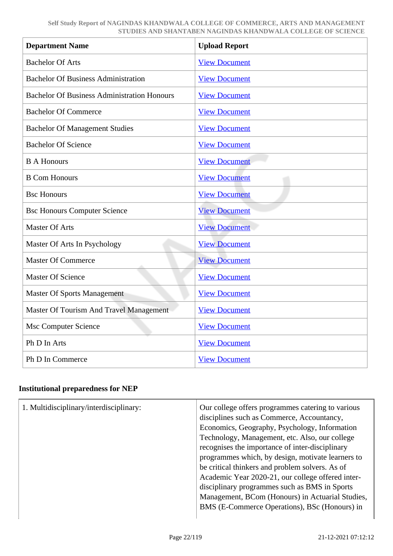| <b>Department Name</b>                             | <b>Upload Report</b> |
|----------------------------------------------------|----------------------|
| <b>Bachelor Of Arts</b>                            | <b>View Document</b> |
| <b>Bachelor Of Business Administration</b>         | <b>View Document</b> |
| <b>Bachelor Of Business Administration Honours</b> | <b>View Document</b> |
| <b>Bachelor Of Commerce</b>                        | <b>View Document</b> |
| <b>Bachelor Of Management Studies</b>              | <b>View Document</b> |
| <b>Bachelor Of Science</b>                         | <b>View Document</b> |
| <b>B A Honours</b>                                 | <b>View Document</b> |
| <b>B Com Honours</b>                               | <b>View Document</b> |
| <b>Bsc Honours</b>                                 | <b>View Document</b> |
| <b>Bsc Honours Computer Science</b>                | <b>View Document</b> |
| <b>Master Of Arts</b>                              | <b>View Document</b> |
| Master Of Arts In Psychology                       | <b>View Document</b> |
| <b>Master Of Commerce</b>                          | <b>View Document</b> |
| <b>Master Of Science</b>                           | <b>View Document</b> |
| <b>Master Of Sports Management</b>                 | <b>View Document</b> |
| Master Of Tourism And Travel Management            | <b>View Document</b> |
| <b>Msc Computer Science</b>                        | <b>View Document</b> |
| Ph D In Arts                                       | <b>View Document</b> |
| Ph D In Commerce                                   | <b>View Document</b> |

### **Institutional preparedness for NEP**

| 1. Multidisciplinary/interdisciplinary: | Our college offers programmes catering to various<br>disciplines such as Commerce, Accountancy,<br>Economics, Geography, Psychology, Information<br>Technology, Management, etc. Also, our college<br>recognises the importance of inter-disciplinary<br>programmes which, by design, motivate learners to<br>be critical thinkers and problem solvers. As of<br>Academic Year 2020-21, our college offered inter-<br>disciplinary programmes such as BMS in Sports<br>Management, BCom (Honours) in Actuarial Studies,<br>BMS (E-Commerce Operations), BSc (Honours) in |
|-----------------------------------------|--------------------------------------------------------------------------------------------------------------------------------------------------------------------------------------------------------------------------------------------------------------------------------------------------------------------------------------------------------------------------------------------------------------------------------------------------------------------------------------------------------------------------------------------------------------------------|
|-----------------------------------------|--------------------------------------------------------------------------------------------------------------------------------------------------------------------------------------------------------------------------------------------------------------------------------------------------------------------------------------------------------------------------------------------------------------------------------------------------------------------------------------------------------------------------------------------------------------------------|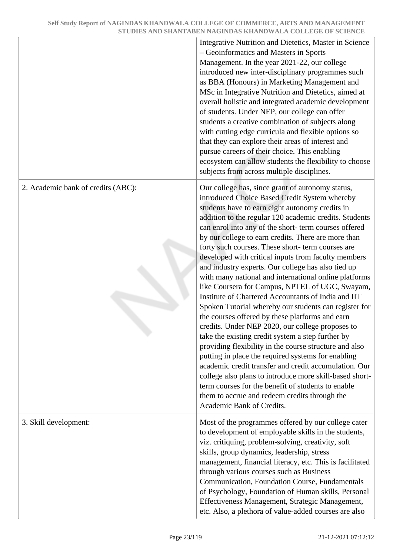|                                    | Integrative Nutrition and Dietetics, Master in Science<br>- Geoinformatics and Masters in Sports<br>Management. In the year 2021-22, our college<br>introduced new inter-disciplinary programmes such<br>as BBA (Honours) in Marketing Management and<br>MSc in Integrative Nutrition and Dietetics, aimed at<br>overall holistic and integrated academic development<br>of students. Under NEP, our college can offer<br>students a creative combination of subjects along<br>with cutting edge curricula and flexible options so<br>that they can explore their areas of interest and<br>pursue careers of their choice. This enabling<br>ecosystem can allow students the flexibility to choose<br>subjects from across multiple disciplines.                                                                                                                                                                                                                                                                                                                                                                                                                                                                                                               |
|------------------------------------|----------------------------------------------------------------------------------------------------------------------------------------------------------------------------------------------------------------------------------------------------------------------------------------------------------------------------------------------------------------------------------------------------------------------------------------------------------------------------------------------------------------------------------------------------------------------------------------------------------------------------------------------------------------------------------------------------------------------------------------------------------------------------------------------------------------------------------------------------------------------------------------------------------------------------------------------------------------------------------------------------------------------------------------------------------------------------------------------------------------------------------------------------------------------------------------------------------------------------------------------------------------|
| 2. Academic bank of credits (ABC): | Our college has, since grant of autonomy status,<br>introduced Choice Based Credit System whereby<br>students have to earn eight autonomy credits in<br>addition to the regular 120 academic credits. Students<br>can enrol into any of the short-term courses offered<br>by our college to earn credits. There are more than<br>forty such courses. These short-term courses are<br>developed with critical inputs from faculty members<br>and industry experts. Our college has also tied up<br>with many national and international online platforms<br>like Coursera for Campus, NPTEL of UGC, Swayam,<br>Institute of Chartered Accountants of India and IIT<br>Spoken Tutorial whereby our students can register for<br>the courses offered by these platforms and earn<br>credits. Under NEP 2020, our college proposes to<br>take the existing credit system a step further by<br>providing flexibility in the course structure and also<br>putting in place the required systems for enabling<br>academic credit transfer and credit accumulation. Our<br>college also plans to introduce more skill-based short-<br>term courses for the benefit of students to enable<br>them to accrue and redeem credits through the<br>Academic Bank of Credits. |
| 3. Skill development:              | Most of the programmes offered by our college cater<br>to development of employable skills in the students,<br>viz. critiquing, problem-solving, creativity, soft<br>skills, group dynamics, leadership, stress<br>management, financial literacy, etc. This is facilitated<br>through various courses such as Business<br>Communication, Foundation Course, Fundamentals<br>of Psychology, Foundation of Human skills, Personal<br>Effectiveness Management, Strategic Management,<br>etc. Also, a plethora of value-added courses are also                                                                                                                                                                                                                                                                                                                                                                                                                                                                                                                                                                                                                                                                                                                   |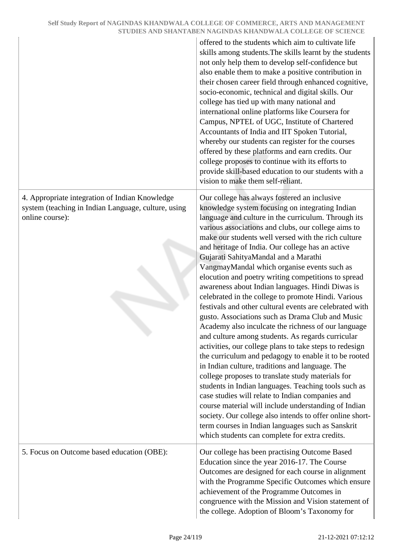|                                                                                                                          | offered to the students which aim to cultivate life<br>skills among students. The skills learnt by the students<br>not only help them to develop self-confidence but<br>also enable them to make a positive contribution in<br>their chosen career field through enhanced cognitive,<br>socio-economic, technical and digital skills. Our<br>college has tied up with many national and<br>international online platforms like Coursera for<br>Campus, NPTEL of UGC, Institute of Chartered<br>Accountants of India and IIT Spoken Tutorial,<br>whereby our students can register for the courses<br>offered by these platforms and earn credits. Our<br>college proposes to continue with its efforts to<br>provide skill-based education to our students with a<br>vision to make them self-reliant.                                                                                                                                                                                                                                                                                                                                                                                                                                                                                                                                                                          |
|--------------------------------------------------------------------------------------------------------------------------|---------------------------------------------------------------------------------------------------------------------------------------------------------------------------------------------------------------------------------------------------------------------------------------------------------------------------------------------------------------------------------------------------------------------------------------------------------------------------------------------------------------------------------------------------------------------------------------------------------------------------------------------------------------------------------------------------------------------------------------------------------------------------------------------------------------------------------------------------------------------------------------------------------------------------------------------------------------------------------------------------------------------------------------------------------------------------------------------------------------------------------------------------------------------------------------------------------------------------------------------------------------------------------------------------------------------------------------------------------------------------------|
| 4. Appropriate integration of Indian Knowledge<br>system (teaching in Indian Language, culture, using<br>online course): | Our college has always fostered an inclusive<br>knowledge system focusing on integrating Indian<br>language and culture in the curriculum. Through its<br>various associations and clubs, our college aims to<br>make our students well versed with the rich culture<br>and heritage of India. Our college has an active<br>Gujarati SahityaMandal and a Marathi<br>VangmayMandal which organise events such as<br>elocution and poetry writing competitions to spread<br>awareness about Indian languages. Hindi Diwas is<br>celebrated in the college to promote Hindi. Various<br>festivals and other cultural events are celebrated with<br>gusto. Associations such as Drama Club and Music<br>Academy also inculcate the richness of our language<br>and culture among students. As regards curricular<br>activities, our college plans to take steps to redesign<br>the curriculum and pedagogy to enable it to be rooted<br>in Indian culture, traditions and language. The<br>college proposes to translate study materials for<br>students in Indian languages. Teaching tools such as<br>case studies will relate to Indian companies and<br>course material will include understanding of Indian<br>society. Our college also intends to offer online short-<br>term courses in Indian languages such as Sanskrit<br>which students can complete for extra credits. |
| 5. Focus on Outcome based education (OBE):                                                                               | Our college has been practising Outcome Based<br>Education since the year 2016-17. The Course<br>Outcomes are designed for each course in alignment<br>with the Programme Specific Outcomes which ensure<br>achievement of the Programme Outcomes in<br>congruence with the Mission and Vision statement of<br>the college. Adoption of Bloom's Taxonomy for                                                                                                                                                                                                                                                                                                                                                                                                                                                                                                                                                                                                                                                                                                                                                                                                                                                                                                                                                                                                                    |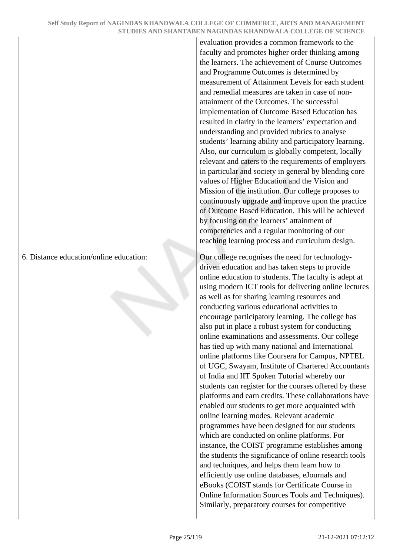evaluation provides a common framework to the faculty and promotes higher order thinking among the learners. The achievement of Course Outcomes and Programme Outcomes is determined by measurement of Attainment Levels for each student and remedial measures are taken in case of nonattainment of the Outcomes. The successful implementation of Outcome Based Education has resulted in clarity in the learners' expectation and understanding and provided rubrics to analyse students' learning ability and participatory learning. Also, our curriculum is globally competent, locally relevant and caters to the requirements of employers in particular and society in general by blending core values of Higher Education and the Vision and Mission of the institution. Our college proposes to continuously upgrade and improve upon the practice of Outcome Based Education. This will be achieved by focusing on the learners' attainment of competencies and a regular monitoring of our teaching learning process and curriculum design.

6. Distance education/online education: Our college recognises the need for technologydriven education and has taken steps to provide online education to students. The faculty is adept at using modern ICT tools for delivering online lectures as well as for sharing learning resources and conducting various educational activities to encourage participatory learning. The college has also put in place a robust system for conducting online examinations and assessments. Our college has tied up with many national and International online platforms like Coursera for Campus, NPTEL of UGC, Swayam, Institute of Chartered Accountants of India and IIT Spoken Tutorial whereby our students can register for the courses offered by these platforms and earn credits. These collaborations have enabled our students to get more acquainted with online learning modes. Relevant academic programmes have been designed for our students which are conducted on online platforms. For instance, the COIST programme establishes among the students the significance of online research tools and techniques, and helps them learn how to efficiently use online databases, eJournals and eBooks (COIST stands for Certificate Course in Online Information Sources Tools and Techniques). Similarly, preparatory courses for competitive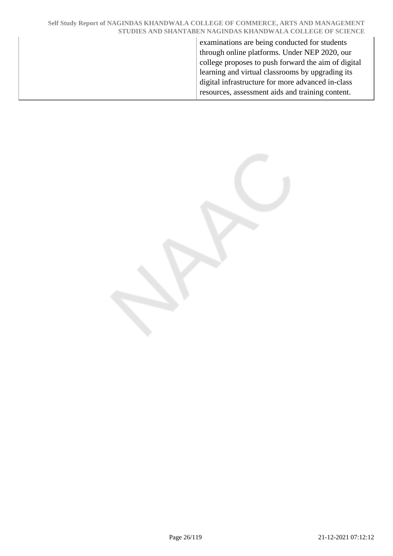examinations are being conducted for students through online platforms. Under NEP 2020, our college proposes to push forward the aim of digital learning and virtual classrooms by upgrading its digital infrastructure for more advanced in-class resources, assessment aids and training content.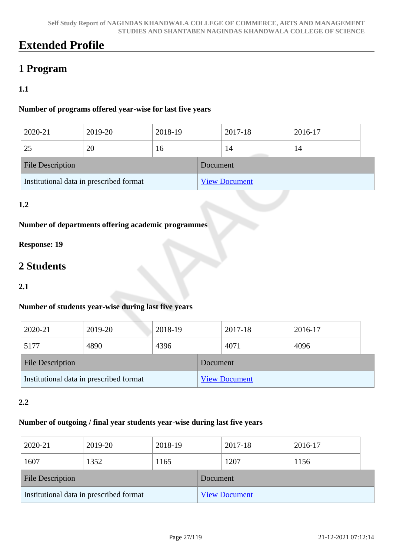## **Extended Profile**

## **1 Program**

### **1.1**

#### **Number of programs offered year-wise for last five years**

| 2020-21                                 | 2019-20 | 2018-19 |                      | 2017-18 | 2016-17 |  |
|-----------------------------------------|---------|---------|----------------------|---------|---------|--|
| 25                                      | 20      | 16      |                      | 14      | 14      |  |
| <b>File Description</b>                 |         |         | Document             |         |         |  |
| Institutional data in prescribed format |         |         | <b>View Document</b> |         |         |  |

### **1.2**

#### **Number of departments offering academic programmes**

### **Response: 19**

## **2 Students**

#### **2.1**

### **Number of students year-wise during last five years**

| 2020-21                                 | 2019-20 | 2018-19 |                      | 2017-18 | 2016-17 |  |
|-----------------------------------------|---------|---------|----------------------|---------|---------|--|
| 5177                                    | 4890    | 4396    |                      | 4071    | 4096    |  |
| <b>File Description</b>                 |         |         | Document             |         |         |  |
| Institutional data in prescribed format |         |         | <b>View Document</b> |         |         |  |

#### **2.2**

#### **Number of outgoing / final year students year-wise during last five years**

| 2020-21                                 | 2019-20 | 2018-19  |                      | 2017-18 | 2016-17 |  |
|-----------------------------------------|---------|----------|----------------------|---------|---------|--|
| 1607                                    | 1352    | 1165     |                      | 1207    | 1156    |  |
| <b>File Description</b>                 |         | Document |                      |         |         |  |
| Institutional data in prescribed format |         |          | <b>View Document</b> |         |         |  |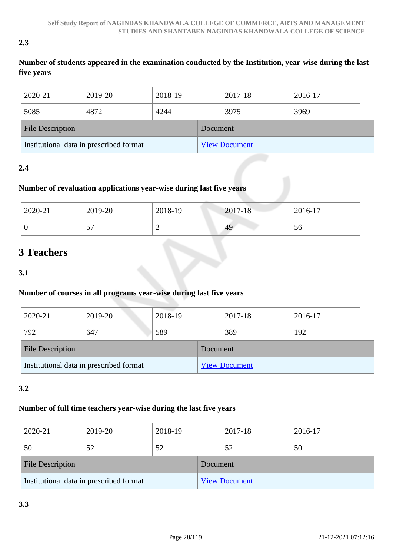#### **2.3**

### **Number of students appeared in the examination conducted by the Institution, year-wise during the last five years**

| 2020-21                                 | 2019-20 | 2018-19  |                      | 2017-18 | 2016-17 |
|-----------------------------------------|---------|----------|----------------------|---------|---------|
| 5085                                    | 4872    | 4244     |                      | 3975    | 3969    |
| <b>File Description</b>                 |         | Document |                      |         |         |
| Institutional data in prescribed format |         |          | <b>View Document</b> |         |         |

### **2.4**

### **Number of revaluation applications year-wise during last five years**

| 2020-21 | 2019-20 | 2018-19 | $2017 - 18$ | 2016-17 |
|---------|---------|---------|-------------|---------|
| U       | --<br>◡ | ∼       | 49          | Эb      |

## **3 Teachers**

**3.1**

### **Number of courses in all programs year-wise during last five years**

| 2020-21                                 | 2019-20 | 2018-19  |                      | 2017-18 | 2016-17 |
|-----------------------------------------|---------|----------|----------------------|---------|---------|
| 792                                     | 647     | 589      |                      | 389     | 192     |
| <b>File Description</b>                 |         | Document |                      |         |         |
| Institutional data in prescribed format |         |          | <b>View Document</b> |         |         |

### **3.2**

### **Number of full time teachers year-wise during the last five years**

| 2020-21                                 | 2019-20 | 2018-19  |                      | 2017-18 | 2016-17 |
|-----------------------------------------|---------|----------|----------------------|---------|---------|
| 50                                      | 52      | 52       |                      | 52      | 50      |
| <b>File Description</b>                 |         | Document |                      |         |         |
| Institutional data in prescribed format |         |          | <b>View Document</b> |         |         |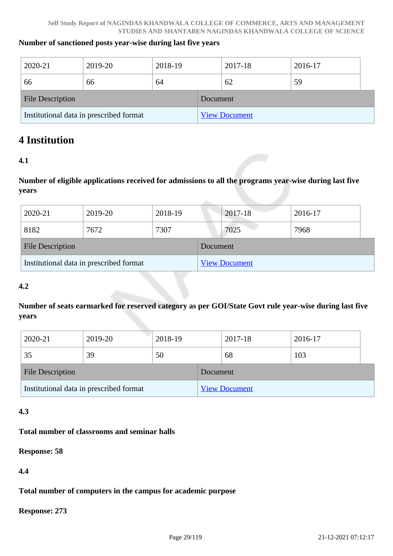#### **Number of sanctioned posts year-wise during last five years**

| 2020-21                                 | 2019-20 | 2018-19  |                      | 2017-18 | 2016-17 |
|-----------------------------------------|---------|----------|----------------------|---------|---------|
| 66                                      | 66      | 64       |                      | 62      | 59      |
| <b>File Description</b>                 |         | Document |                      |         |         |
| Institutional data in prescribed format |         |          | <b>View Document</b> |         |         |

### **4 Institution**

#### **4.1**

**Number of eligible applications received for admissions to all the programs year-wise during last five years**

| 2020-21                                 | 2019-20 | 2018-19  |                      | 2017-18 | 2016-17 |
|-----------------------------------------|---------|----------|----------------------|---------|---------|
| 8182                                    | 7672    | 7307     |                      | 7025    | 7968    |
| <b>File Description</b>                 |         | Document |                      |         |         |
| Institutional data in prescribed format |         |          | <b>View Document</b> |         |         |

#### **4.2**

**Number of seats earmarked for reserved category as per GOI/State Govt rule year-wise during last five years**

| 2020-21                                 | 2019-20 | 2018-19  |                      | 2017-18 | 2016-17 |  |
|-----------------------------------------|---------|----------|----------------------|---------|---------|--|
| 35                                      | 39      | 50       |                      | 68      | 103     |  |
| <b>File Description</b>                 |         | Document |                      |         |         |  |
| Institutional data in prescribed format |         |          | <b>View Document</b> |         |         |  |

#### **4.3**

#### **Total number of classrooms and seminar halls**

**Response: 58**

**4.4**

#### **Total number of computers in the campus for academic purpose**

**Response: 273**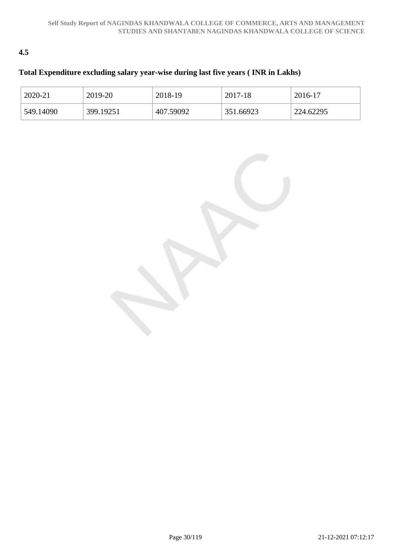### **4.5**

### **Total Expenditure excluding salary year-wise during last five years ( INR in Lakhs)**

| 2020-21   | 2019-20   | 2018-19   | 2017-18   | 2016-17   |
|-----------|-----------|-----------|-----------|-----------|
| 549.14090 | 399.19251 | 407.59092 | 351.66923 | 224.62295 |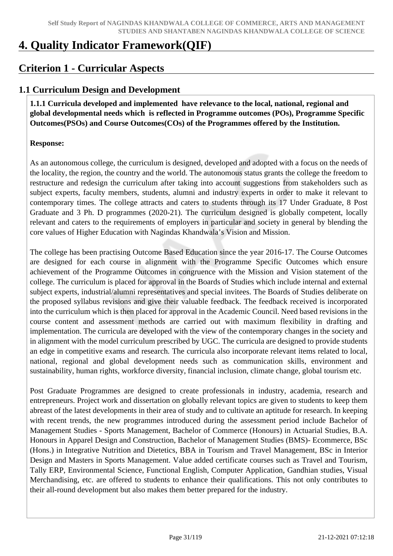## **4. Quality Indicator Framework(QIF)**

## **Criterion 1 - Curricular Aspects**

### **1.1 Curriculum Design and Development**

 **1.1.1 Curricula developed and implemented have relevance to the local, national, regional and global developmental needs which is reflected in Programme outcomes (POs), Programme Specific Outcomes(PSOs) and Course Outcomes(COs) of the Programmes offered by the Institution.**

#### **Response:**

As an autonomous college, the curriculum is designed, developed and adopted with a focus on the needs of the locality, the region, the country and the world. The autonomous status grants the college the freedom to restructure and redesign the curriculum after taking into account suggestions from stakeholders such as subject experts, faculty members, students, alumni and industry experts in order to make it relevant to contemporary times. The college attracts and caters to students through its 17 Under Graduate, 8 Post Graduate and 3 Ph. D programmes (2020-21). The curriculum designed is globally competent, locally relevant and caters to the requirements of employers in particular and society in general by blending the core values of Higher Education with Nagindas Khandwala's Vision and Mission.

The college has been practising Outcome Based Education since the year 2016-17. The Course Outcomes are designed for each course in alignment with the Programme Specific Outcomes which ensure achievement of the Programme Outcomes in congruence with the Mission and Vision statement of the college. The curriculum is placed for approval in the Boards of Studies which include internal and external subject experts, industrial/alumni representatives and special invitees. The Boards of Studies deliberate on the proposed syllabus revisions and give their valuable feedback. The feedback received is incorporated into the curriculum which is then placed for approval in the Academic Council. Need based revisions in the course content and assessment methods are carried out with maximum flexibility in drafting and implementation. The curricula are developed with the view of the contemporary changes in the society and in alignment with the model curriculum prescribed by UGC. The curricula are designed to provide students an edge in competitive exams and research. The curricula also incorporate relevant items related to local, national, regional and global development needs such as communication skills, environment and sustainability, human rights, workforce diversity, financial inclusion, climate change, global tourism etc.

Post Graduate Programmes are designed to create professionals in industry, academia, research and entrepreneurs. Project work and dissertation on globally relevant topics are given to students to keep them abreast of the latest developments in their area of study and to cultivate an aptitude for research. In keeping with recent trends, the new programmes introduced during the assessment period include Bachelor of Management Studies - Sports Management, Bachelor of Commerce (Honours) in Actuarial Studies, B.A. Honours in Apparel Design and Construction, Bachelor of Management Studies (BMS)- Ecommerce, BSc (Hons.) in Integrative Nutrition and Dietetics, BBA in Tourism and Travel Management, BSc in Interior Design and Masters in Sports Management. Value added certificate courses such as Travel and Tourism, Tally ERP, Environmental Science, Functional English, Computer Application, Gandhian studies, Visual Merchandising, etc. are offered to students to enhance their qualifications. This not only contributes to their all-round development but also makes them better prepared for the industry.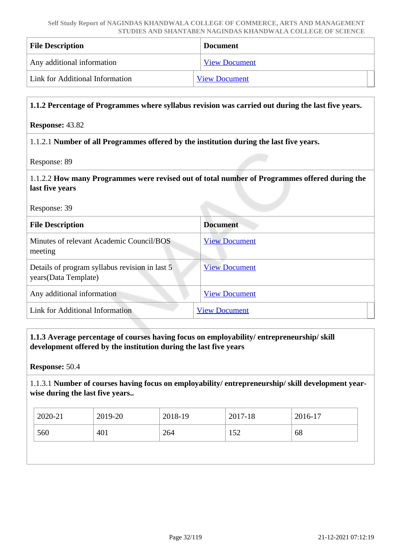| <b>File Description</b>         | <b>Document</b>      |
|---------------------------------|----------------------|
| Any additional information      | <b>View Document</b> |
| Link for Additional Information | <b>View Document</b> |

#### **1.1.2 Percentage of Programmes where syllabus revision was carried out during the last five years.**

#### **Response:** 43.82

#### 1.1.2.1 **Number of all Programmes offered by the institution during the last five years.**

Response: 89

#### 1.1.2.2 **How many Programmes were revised out of total number of Programmes offered during the last five years**

Response: 39

| <b>File Description</b>                                                 | <b>Document</b>      |
|-------------------------------------------------------------------------|----------------------|
| Minutes of relevant Academic Council/BOS<br>meeting                     | <b>View Document</b> |
| Details of program syllabus revision in last 5<br>years (Data Template) | <b>View Document</b> |
| Any additional information                                              | <b>View Document</b> |
| <b>Link for Additional Information</b>                                  | <b>View Document</b> |

#### **1.1.3 Average percentage of courses having focus on employability/ entrepreneurship/ skill development offered by the institution during the last five years**

**Response:** 50.4

1.1.3.1 **Number of courses having focus on employability/ entrepreneurship/ skill development yearwise during the last five years..**

| 2020-21 | 2019-20 | 2018-19 | 2017-18 | 2016-17 |
|---------|---------|---------|---------|---------|
| 560     | 401     | 264     | 152     | 68      |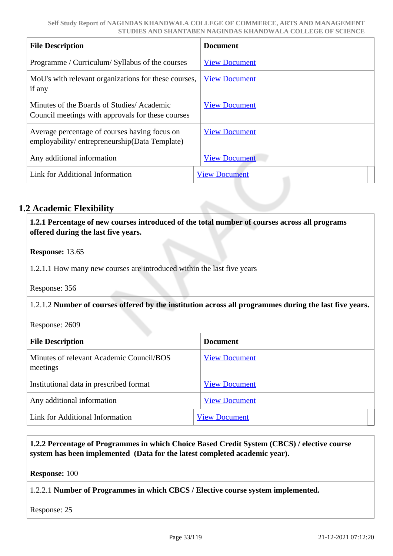| <b>File Description</b>                                                                        | <b>Document</b>      |
|------------------------------------------------------------------------------------------------|----------------------|
| Programme / Curriculum/ Syllabus of the courses                                                | <b>View Document</b> |
| MoU's with relevant organizations for these courses,<br>if any                                 | <b>View Document</b> |
| Minutes of the Boards of Studies/Academic<br>Council meetings with approvals for these courses | <b>View Document</b> |
| Average percentage of courses having focus on<br>employability/entrepreneurship(Data Template) | <b>View Document</b> |
| Any additional information                                                                     | <b>View Document</b> |
| Link for Additional Information                                                                | <b>View Document</b> |

### **1.2 Academic Flexibility**

 **1.2.1 Percentage of new courses introduced of the total number of courses across all programs offered during the last five years.**

**Response:** 13.65

1.2.1.1 How many new courses are introduced within the last five years

Response: 356

#### 1.2.1.2 **Number of courses offered by the institution across all programmes during the last five years.**

Response: 2609

| <b>File Description</b>                              | <b>Document</b>      |
|------------------------------------------------------|----------------------|
| Minutes of relevant Academic Council/BOS<br>meetings | <b>View Document</b> |
| Institutional data in prescribed format              | <b>View Document</b> |
| Any additional information                           | <b>View Document</b> |
| Link for Additional Information                      | <b>View Document</b> |

 **1.2.2 Percentage of Programmes in which Choice Based Credit System (CBCS) / elective course system has been implemented (Data for the latest completed academic year).**

**Response:** 100

1.2.2.1 **Number of Programmes in which CBCS / Elective course system implemented.**

Response: 25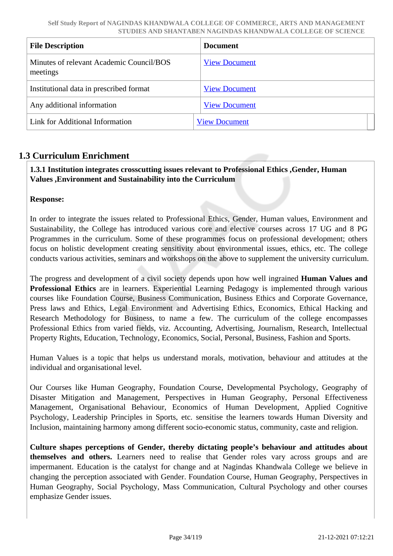| <b>File Description</b>                              | <b>Document</b>      |
|------------------------------------------------------|----------------------|
| Minutes of relevant Academic Council/BOS<br>meetings | <b>View Document</b> |
| Institutional data in prescribed format              | <b>View Document</b> |
| Any additional information                           | <b>View Document</b> |
| Link for Additional Information                      | <b>View Document</b> |

### **1.3 Curriculum Enrichment**

 **1.3.1 Institution integrates crosscutting issues relevant to Professional Ethics ,Gender, Human Values ,Environment and Sustainability into the Curriculum**

#### **Response:**

In order to integrate the issues related to Professional Ethics, Gender, Human values, Environment and Sustainability, the College has introduced various core and elective courses across 17 UG and 8 PG Programmes in the curriculum. Some of these programmes focus on professional development; others focus on holistic development creating sensitivity about environmental issues, ethics, etc. The college conducts various activities, seminars and workshops on the above to supplement the university curriculum.

The progress and development of a civil society depends upon how well ingrained **Human Values and Professional Ethics** are in learners. Experiential Learning Pedagogy is implemented through various courses like Foundation Course, Business Communication, Business Ethics and Corporate Governance, Press laws and Ethics, Legal Environment and Advertising Ethics, Economics, Ethical Hacking and Research Methodology for Business, to name a few. The curriculum of the college encompasses Professional Ethics from varied fields, viz. Accounting, Advertising, Journalism, Research, Intellectual Property Rights, Education, Technology, Economics, Social, Personal, Business, Fashion and Sports.

Human Values is a topic that helps us understand morals, motivation, behaviour and attitudes at the individual and organisational level.

Our Courses like Human Geography, Foundation Course, Developmental Psychology, Geography of Disaster Mitigation and Management, Perspectives in Human Geography, Personal Effectiveness Management, Organisational Behaviour, Economics of Human Development, Applied Cognitive Psychology, Leadership Principles in Sports, etc. sensitise the learners towards Human Diversity and Inclusion, maintaining harmony among different socio-economic status, community, caste and religion.

**Culture shapes perceptions of Gender, thereby dictating people's behaviour and attitudes about themselves and others.** Learners need to realise that Gender roles vary across groups and are impermanent. Education is the catalyst for change and at Nagindas Khandwala College we believe in changing the perception associated with Gender. Foundation Course, Human Geography, Perspectives in Human Geography, Social Psychology, Mass Communication, Cultural Psychology and other courses emphasize Gender issues.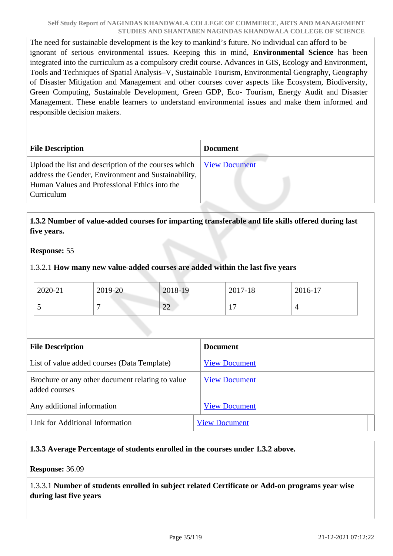The need for sustainable development is the key to mankind's future. No individual can afford to be ignorant of serious environmental issues. Keeping this in mind, **Environmental Science** has been integrated into the curriculum as a compulsory credit course. Advances in GIS, Ecology and Environment, Tools and Techniques of Spatial Analysis–V, Sustainable Tourism, Environmental Geography, Geography of Disaster Mitigation and Management and other courses cover aspects like Ecosystem, Biodiversity, Green Computing, Sustainable Development, Green GDP, Eco- Tourism, Energy Audit and Disaster Management. These enable learners to understand environmental issues and make them informed and responsible decision makers.

| <b>File Description</b>                                                                                                                                                                  | <b>Document</b> |
|------------------------------------------------------------------------------------------------------------------------------------------------------------------------------------------|-----------------|
| Upload the list and description of the courses which View Document<br>address the Gender, Environment and Sustainability,<br>Human Values and Professional Ethics into the<br>Curriculum |                 |

#### **1.3.2 Number of value-added courses for imparting transferable and life skills offered during last five years.**

#### **Response:** 55

#### 1.3.2.1 **How many new value-added courses are added within the last five years**

| 2020-21 | 2019-20 | 2018-19      | 2017-18 | 2016-17 |
|---------|---------|--------------|---------|---------|
| . .     |         | $\cap$<br>44 | -       |         |

| <b>File Description</b>                                           | <b>Document</b>      |
|-------------------------------------------------------------------|----------------------|
| List of value added courses (Data Template)                       | <b>View Document</b> |
| Brochure or any other document relating to value<br>added courses | <b>View Document</b> |
| Any additional information                                        | <b>View Document</b> |
| Link for Additional Information                                   | <b>View Document</b> |

#### **1.3.3 Average Percentage of students enrolled in the courses under 1.3.2 above.**

**Response:** 36.09

1.3.3.1 **Number of students enrolled in subject related Certificate or Add-on programs year wise during last five years**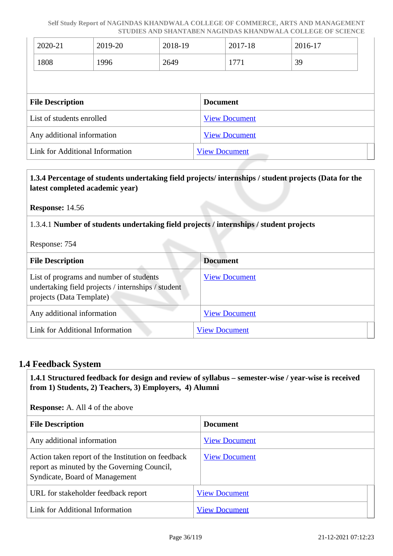|                         | 2020-21                    | 2019-20 | 2018-19 |                 | 2017-18              | 2016-17 |  |
|-------------------------|----------------------------|---------|---------|-----------------|----------------------|---------|--|
|                         | 1808                       | 1996    | 2649    |                 | 1771                 | 39      |  |
|                         |                            |         |         |                 |                      |         |  |
| <b>File Description</b> |                            |         |         | <b>Document</b> |                      |         |  |
|                         |                            |         |         |                 |                      |         |  |
|                         | List of students enrolled  |         |         |                 | <b>View Document</b> |         |  |
|                         | Any additional information |         |         |                 | <b>View Document</b> |         |  |

#### **1.3.4 Percentage of students undertaking field projects/ internships / student projects (Data for the latest completed academic year)**

**Response:** 14.56

1.3.4.1 **Number of students undertaking field projects / internships / student projects**

Response: 754

| <b>File Description</b>                                                                                                   | <b>Document</b>      |
|---------------------------------------------------------------------------------------------------------------------------|----------------------|
| List of programs and number of students<br>undertaking field projects / internships / student<br>projects (Data Template) | <b>View Document</b> |
| Any additional information                                                                                                | <b>View Document</b> |
| Link for Additional Information                                                                                           | <b>View Document</b> |

#### **1.4 Feedback System**

 **1.4.1 Structured feedback for design and review of syllabus – semester-wise / year-wise is received from 1) Students, 2) Teachers, 3) Employers, 4) Alumni**

**Response:** A. All 4 of the above

| <b>File Description</b>                                                                                                             | <b>Document</b>      |
|-------------------------------------------------------------------------------------------------------------------------------------|----------------------|
| Any additional information                                                                                                          | <b>View Document</b> |
| Action taken report of the Institution on feedback<br>report as minuted by the Governing Council,<br>Syndicate, Board of Management | <b>View Document</b> |
| URL for stakeholder feedback report                                                                                                 | <b>View Document</b> |
| Link for Additional Information                                                                                                     | <b>View Document</b> |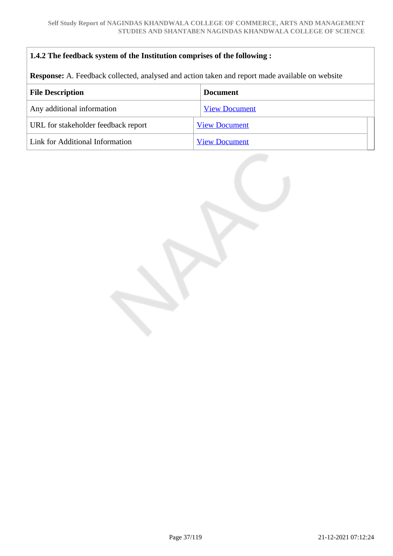## **1.4.2 The feedback system of the Institution comprises of the following :**

**Response:** A. Feedback collected, analysed and action taken and report made available on website

| <b>File Description</b>             | <b>Document</b>      |  |
|-------------------------------------|----------------------|--|
| Any additional information          | <b>View Document</b> |  |
| URL for stakeholder feedback report | <b>View Document</b> |  |
| Link for Additional Information     | <b>View Document</b> |  |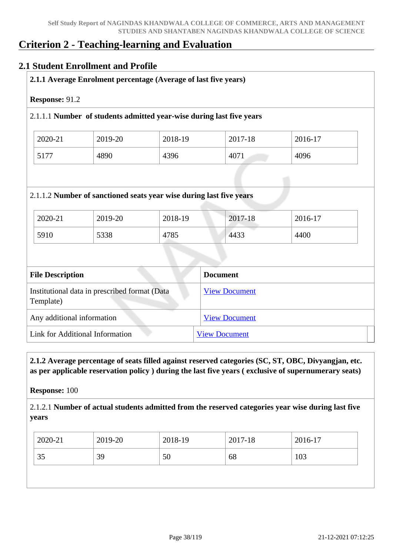# **Criterion 2 - Teaching-learning and Evaluation**

## **2.1 Student Enrollment and Profile**

|                                                                    |                                               |         | 2.1.1.1 Number of students admitted year-wise during last five years |         |
|--------------------------------------------------------------------|-----------------------------------------------|---------|----------------------------------------------------------------------|---------|
| 2020-21                                                            | 2019-20                                       | 2018-19 | 2017-18                                                              | 2016-17 |
| 5177                                                               | 4890                                          | 4396    | 4071                                                                 | 4096    |
| 2020-21                                                            | 2019-20                                       | 2018-19 | 2017-18                                                              | 2016-17 |
| 5910                                                               | 5338                                          | 4785    | 4433                                                                 | 4400    |
|                                                                    |                                               |         |                                                                      |         |
|                                                                    |                                               |         | <b>Document</b>                                                      |         |
|                                                                    | Institutional data in prescribed format (Data |         | <b>View Document</b>                                                 |         |
| <b>File Description</b><br>Template)<br>Any additional information |                                               |         | <b>View Document</b>                                                 |         |

 **2.1.2 Average percentage of seats filled against reserved categories (SC, ST, OBC, Divyangjan, etc. as per applicable reservation policy ) during the last five years ( exclusive of supernumerary seats)**

**Response:** 100

2.1.2.1 **Number of actual students admitted from the reserved categories year wise during last five years**

| 103<br>50<br>35<br>39<br>68 |
|-----------------------------|
|                             |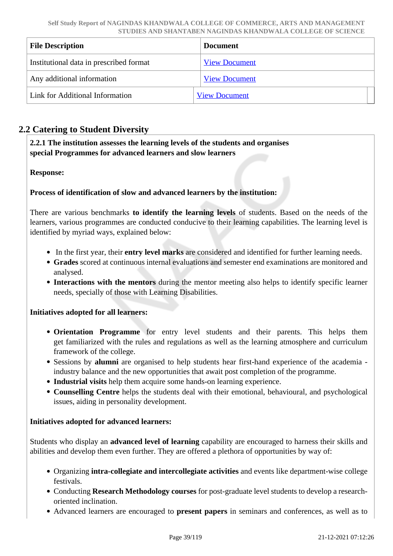| <b>File Description</b>                 | <b>Document</b>      |
|-----------------------------------------|----------------------|
| Institutional data in prescribed format | <b>View Document</b> |
| Any additional information              | <b>View Document</b> |
| Link for Additional Information         | <b>View Document</b> |

## **2.2 Catering to Student Diversity**

 **2.2.1 The institution assesses the learning levels of the students and organises special Programmes for advanced learners and slow learners**

## **Response:**

## **Process of identification of slow and advanced learners by the institution:**

There are various benchmarks **to identify the learning levels** of students. Based on the needs of the learners, various programmes are conducted conducive to their learning capabilities. The learning level is identified by myriad ways, explained below:

- In the first year, their **entry level marks** are considered and identified for further learning needs.
- **Grades** scored at continuous internal evaluations and semester end examinations are monitored and analysed.
- **Interactions with the mentors** during the mentor meeting also helps to identify specific learner needs, specially of those with Learning Disabilities.

#### **Initiatives adopted for all learners:**

- **Orientation Programme** for entry level students and their parents. This helps them get familiarized with the rules and regulations as well as the learning atmosphere and curriculum framework of the college.
- Sessions by **alumni** are organised to help students hear first-hand experience of the academia industry balance and the new opportunities that await post completion of the programme.
- **Industrial visits** help them acquire some hands-on learning experience.
- **Counselling Centre** helps the students deal with their emotional, behavioural, and psychological issues, aiding in personality development.

#### **Initiatives adopted for advanced learners:**

Students who display an **advanced level of learning** capability are encouraged to harness their skills and abilities and develop them even further. They are offered a plethora of opportunities by way of:

- Organizing **intra-collegiate and intercollegiate activities** and events like department-wise college festivals.
- Conducting **Research Methodology courses** for post-graduate level students to develop a researchoriented inclination.
- Advanced learners are encouraged to **present papers** in seminars and conferences, as well as to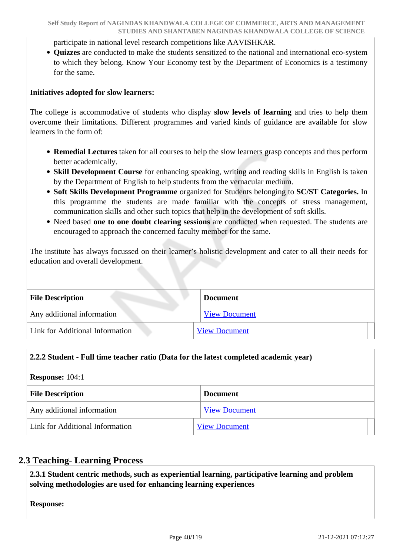participate in national level research competitions like AAVISHKAR.

**Quizzes** are conducted to make the students sensitized to the national and international eco-system to which they belong. Know Your Economy test by the Department of Economics is a testimony for the same.

#### **Initiatives adopted for slow learners:**

The college is accommodative of students who display **slow levels of learning** and tries to help them overcome their limitations. Different programmes and varied kinds of guidance are available for slow learners in the form of:

- **Remedial Lectures** taken for all courses to help the slow learners grasp concepts and thus perform better academically.
- **Skill Development Course** for enhancing speaking, writing and reading skills in English is taken by the Department of English to help students from the vernacular medium.
- **Soft Skills Development Programme** organized for Students belonging to **SC/ST Categories.** In this programme the students are made familiar with the concepts of stress management, communication skills and other such topics that help in the development of soft skills.
- Need based **one to one doubt clearing sessions** are conducted when requested. The students are encouraged to approach the concerned faculty member for the same.

The institute has always focussed on their learner's holistic development and cater to all their needs for education and overall development.

| <b>File Description</b>                | <b>Document</b>      |  |  |
|----------------------------------------|----------------------|--|--|
| Any additional information             | <b>View Document</b> |  |  |
| <b>Link for Additional Information</b> | <b>View Document</b> |  |  |

#### **2.2.2 Student - Full time teacher ratio (Data for the latest completed academic year)**

#### **Response:** 104:1

| <b>File Description</b>         | <b>Document</b>      |  |
|---------------------------------|----------------------|--|
| Any additional information      | <b>View Document</b> |  |
| Link for Additional Information | <b>View Document</b> |  |

## **2.3 Teaching- Learning Process**

 **2.3.1 Student centric methods, such as experiential learning, participative learning and problem solving methodologies are used for enhancing learning experiences**

**Response:**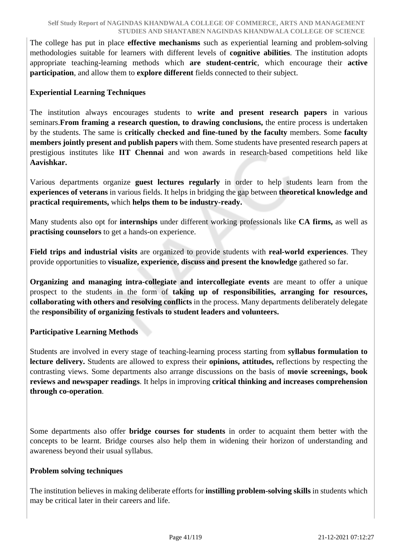The college has put in place **effective mechanisms** such as experiential learning and problem-solving methodologies suitable for learners with different levels of **cognitive abilities**. The institution adopts appropriate teaching-learning methods which **are student-centric**, which encourage their **active participation**, and allow them to **explore different** fields connected to their subject.

## **Experiential Learning Techniques**

The institution always encourages students to **write and present research papers** in various seminars.**From framing a research question, to drawing conclusions,** the entire process is undertaken by the students. The same is **critically checked and fine-tuned by the faculty** members. Some **faculty members jointly present and publish papers** with them. Some students have presented research papers at prestigious institutes like **IIT Chennai** and won awards in research-based competitions held like **Aavishkar.**

Various departments organize **guest lectures regularly** in order to help students learn from the **experiences of veterans** in various fields. It helps in bridging the gap between **theoretical knowledge and practical requirements,** which **helps them to be industry-ready.**

Many students also opt for **internships** under different working professionals like **CA firms,** as well as **practising counselors** to get a hands-on experience.

**Field trips and industrial visits** are organized to provide students with **real-world experiences**. They provide opportunities to **visualize, experience, discuss and present the knowledge** gathered so far.

**Organizing and managing intra-collegiate and intercollegiate events** are meant to offer a unique prospect to the students in the form of **taking up of responsibilities, arranging for resources, collaborating with others and resolving conflicts** in the process. Many departments deliberately delegate the **responsibility of organizing festivals to student leaders and volunteers.**

## **Participative Learning Methods**

Students are involved in every stage of teaching-learning process starting from **syllabus formulation to lecture delivery.** Students are allowed to express their **opinions, attitudes,** reflections by respecting the contrasting views. Some departments also arrange discussions on the basis of **movie screenings, book reviews and newspaper readings**. It helps in improving **critical thinking and increases comprehension through co-operation**.

Some departments also offer **bridge courses for students** in order to acquaint them better with the concepts to be learnt. Bridge courses also help them in widening their horizon of understanding and awareness beyond their usual syllabus.

## **Problem solving techniques**

The institution believes in making deliberate efforts for **instilling problem-solving skills** in students which may be critical later in their careers and life.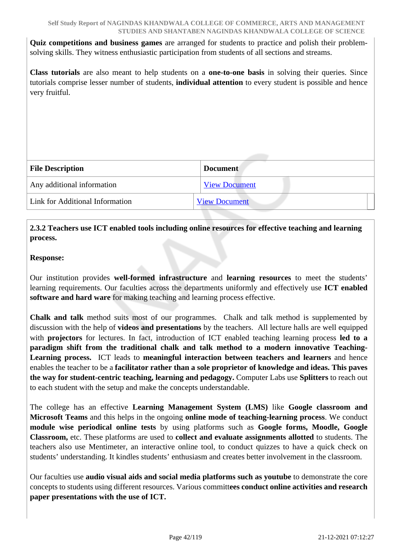**Quiz competitions and business games** are arranged for students to practice and polish their problemsolving skills. They witness enthusiastic participation from students of all sections and streams.

**Class tutorials** are also meant to help students on a **one-to-one basis** in solving their queries. Since tutorials comprise lesser number of students, **individual attention** to every student is possible and hence very fruitful.

| <b>File Description</b>         | <b>Document</b>      |  |
|---------------------------------|----------------------|--|
| Any additional information      | <b>View Document</b> |  |
| Link for Additional Information | <b>View Document</b> |  |

## **2.3.2 Teachers use ICT enabled tools including online resources for effective teaching and learning process.**

## **Response:**

Our institution provides **well-formed infrastructure** and **learning resources** to meet the students' learning requirements. Our faculties across the departments uniformly and effectively use **ICT enabled software and hard ware** for making teaching and learning process effective.

**Chalk and talk** method suits most of our programmes. Chalk and talk method is supplemented by discussion with the help of **videos and presentations** by the teachers. All lecture halls are well equipped with **projectors** for lectures. In fact, introduction of ICT enabled teaching learning process **led to a paradigm shift from the traditional chalk and talk method to a modern innovative Teaching-Learning process.** ICT leads to **meaningful interaction between teachers and learners** and hence enables the teacher to be a **facilitator rather than a sole proprietor of knowledge and ideas. This paves the way for student-centric teaching, learning and pedagogy.** Computer Labs use **Splitters** to reach out to each student with the setup and make the concepts understandable.

The college has an effective **Learning Management System (LMS)** like **Google classroom and Microsoft Teams** and this helps in the ongoing **online mode of teaching-learning process**. We conduct **module wise periodical online tests** by using platforms such as **Google forms, Moodle, Google Classroom,** etc. These platforms are used to **collect and evaluate assignments allotted** to students. The teachers also use Mentimeter, an interactive online tool, to conduct quizzes to have a quick check on students' understanding. It kindles students' enthusiasm and creates better involvement in the classroom.

Our faculties use **audio visual aids and social media platforms such as youtube** to demonstrate the core concepts to students using different resources. Various committ**ees conduct online activities and research paper presentations with the use of ICT.**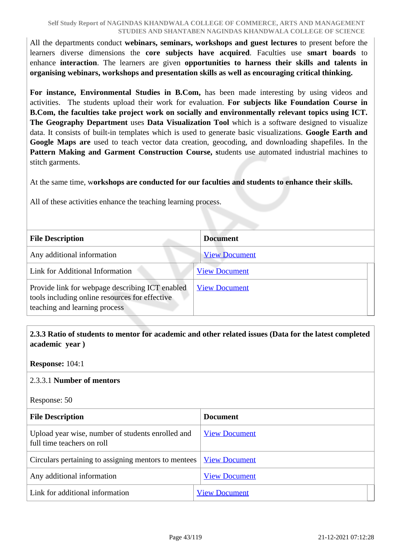All the departments conduct **webinars, seminars, workshops and guest lectures** to present before the learners diverse dimensions the **core subjects have acquired**. Faculties use **smart boards** to enhance **interaction**. The learners are given **opportunities to harness their skills and talents in organising webinars, workshops and presentation skills as well as encouraging critical thinking.**

**For instance, Environmental Studies in B.Com,** has been made interesting by using videos and activities. The students upload their work for evaluation. **For subjects like Foundation Course in B.Com, the faculties take project work on socially and environmentally relevant topics using ICT. The Geography Department** uses **Data Visualization Tool** which is a software designed to visualize data. It consists of built-in templates which is used to generate basic visualizations. **Google Earth and Google Maps are** used to teach vector data creation, geocoding, and downloading shapefiles. In the **Pattern Making and Garment Construction Course, s**tudents use automated industrial machines to stitch garments.

At the same time, w**orkshops are conducted for our faculties and students to enhance their skills.** 

All of these activities enhance the teaching learning process.

| <b>File Description</b>                                                                                                            | <b>Document</b>      |  |
|------------------------------------------------------------------------------------------------------------------------------------|----------------------|--|
| Any additional information                                                                                                         | <b>View Document</b> |  |
| Link for Additional Information                                                                                                    | <b>View Document</b> |  |
| Provide link for webpage describing ICT enabled<br>tools including online resources for effective<br>teaching and learning process | <b>View Document</b> |  |

## **2.3.3 Ratio of students to mentor for academic and other related issues (Data for the latest completed academic year )**

**Response:** 104:1

#### 2.3.3.1 **Number of mentors**

Response: 50

| <b>File Description</b>                                                         | <b>Document</b>      |  |
|---------------------------------------------------------------------------------|----------------------|--|
| Upload year wise, number of students enrolled and<br>full time teachers on roll | <b>View Document</b> |  |
| Circulars pertaining to assigning mentors to mentees                            | <b>View Document</b> |  |
| Any additional information                                                      | <b>View Document</b> |  |
| Link for additional information                                                 | <b>View Document</b> |  |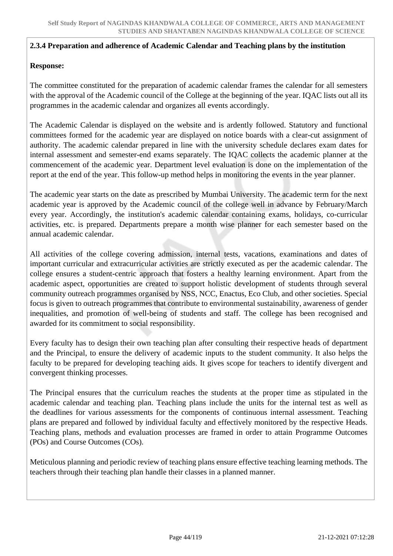#### **2.3.4 Preparation and adherence of Academic Calendar and Teaching plans by the institution**

#### **Response:**

The committee constituted for the preparation of academic calendar frames the calendar for all semesters with the approval of the Academic council of the College at the beginning of the year. IQAC lists out all its programmes in the academic calendar and organizes all events accordingly.

The Academic Calendar is displayed on the website and is ardently followed. Statutory and functional committees formed for the academic year are displayed on notice boards with a clear-cut assignment of authority. The academic calendar prepared in line with the university schedule declares exam dates for internal assessment and semester-end exams separately. The IQAC collects the academic planner at the commencement of the academic year. Department level evaluation is done on the implementation of the report at the end of the year. This follow-up method helps in monitoring the events in the year planner.

The academic year starts on the date as prescribed by Mumbai University. The academic term for the next academic year is approved by the Academic council of the college well in advance by February/March every year. Accordingly, the institution's academic calendar containing exams, holidays, co-curricular activities, etc. is prepared. Departments prepare a month wise planner for each semester based on the annual academic calendar.

All activities of the college covering admission, internal tests, vacations, examinations and dates of important curricular and extracurricular activities are strictly executed as per the academic calendar. The college ensures a student-centric approach that fosters a healthy learning environment. Apart from the academic aspect, opportunities are created to support holistic development of students through several community outreach programmes organised by NSS, NCC, Enactus, Eco Club, and other societies. Special focus is given to outreach programmes that contribute to environmental sustainability, awareness of gender inequalities, and promotion of well-being of students and staff. The college has been recognised and awarded for its commitment to social responsibility.

Every faculty has to design their own teaching plan after consulting their respective heads of department and the Principal, to ensure the delivery of academic inputs to the student community. It also helps the faculty to be prepared for developing teaching aids. It gives scope for teachers to identify divergent and convergent thinking processes.

The Principal ensures that the curriculum reaches the students at the proper time as stipulated in the academic calendar and teaching plan. Teaching plans include the units for the internal test as well as the deadlines for various assessments for the components of continuous internal assessment. Teaching plans are prepared and followed by individual faculty and effectively monitored by the respective Heads. Teaching plans, methods and evaluation processes are framed in order to attain Programme Outcomes (POs) and Course Outcomes (COs).

Meticulous planning and periodic review of teaching plans ensure effective teaching learning methods. The teachers through their teaching plan handle their classes in a planned manner.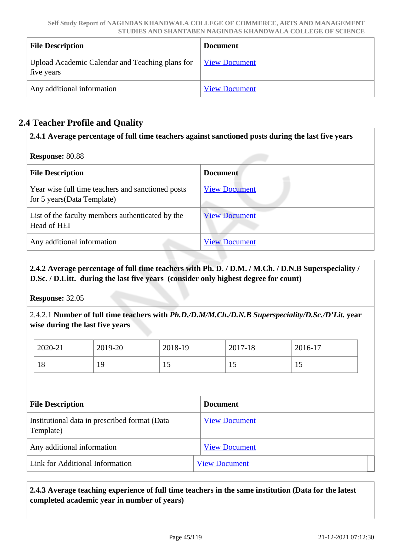| <b>File Description</b>                                       | <b>Document</b>      |
|---------------------------------------------------------------|----------------------|
| Upload Academic Calendar and Teaching plans for<br>five years | <b>View Document</b> |
| Any additional information                                    | <b>View Document</b> |

# **2.4 Teacher Profile and Quality**

## **2.4.1 Average percentage of full time teachers against sanctioned posts during the last five years**

## **Response:** 80.88

| <b>File Description</b>                                                          | <b>Document</b>      |
|----------------------------------------------------------------------------------|----------------------|
| Year wise full time teachers and sanctioned posts<br>for 5 years (Data Template) | <b>View Document</b> |
| List of the faculty members authenticated by the<br>Head of HEI                  | <b>View Document</b> |
| Any additional information                                                       | <b>View Document</b> |

## **2.4.2 Average percentage of full time teachers with Ph. D. / D.M. / M.Ch. / D.N.B Superspeciality / D.Sc. / D.Litt. during the last five years (consider only highest degree for count)**

**Response:** 32.05

2.4.2.1 **Number of full time teachers with** *Ph.D./D.M/M.Ch./D.N.B Superspeciality/D.Sc./D'Lit.* **year wise during the last five years**

| 2020-21 | 2019-20 | 2018-19        | 2017-18        | 2016-17 |
|---------|---------|----------------|----------------|---------|
| 18      | ١O<br>ᅩ | $\overline{1}$ | $\overline{1}$ | . .     |

| <b>File Description</b>                                    | <b>Document</b>      |
|------------------------------------------------------------|----------------------|
| Institutional data in prescribed format (Data<br>Template) | <b>View Document</b> |
| Any additional information                                 | <b>View Document</b> |
| Link for Additional Information                            | <b>View Document</b> |

## **2.4.3 Average teaching experience of full time teachers in the same institution (Data for the latest completed academic year in number of years)**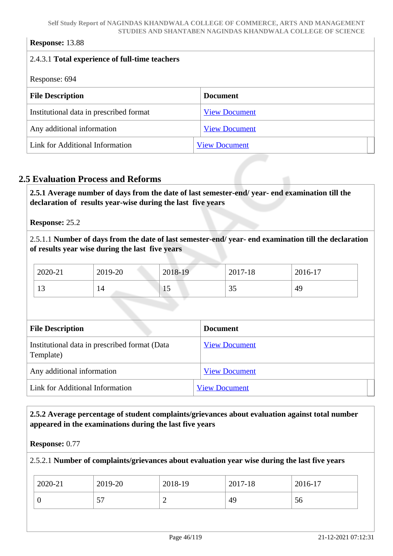## **Response:** 13.88

| 2.4.3.1 Total experience of full-time teachers |                      |  |
|------------------------------------------------|----------------------|--|
|                                                |                      |  |
| Response: 694                                  |                      |  |
| <b>File Description</b>                        | <b>Document</b>      |  |
| Institutional data in prescribed format        | <b>View Document</b> |  |
| Any additional information                     | <b>View Document</b> |  |
| Link for Additional Information                | <b>View Document</b> |  |

## **2.5 Evaluation Process and Reforms**

 **2.5.1 Average number of days from the date of last semester-end/ year- end examination till the declaration of results year-wise during the last five years**

#### **Response:** 25.2

2.5.1.1 **Number of days from the date of last semester-end/ year- end examination till the declaration of results year wise during the last five years** 

| 2020-21              | 2019-20 | 2018-19 | 2017-18  | 2016-17 |
|----------------------|---------|---------|----------|---------|
| 1 <sub>2</sub><br>⊥ၪ | 14      | ⊥ັ      | 25<br>υJ | 49      |

| <b>File Description</b>                                    | <b>Document</b>      |
|------------------------------------------------------------|----------------------|
| Institutional data in prescribed format (Data<br>Template) | <b>View Document</b> |
| Any additional information                                 | <b>View Document</b> |
| Link for Additional Information                            | <b>View Document</b> |

## **2.5.2 Average percentage of student complaints/grievances about evaluation against total number appeared in the examinations during the last five years**

#### **Response:** 0.77

#### 2.5.2.1 **Number of complaints/grievances about evaluation year wise during the last five years**

| 2020-21 | 2019-20                       | 2018-19 | 2017-18 | 2016-17 |
|---------|-------------------------------|---------|---------|---------|
|         | $\overline{\phantom{a}}$<br>◡ | ∼       | 49      | 56      |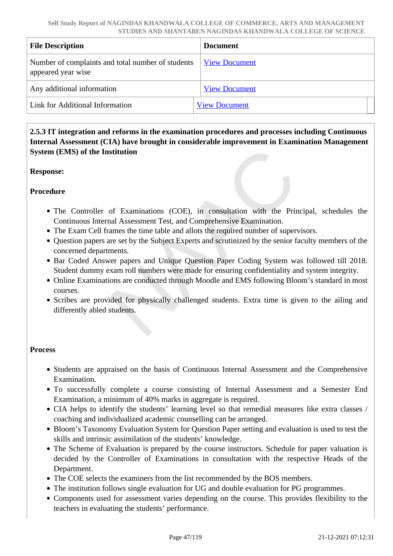| <b>File Description</b>                                                 | <b>Document</b>      |
|-------------------------------------------------------------------------|----------------------|
| Number of complaints and total number of students<br>appeared year wise | <b>View Document</b> |
| Any additional information                                              | <b>View Document</b> |
| Link for Additional Information                                         | <b>View Document</b> |

 **2.5.3 IT integration and reforms in the examination procedures and processes including Continuous Internal Assessment (CIA) have brought in considerable improvement in Examination Management System (EMS) of the Institution**

**Response:** 

**Procedure**

- The Controller of Examinations (COE), in consultation with the Principal, schedules the Continuous Internal Assessment Test, and Comprehensive Examination.
- The Exam Cell frames the time table and allots the required number of supervisors.
- Question papers are set by the Subject Experts and scrutinized by the senior faculty members of the concerned departments.
- Bar Coded Answer papers and Unique Question Paper Coding System was followed till 2018. Student dummy exam roll numbers were made for ensuring confidentiality and system integrity.
- Online Examinations are conducted through Moodle and EMS following Bloom's standard in most courses.
- Scribes are provided for physically challenged students. Extra time is given to the ailing and differently abled students.

#### **Process**

- Students are appraised on the basis of Continuous Internal Assessment and the Comprehensive Examination.
- To successfully complete a course consisting of Internal Assessment and a Semester End Examination, a minimum of 40% marks in aggregate is required.
- CIA helps to identify the students' learning level so that remedial measures like extra classes / coaching and individualized academic counselling can be arranged.
- Bloom's Taxonomy Evaluation System for Question Paper setting and evaluation is used to test the skills and intrinsic assimilation of the students' knowledge.
- The Scheme of Evaluation is prepared by the course instructors. Schedule for paper valuation is decided by the Controller of Examinations in consultation with the respective Heads of the Department.
- The COE selects the examiners from the list recommended by the BOS members.
- The institution follows single evaluation for UG and double evaluation for PG programmes.
- Components used for assessment varies depending on the course. This provides flexibility to the teachers in evaluating the students' performance.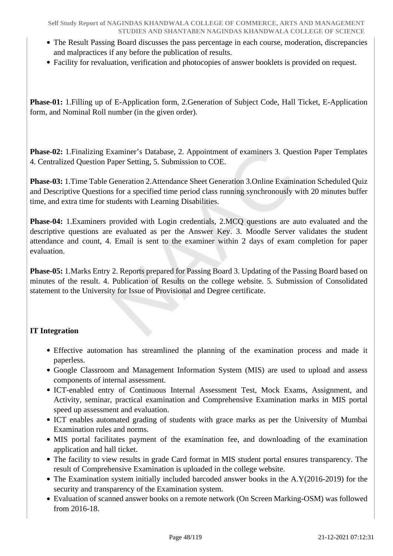- The Result Passing Board discusses the pass percentage in each course, moderation, discrepancies and malpractices if any before the publication of results.
- Facility for revaluation, verification and photocopies of answer booklets is provided on request.

**Phase-01:** 1.Filling up of E-Application form, 2.Generation of Subject Code, Hall Ticket, E-Application form, and Nominal Roll number (in the given order).

**Phase-02:** 1.Finalizing Examiner's Database, 2. Appointment of examiners 3. Question Paper Templates 4. Centralized Question Paper Setting, 5. Submission to COE.

**Phase-03:** 1.Time Table Generation 2.Attendance Sheet Generation 3.Online Examination Scheduled Quiz and Descriptive Questions for a specified time period class running synchronously with 20 minutes buffer time, and extra time for students with Learning Disabilities.

**Phase-04:** 1.Examiners provided with Login credentials, 2.MCQ questions are auto evaluated and the descriptive questions are evaluated as per the Answer Key. 3. Moodle Server validates the student attendance and count, 4. Email is sent to the examiner within 2 days of exam completion for paper evaluation.

**Phase-05:** 1.Marks Entry 2. Reports prepared for Passing Board 3. Updating of the Passing Board based on minutes of the result. 4. Publication of Results on the college website. 5. Submission of Consolidated statement to the University for Issue of Provisional and Degree certificate.

## **IT Integration**

- Effective automation has streamlined the planning of the examination process and made it paperless.
- Google Classroom and Management Information System (MIS) are used to upload and assess components of internal assessment.
- ICT-enabled entry of Continuous Internal Assessment Test, Mock Exams, Assignment, and Activity, seminar, practical examination and Comprehensive Examination marks in MIS portal speed up assessment and evaluation.
- ICT enables automated grading of students with grace marks as per the University of Mumbai Examination rules and norms.
- MIS portal facilitates payment of the examination fee, and downloading of the examination application and hall ticket.
- The facility to view results in grade Card format in MIS student portal ensures transparency. The result of Comprehensive Examination is uploaded in the college website.
- The Examination system initially included barcoded answer books in the A.Y(2016-2019) for the security and transparency of the Examination system.
- Evaluation of scanned answer books on a remote network (On Screen Marking-OSM) was followed from 2016-18.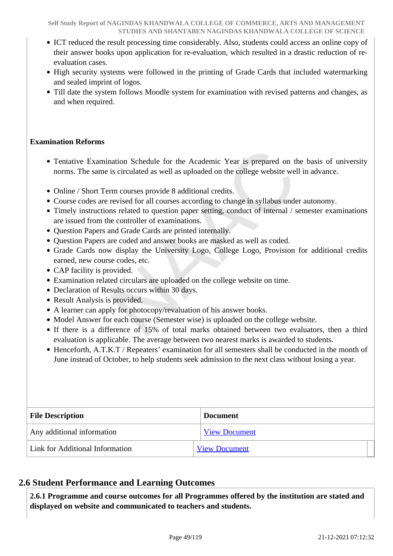- ICT reduced the result processing time considerably. Also, students could access an online copy of their answer books upon application for re-evaluation, which resulted in a drastic reduction of reevaluation cases.
- High security systems were followed in the printing of Grade Cards that included watermarking and sealed imprint of logos.
- Till date the system follows Moodle system for examination with revised patterns and changes, as and when required.

## **Examination Reforms**

- Tentative Examination Schedule for the Academic Year is prepared on the basis of university norms. The same is circulated as well as uploaded on the college website well in advance.
- Online / Short Term courses provide 8 additional credits.
- Course codes are revised for all courses according to change in syllabus under autonomy.
- Timely instructions related to question paper setting, conduct of internal / semester examinations are issued from the controller of examinations.
- Ouestion Papers and Grade Cards are printed internally.
- Question Papers are coded and answer books are masked as well as coded.
- Grade Cards now display the University Logo, College Logo, Provision for additional credits earned, new course codes, etc.
- CAP facility is provided.
- Examination related circulars are uploaded on the college website on time.
- Declaration of Results occurs within 30 days.
- Result Analysis is provided.
- A learner can apply for photocopy/revaluation of his answer books.
- Model Answer for each course (Semester wise) is uploaded on the college website.
- If there is a difference of 15% of total marks obtained between two evaluators, then a third evaluation is applicable. The average between two nearest marks is awarded to students.
- Henceforth, A.T.K.T / Repeaters' examination for all semesters shall be conducted in the month of June instead of October, to help students seek admission to the next class without losing a year.

| <b>File Description</b>         | <b>Document</b>      |
|---------------------------------|----------------------|
| Any additional information      | <b>View Document</b> |
| Link for Additional Information | <b>View Document</b> |

## **2.6 Student Performance and Learning Outcomes**

 **2.6.1 Programme and course outcomes for all Programmes offered by the institution are stated and displayed on website and communicated to teachers and students.**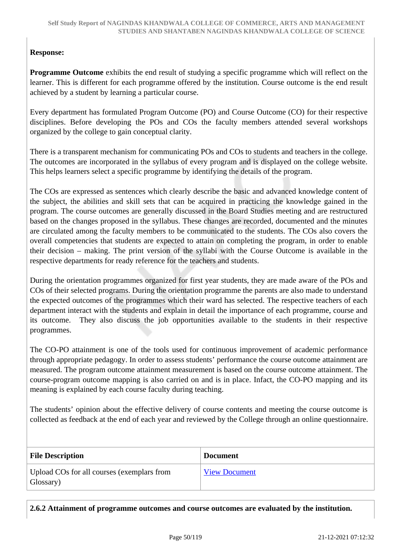## **Response:**

**Programme Outcome** exhibits the end result of studying a specific programme which will reflect on the learner. This is different for each programme offered by the institution. Course outcome is the end result achieved by a student by learning a particular course.

Every department has formulated Program Outcome (PO) and Course Outcome (CO) for their respective disciplines. Before developing the POs and COs the faculty members attended several workshops organized by the college to gain conceptual clarity.

There is a transparent mechanism for communicating POs and COs to students and teachers in the college. The outcomes are incorporated in the syllabus of every program and is displayed on the college website. This helps learners select a specific programme by identifying the details of the program.

The COs are expressed as sentences which clearly describe the basic and advanced knowledge content of the subject, the abilities and skill sets that can be acquired in practicing the knowledge gained in the program. The course outcomes are generally discussed in the Board Studies meeting and are restructured based on the changes proposed in the syllabus. These changes are recorded, documented and the minutes are circulated among the faculty members to be communicated to the students. The COs also covers the overall competencies that students are expected to attain on completing the program, in order to enable their decision – making. The print version of the syllabi with the Course Outcome is available in the respective departments for ready reference for the teachers and students.

During the orientation programmes organized for first year students, they are made aware of the POs and COs of their selected programs. During the orientation programme the parents are also made to understand the expected outcomes of the programmes which their ward has selected. The respective teachers of each department interact with the students and explain in detail the importance of each programme, course and its outcome. They also discuss the job opportunities available to the students in their respective programmes.

The CO-PO attainment is one of the tools used for continuous improvement of academic performance through appropriate pedagogy. In order to assess students' performance the course outcome attainment are measured. The program outcome attainment measurement is based on the course outcome attainment. The course-program outcome mapping is also carried on and is in place. Infact, the CO-PO mapping and its meaning is explained by each course faculty during teaching.

The students' opinion about the effective delivery of course contents and meeting the course outcome is collected as feedback at the end of each year and reviewed by the College through an online questionnaire.

| <b>File Description</b>                                 | <b>Document</b>      |
|---------------------------------------------------------|----------------------|
| Upload COs for all courses (exemplars from<br>Glossary) | <b>View Document</b> |

**2.6.2 Attainment of programme outcomes and course outcomes are evaluated by the institution.**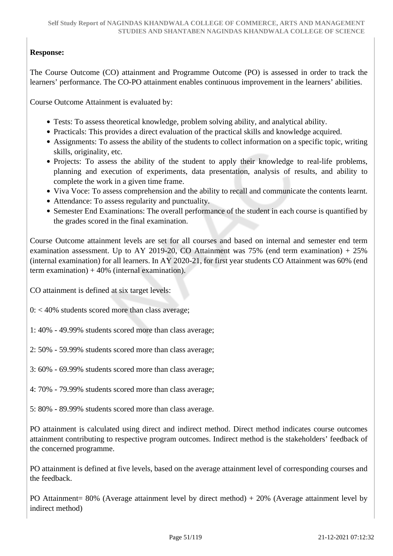## **Response:**

The Course Outcome (CO) attainment and Programme Outcome (PO) is assessed in order to track the learners' performance. The CO-PO attainment enables continuous improvement in the learners' abilities.

Course Outcome Attainment is evaluated by:

- Tests: To assess theoretical knowledge, problem solving ability, and analytical ability.
- Practicals: This provides a direct evaluation of the practical skills and knowledge acquired.
- Assignments: To assess the ability of the students to collect information on a specific topic, writing skills, originality, etc.
- Projects: To assess the ability of the student to apply their knowledge to real-life problems, planning and execution of experiments, data presentation, analysis of results, and ability to complete the work in a given time frame.
- Viva Voce: To assess comprehension and the ability to recall and communicate the contents learnt.
- Attendance: To assess regularity and punctuality.
- Semester End Examinations: The overall performance of the student in each course is quantified by the grades scored in the final examination.

Course Outcome attainment levels are set for all courses and based on internal and semester end term examination assessment. Up to AY 2019-20, CO Attainment was  $75%$  (end term examination) + 25% (internal examination) for all learners. In AY 2020-21, for first year students CO Attainment was 60% (end term examination)  $+40%$  (internal examination).

CO attainment is defined at six target levels:

 $0: < 40\%$  students scored more than class average;

1: 40% - 49.99% students scored more than class average;

- 2: 50% 59.99% students scored more than class average;
- 3: 60% 69.99% students scored more than class average;
- 4: 70% 79.99% students scored more than class average;
- 5: 80% 89.99% students scored more than class average.

PO attainment is calculated using direct and indirect method. Direct method indicates course outcomes attainment contributing to respective program outcomes. Indirect method is the stakeholders' feedback of the concerned programme.

PO attainment is defined at five levels, based on the average attainment level of corresponding courses and the feedback.

PO Attainment= 80% (Average attainment level by direct method) + 20% (Average attainment level by indirect method)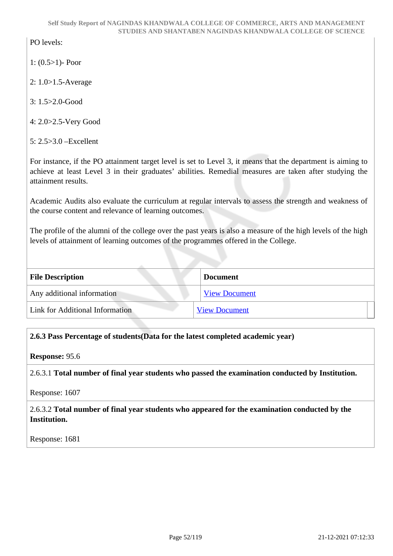PO levels:

- 1: (0.5>1)- Poor
- 2: 1.0>1.5-Average
- 3: 1.5>2.0-Good
- 4: 2.0>2.5-Very Good
- 5: 2.5>3.0 –Excellent

For instance, if the PO attainment target level is set to Level 3, it means that the department is aiming to achieve at least Level 3 in their graduates' abilities. Remedial measures are taken after studying the attainment results.

Academic Audits also evaluate the curriculum at regular intervals to assess the strength and weakness of the course content and relevance of learning outcomes.

The profile of the alumni of the college over the past years is also a measure of the high levels of the high levels of attainment of learning outcomes of the programmes offered in the College.

| <b>File Description</b>         | <b>Document</b>      |
|---------------------------------|----------------------|
| Any additional information      | <b>View Document</b> |
| Link for Additional Information | <b>View Document</b> |

## **2.6.3 Pass Percentage of students(Data for the latest completed academic year)**

**Response:** 95.6

2.6.3.1 **Total number of final year students who passed the examination conducted by Institution.**

Response: 1607

2.6.3.2 **Total number of final year students who appeared for the examination conducted by the Institution.**

Response: 1681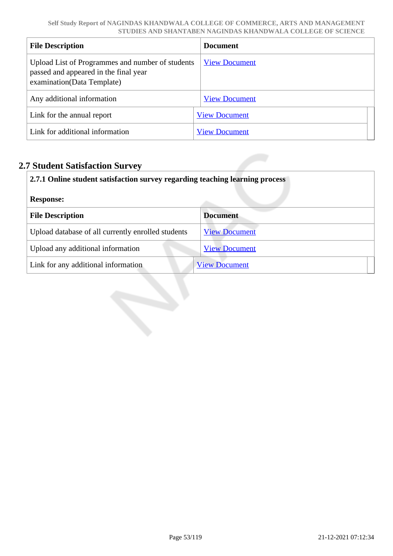| <b>File Description</b>                                                                                                 | <b>Document</b>      |
|-------------------------------------------------------------------------------------------------------------------------|----------------------|
| Upload List of Programmes and number of students<br>passed and appeared in the final year<br>examination(Data Template) | <b>View Document</b> |
| Any additional information                                                                                              | <b>View Document</b> |
| Link for the annual report                                                                                              | <b>View Document</b> |
| Link for additional information                                                                                         | <b>View Document</b> |

# **2.7 Student Satisfaction Survey**

| 2.7.1 Online student satisfaction survey regarding teaching learning process |                      |  |
|------------------------------------------------------------------------------|----------------------|--|
| <b>Response:</b>                                                             |                      |  |
| <b>File Description</b>                                                      | <b>Document</b>      |  |
| Upload database of all currently enrolled students                           | <b>View Document</b> |  |
| Upload any additional information                                            | <b>View Document</b> |  |
| Link for any additional information                                          | <b>View Document</b> |  |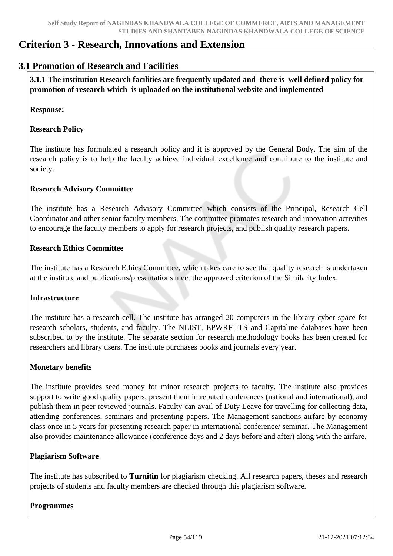# **Criterion 3 - Research, Innovations and Extension**

## **3.1 Promotion of Research and Facilities**

 **3.1.1 The institution Research facilities are frequently updated and there is well defined policy for promotion of research which is uploaded on the institutional website and implemented**

**Response:** 

## **Research Policy**

The institute has formulated a research policy and it is approved by the General Body. The aim of the research policy is to help the faculty achieve individual excellence and contribute to the institute and society.

## **Research Advisory Committee**

The institute has a Research Advisory Committee which consists of the Principal, Research Cell Coordinator and other senior faculty members. The committee promotes research and innovation activities to encourage the faculty members to apply for research projects, and publish quality research papers.

#### **Research Ethics Committee**

The institute has a Research Ethics Committee, which takes care to see that quality research is undertaken at the institute and publications/presentations meet the approved criterion of the Similarity Index.

#### **Infrastructure**

The institute has a research cell. The institute has arranged 20 computers in the library cyber space for research scholars, students, and faculty. The NLIST, EPWRF ITS and Capitaline databases have been subscribed to by the institute. The separate section for research methodology books has been created for researchers and library users. The institute purchases books and journals every year.

## **Monetary benefits**

The institute provides seed money for minor research projects to faculty. The institute also provides support to write good quality papers, present them in reputed conferences (national and international), and publish them in peer reviewed journals. Faculty can avail of Duty Leave for travelling for collecting data, attending conferences, seminars and presenting papers. The Management sanctions airfare by economy class once in 5 years for presenting research paper in international conference/ seminar. The Management also provides maintenance allowance (conference days and 2 days before and after) along with the airfare.

#### **Plagiarism Software**

The institute has subscribed to **Turnitin** for plagiarism checking. All research papers, theses and research projects of students and faculty members are checked through this plagiarism software.

#### **Programmes**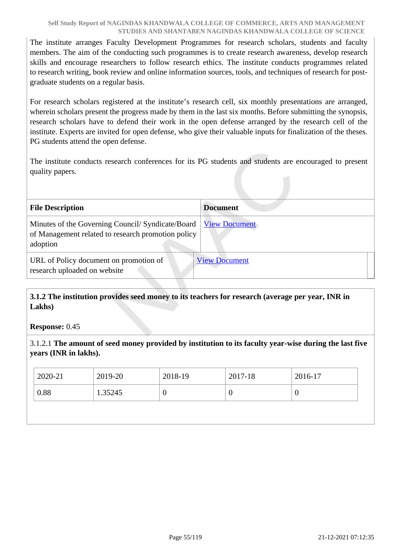The institute arranges Faculty Development Programmes for research scholars, students and faculty members. The aim of the conducting such programmes is to create research awareness, develop research skills and encourage researchers to follow research ethics. The institute conducts programmes related to research writing, book review and online information sources, tools, and techniques of research for postgraduate students on a regular basis.

For research scholars registered at the institute's research cell, six monthly presentations are arranged, wherein scholars present the progress made by them in the last six months. Before submitting the synopsis, research scholars have to defend their work in the open defense arranged by the research cell of the institute. Experts are invited for open defense, who give their valuable inputs for finalization of the theses. PG students attend the open defense.

The institute conducts research conferences for its PG students and students are encouraged to present quality papers.

| <b>File Description</b>                                                                                            | <b>Document</b>      |
|--------------------------------------------------------------------------------------------------------------------|----------------------|
| Minutes of the Governing Council/Syndicate/Board<br>of Management related to research promotion policy<br>adoption | <b>View Document</b> |
| URL of Policy document on promotion of<br>research uploaded on website                                             | <b>View Document</b> |

 **3.1.2 The institution provides seed money to its teachers for research (average per year, INR in Lakhs)**

#### **Response:** 0.45

3.1.2.1 **The amount of seed money provided by institution to its faculty year-wise during the last five years (INR in lakhs).**

| 2020-21 | 2019-20 | 2018-19 | 2017-18  | 2016-17 |
|---------|---------|---------|----------|---------|
| 0.88    | 1.35245 | ν       | $\theta$ | ◡       |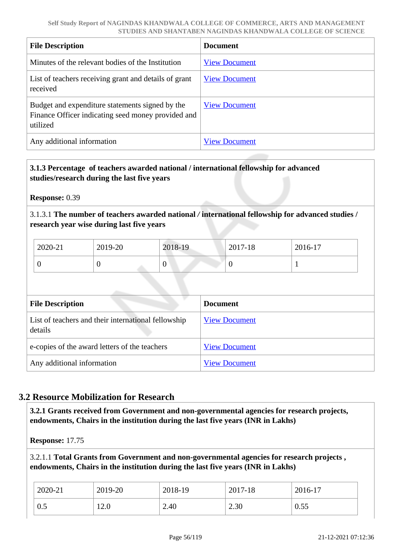| <b>File Description</b>                                                                                           | <b>Document</b>      |
|-------------------------------------------------------------------------------------------------------------------|----------------------|
| Minutes of the relevant bodies of the Institution                                                                 | <b>View Document</b> |
| List of teachers receiving grant and details of grant<br>received                                                 | <b>View Document</b> |
| Budget and expenditure statements signed by the<br>Finance Officer indicating seed money provided and<br>utilized | <b>View Document</b> |
| Any additional information                                                                                        | <b>View Document</b> |

## **3.1.3 Percentage of teachers awarded national / international fellowship for advanced studies/research during the last five years**

**Response:** 0.39

3.1.3.1 **The number of teachers awarded national** */* **international fellowship for advanced studies / research year wise during last five years**

| 2020-21 | 2019-20 | 2018-19 | 2017-18 | 2016-17 |
|---------|---------|---------|---------|---------|
|         |         | v       | v       |         |

| <b>File Description</b>                                        | <b>Document</b>      |
|----------------------------------------------------------------|----------------------|
| List of teachers and their international fellowship<br>details | <b>View Document</b> |
| e-copies of the award letters of the teachers                  | <b>View Document</b> |
| Any additional information                                     | <b>View Document</b> |

## **3.2 Resource Mobilization for Research**

 **3.2.1 Grants received from Government and non-governmental agencies for research projects, endowments, Chairs in the institution during the last five years (INR in Lakhs)** 

**Response:** 17.75

3.2.1.1 **Total Grants from Government and non-governmental agencies for research projects , endowments, Chairs in the institution during the last five years (INR in Lakhs)**

| 2020-21        | 2019-20 | 2018-19 | 2017-18 | 2016-17 |
|----------------|---------|---------|---------|---------|
| $\mathsf{U}$ . | 12.0    | 2.40    | 2.30    | 0.55    |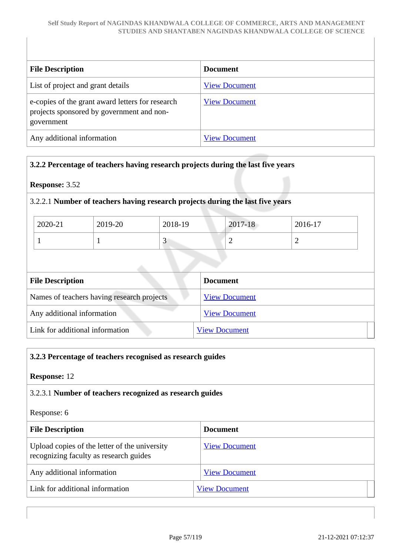| <b>File Description</b>                                                                                     | <b>Document</b>      |
|-------------------------------------------------------------------------------------------------------------|----------------------|
| List of project and grant details                                                                           | <b>View Document</b> |
| e-copies of the grant award letters for research<br>projects sponsored by government and non-<br>government | <b>View Document</b> |
| Any additional information                                                                                  | <b>View Document</b> |

## **3.2.2 Percentage of teachers having research projects during the last five years**

## **Response:** 3.52

## 3.2.2.1 **Number of teachers having research projects during the last five years**

| 2020-21 | 2019-20 | 2018-19 | 2017-18 | 2016-17  |
|---------|---------|---------|---------|----------|
|         |         | ັ       | ∼       | <b>_</b> |

| <b>File Description</b>                    | <b>Document</b>      |
|--------------------------------------------|----------------------|
| Names of teachers having research projects | <b>View Document</b> |
| Any additional information                 | <b>View Document</b> |
| Link for additional information            | <b>View Document</b> |

# **3.2.3 Percentage of teachers recognised as research guides**

## **Response:** 12

## 3.2.3.1 **Number of teachers recognized as research guides**

## Response: 6

| <b>File Description</b>                                                                 | <b>Document</b>      |
|-----------------------------------------------------------------------------------------|----------------------|
| Upload copies of the letter of the university<br>recognizing faculty as research guides | <b>View Document</b> |
| Any additional information                                                              | <b>View Document</b> |
| Link for additional information                                                         | <b>View Document</b> |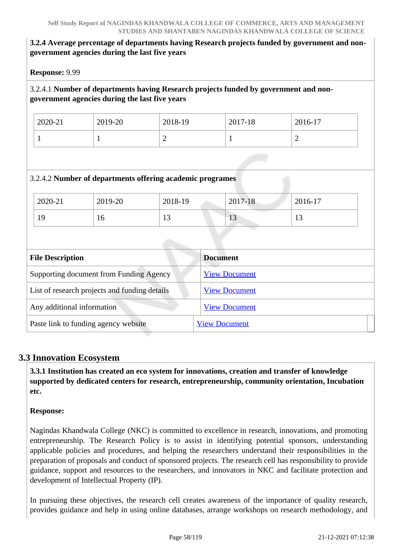## **3.2.4 Average percentage of departments having Research projects funded by government and nongovernment agencies during the last five years**

**Response:** 9.99

## 3.2.4.1 **Number of departments having Research projects funded by government and nongovernment agencies during the last five years**

| 2020-21 | 2019-20 | 2018-19 | 2017-18 | 2016-17 |
|---------|---------|---------|---------|---------|
|         |         | ∼       |         | ∽       |

## 3.2.4.2 **Number of departments offering academic programes**

| 2020-21 | 2019-20 | 2018-19                  | 2017-18 | 2016-17                  |
|---------|---------|--------------------------|---------|--------------------------|
| 19      | 1 V     | $\sim$<br>$\overline{1}$ | $\sim$  | $\sim$<br>$\overline{1}$ |

| <b>File Description</b>                       | <b>Document</b>      |
|-----------------------------------------------|----------------------|
| Supporting document from Funding Agency       | <b>View Document</b> |
| List of research projects and funding details | <b>View Document</b> |
| Any additional information                    | <b>View Document</b> |
| Paste link to funding agency website          | <b>View Document</b> |

## **3.3 Innovation Ecosystem**

 **3.3.1 Institution has created an eco system for innovations, creation and transfer of knowledge supported by dedicated centers for research, entrepreneurship, community orientation, Incubation etc.**

## **Response:**

Nagindas Khandwala College (NKC) is committed to excellence in research, innovations, and promoting entrepreneurship. The Research Policy is to assist in identifying potential sponsors, understanding applicable policies and procedures, and helping the researchers understand their responsibilities in the preparation of proposals and conduct of sponsored projects. The research cell has responsibility to provide guidance, support and resources to the researchers, and innovators in NKC and facilitate protection and development of Intellectual Property (IP).

In pursuing these objectives, the research cell creates awareness of the importance of quality research, provides guidance and help in using online databases, arrange workshops on research methodology, and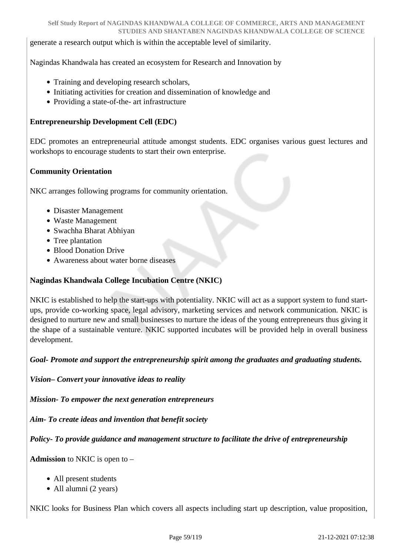generate a research output which is within the acceptable level of similarity.

Nagindas Khandwala has created an ecosystem for Research and Innovation by

- Training and developing research scholars,
- Initiating activities for creation and dissemination of knowledge and
- Providing a state-of-the- art infrastructure

## **Entrepreneurship Development Cell (EDC)**

EDC promotes an entrepreneurial attitude amongst students. EDC organises various guest lectures and workshops to encourage students to start their own enterprise.

#### **Community Orientation**

NKC arranges following programs for community orientation.

- Disaster Management
- Waste Management
- Swachha Bharat Abhiyan
- Tree plantation
- Blood Donation Drive
- Awareness about water borne diseases

#### **Nagindas Khandwala College Incubation Centre (NKIC)**

NKIC is established to help the start-ups with potentiality. NKIC will act as a support system to fund startups, provide co-working space, legal advisory, marketing services and network communication. NKIC is designed to nurture new and small businesses to nurture the ideas of the young entrepreneurs thus giving it the shape of a sustainable venture. NKIC supported incubates will be provided help in overall business development.

*Goal- Promote and support the entrepreneurship spirit among the graduates and graduating students.*

*Vision– Convert your innovative ideas to reality*

*Mission- To empower the next generation entrepreneurs*

*Aim- To create ideas and invention that benefit society*

*Policy- To provide guidance and management structure to facilitate the drive of entrepreneurship*

**Admission** to NKIC is open to –

- All present students
- All alumni (2 years)

NKIC looks for Business Plan which covers all aspects including start up description, value proposition,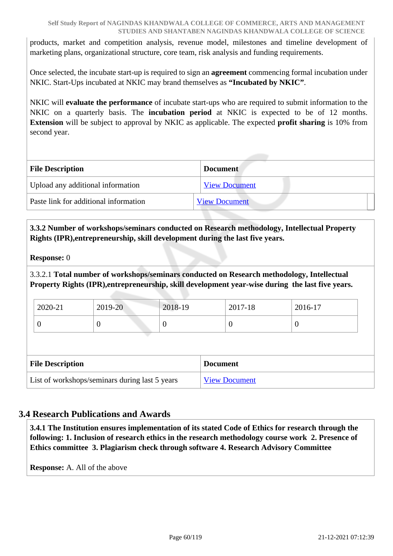products, market and competition analysis, revenue model, milestones and timeline development of marketing plans, organizational structure, core team, risk analysis and funding requirements.

Once selected, the incubate start-up is required to sign an **agreement** commencing formal incubation under NKIC. Start-Ups incubated at NKIC may brand themselves as **"Incubated by NKIC"**.

NKIC will **evaluate the performance** of incubate start-ups who are required to submit information to the NKIC on a quarterly basis. The **incubation period** at NKIC is expected to be of 12 months. **Extension** will be subject to approval by NKIC as applicable. The expected **profit sharing** is 10% from second year.

| <b>File Description</b><br><b>Document</b> |                      |
|--------------------------------------------|----------------------|
| Upload any additional information          | <b>View Document</b> |
| Paste link for additional information      | <b>View Document</b> |

 **3.3.2 Number of workshops/seminars conducted on Research methodology, Intellectual Property Rights (IPR),entrepreneurship, skill development during the last five years.**

#### **Response:** 0

3.3.2.1 **Total number of workshops/seminars conducted on Research methodology, Intellectual Property Rights (IPR),entrepreneurship, skill development year-wise during the last five years.**

| $2019 - 20$<br>2020-21<br>2018-19 | 2016-17<br>2017-18 |  |
|-----------------------------------|--------------------|--|
| ◡                                 |                    |  |

| <b>File Description</b>                        | <b>Document</b>      |  |
|------------------------------------------------|----------------------|--|
| List of workshops/seminars during last 5 years | <b>View Document</b> |  |

## **3.4 Research Publications and Awards**

 **3.4.1 The Institution ensures implementation of its stated Code of Ethics for research through the following: 1. Inclusion of research ethics in the research methodology course work 2. Presence of Ethics committee 3. Plagiarism check through software 4. Research Advisory Committee**

**Response:** A. All of the above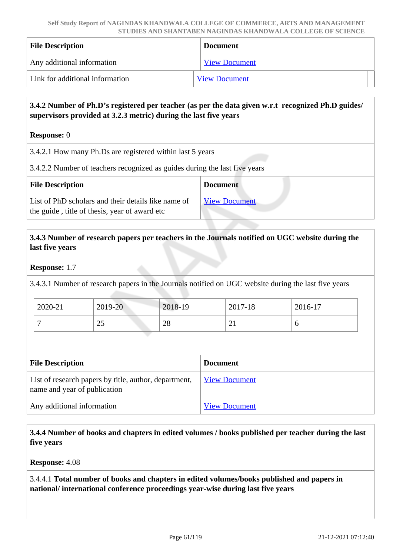| <b>File Description</b>         | <b>Document</b>      |  |
|---------------------------------|----------------------|--|
| Any additional information      | <b>View Document</b> |  |
| Link for additional information | <b>View Document</b> |  |

## **3.4.2 Number of Ph.D's registered per teacher (as per the data given w.r.t recognized Ph.D guides/ supervisors provided at 3.2.3 metric) during the last five years**

**Response:** 0

3.4.2.1 How many Ph.Ds are registered within last 5 years

3.4.2.2 Number of teachers recognized as guides during the last five years

| <b>File Description</b>                                                                              | <b>Document</b>      |
|------------------------------------------------------------------------------------------------------|----------------------|
| List of PhD scholars and their details like name of<br>the guide, title of thesis, year of award etc | <b>View Document</b> |

## **3.4.3 Number of research papers per teachers in the Journals notified on UGC website during the last five years**

## **Response:** 1.7

3.4.3.1 Number of research papers in the Journals notified on UGC website during the last five years

| 2020-21 | 2019-20                   | 2018-19 | 2017-18  | 2016-17 |
|---------|---------------------------|---------|----------|---------|
|         | $\Delta$ $\epsilon$<br>رے | 28      | $\sim$ 1 |         |

| <b>File Description</b>                                                               | <b>Document</b>      |  |  |  |
|---------------------------------------------------------------------------------------|----------------------|--|--|--|
| List of research papers by title, author, department,<br>name and year of publication | <b>View Document</b> |  |  |  |
| Any additional information                                                            | <b>View Document</b> |  |  |  |

 **3.4.4 Number of books and chapters in edited volumes / books published per teacher during the last five years**

**Response:** 4.08

3.4.4.1 **Total number of books and chapters in edited volumes/books published and papers in national/ international conference proceedings year-wise during last five years**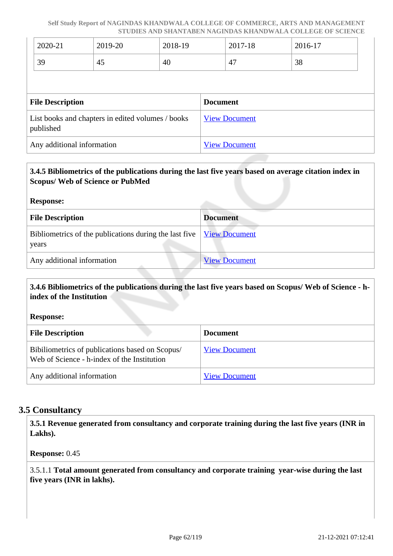| 2020-21                                                        | 2019-20 | 2018-19              |                      | 2017-18 | 2016-17 |
|----------------------------------------------------------------|---------|----------------------|----------------------|---------|---------|
| 39                                                             | 45      | 40                   |                      | 47      | 38      |
|                                                                |         |                      |                      |         |         |
| <b>File Description</b>                                        |         | <b>Document</b>      |                      |         |         |
| List books and chapters in edited volumes / books<br>published |         | <b>View Document</b> |                      |         |         |
| Any additional information                                     |         |                      | <b>View Document</b> |         |         |

# **3.4.5 Bibliometrics of the publications during the last five years based on average citation index in Scopus/ Web of Science or PubMed Response: File Description Document** Bibliometrics of the publications during the last five years [View Document](https://assessmentonline.naac.gov.in/storage/app/hei/SSR/105588/3.4.5_1639544412_7116.xlsx) Any additional information [View Document](https://assessmentonline.naac.gov.in/storage/app/hei/SSR/105588/3.4.5_1639542316_7116.pdf)

## **3.4.6 Bibliometrics of the publications during the last five years based on Scopus/ Web of Science - hindex of the Institution**

**Response:** 

| <b>File Description</b>                                                                        | <b>Document</b>      |
|------------------------------------------------------------------------------------------------|----------------------|
| Bibiliometrics of publications based on Scopus/<br>Web of Science - h-index of the Institution | <b>View Document</b> |
| Any additional information                                                                     | <b>View Document</b> |

## **3.5 Consultancy**

 **3.5.1 Revenue generated from consultancy and corporate training during the last five years (INR in Lakhs).**

## **Response:** 0.45

3.5.1.1 **Total amount generated from consultancy and corporate training year-wise during the last five years (INR in lakhs).**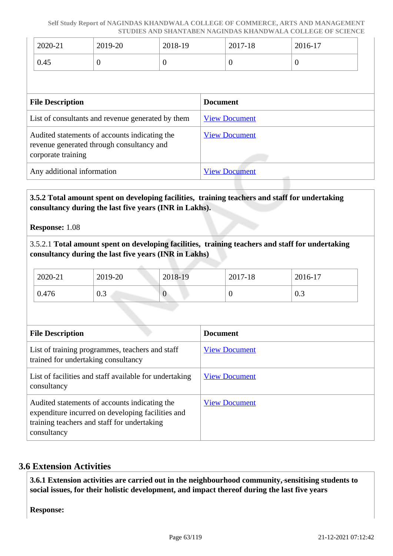| 2020-21 | 2019-20 | 2018-19 | 2017-18 | 2016-17 |
|---------|---------|---------|---------|---------|
| 0.45    | ິ       |         |         |         |

| <b>File Description</b>                                                                                          | <b>Document</b>      |
|------------------------------------------------------------------------------------------------------------------|----------------------|
| List of consultants and revenue generated by them                                                                | <b>View Document</b> |
| Audited statements of accounts indicating the<br>revenue generated through consultancy and<br>corporate training | <b>View Document</b> |
| Any additional information                                                                                       | <b>View Document</b> |

## **3.5.2 Total amount spent on developing facilities, training teachers and staff for undertaking consultancy during the last five years (INR in Lakhs).**

**Response:** 1.08

3.5.2.1 **Total amount spent on developing facilities, training teachers and staff for undertaking consultancy during the last five years (INR in Lakhs)**

| 2020-21 | 2019-20 | 2018-19      | 2017-18 | 2016-17 |
|---------|---------|--------------|---------|---------|
| 0.476   | 0.3     | $\mathbf{U}$ |         | 0.3     |

| <b>File Description</b>                                                                                                                                          | <b>Document</b>      |
|------------------------------------------------------------------------------------------------------------------------------------------------------------------|----------------------|
| List of training programmes, teachers and staff<br>trained for undertaking consultancy                                                                           | <b>View Document</b> |
| List of facilities and staff available for undertaking<br>consultancy                                                                                            | <b>View Document</b> |
| Audited statements of accounts indicating the<br>expenditure incurred on developing facilities and<br>training teachers and staff for undertaking<br>consultancy | <b>View Document</b> |

## **3.6 Extension Activities**

 **3.6.1 Extension activities are carried out in the neighbourhood community, sensitising students to social issues, for their holistic development, and impact thereof during the last five years**

**Response:**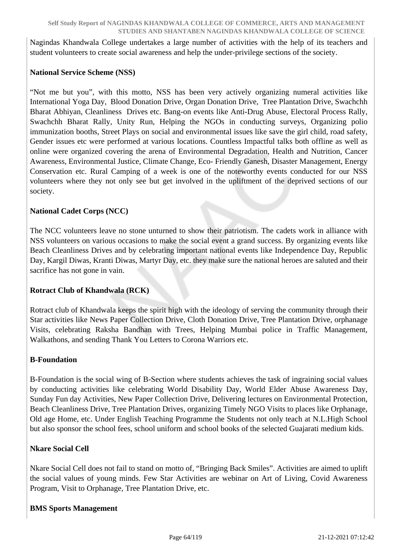Nagindas Khandwala College undertakes a large number of activities with the help of its teachers and student volunteers to create social awareness and help the under-privilege sections of the society.

## **National Service Scheme (NSS)**

"Not me but you", with this motto, NSS has been very actively organizing numeral activities like International Yoga Day, Blood Donation Drive, Organ Donation Drive, Tree Plantation Drive, Swachchh Bharat Abhiyan, Cleanliness Drives etc. Bang-on events like Anti-Drug Abuse, Electoral Process Rally, Swachchh Bharat Rally, Unity Run, Helping the NGOs in conducting surveys, Organizing polio immunization booths, Street Plays on social and environmental issues like save the girl child, road safety, Gender issues etc were performed at various locations. Countless Impactful talks both offline as well as online were organized covering the arena of Environmental Degradation, Health and Nutrition, Cancer Awareness, Environmental Justice, Climate Change, Eco- Friendly Ganesh, Disaster Management, Energy Conservation etc. Rural Camping of a week is one of the noteworthy events conducted for our NSS volunteers where they not only see but get involved in the upliftment of the deprived sections of our society.

#### **National Cadet Corps (NCC)**

The NCC volunteers leave no stone unturned to show their patriotism. The cadets work in alliance with NSS volunteers on various occasions to make the social event a grand success. By organizing events like Beach Cleanliness Drives and by celebrating important national events like Independence Day, Republic Day, Kargil Diwas, Kranti Diwas, Martyr Day, etc. they make sure the national heroes are saluted and their sacrifice has not gone in vain.

## **Rotract Club of Khandwala (RCK)**

Rotract club of Khandwala keeps the spirit high with the ideology of serving the community through their Star activities like News Paper Collection Drive, Cloth Donation Drive, Tree Plantation Drive, orphanage Visits, celebrating Raksha Bandhan with Trees, Helping Mumbai police in Traffic Management, Walkathons, and sending Thank You Letters to Corona Warriors etc.

## **B-Foundation**

B-Foundation is the social wing of B-Section where students achieves the task of ingraining social values by conducting activities like celebrating World Disability Day, World Elder Abuse Awareness Day, Sunday Fun day Activities, New Paper Collection Drive, Delivering lectures on Environmental Protection, Beach Cleanliness Drive, Tree Plantation Drives, organizing Timely NGO Visits to places like Orphanage, Old age Home, etc. Under English Teaching Programme the Students not only teach at N.L.High School but also sponsor the school fees, school uniform and school books of the selected Guajarati medium kids.

## **Nkare Social Cell**

Nkare Social Cell does not fail to stand on motto of, "Bringing Back Smiles". Activities are aimed to uplift the social values of young minds. Few Star Activities are webinar on Art of Living, Covid Awareness Program, Visit to Orphanage, Tree Plantation Drive, etc.

## **BMS Sports Management**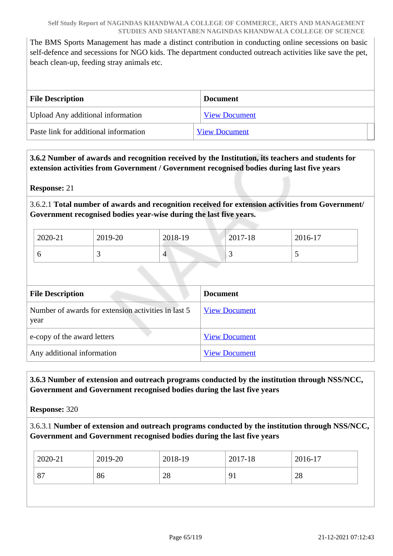The BMS Sports Management has made a distinct contribution in conducting online secessions on basic self-defence and secessions for NGO kids. The department conducted outreach activities like save the pet, beach clean-up, feeding stray animals etc.

| <b>File Description</b>               | <b>Document</b>      |
|---------------------------------------|----------------------|
| Upload Any additional information     | <b>View Document</b> |
| Paste link for additional information | <b>View Document</b> |

## **3.6.2 Number of awards and recognition received by the Institution, its teachers and students for extension activities from Government / Government recognised bodies during last five years**

**Response:** 21

3.6.2.1 **Total number of awards and recognition received for extension activities from Government/ Government recognised bodies year-wise during the last five years.**

| 2020-21 | 2019-20 | 2018-19 | 2017-18 | 2016-17                  |
|---------|---------|---------|---------|--------------------------|
|         |         | 4       | ~       | $\overline{\phantom{0}}$ |

| <b>File Description</b>                                     | <b>Document</b>      |
|-------------------------------------------------------------|----------------------|
| Number of awards for extension activities in last 5<br>year | <b>View Document</b> |
| e-copy of the award letters                                 | <b>View Document</b> |
| Any additional information                                  | <b>View Document</b> |

 **3.6.3 Number of extension and outreach programs conducted by the institution through NSS/NCC, Government and Government recognised bodies during the last five years**

**Response:** 320

3.6.3.1 **Number of extension and outreach programs conducted by the institution through NSS/NCC, Government and Government recognised bodies during the last five years**

|                            | 2018-19<br>2017-18<br>2016-17 | 2020-21<br>2019-20 |
|----------------------------|-------------------------------|--------------------|
| 28<br>87<br>86<br>91<br>28 |                               |                    |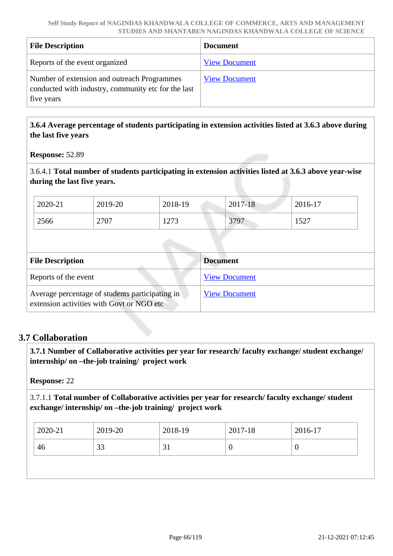| <b>File Description</b>                                                                                          | <b>Document</b>      |
|------------------------------------------------------------------------------------------------------------------|----------------------|
| Reports of the event organized                                                                                   | <b>View Document</b> |
| Number of extension and outreach Programmes<br>conducted with industry, community etc for the last<br>five years | <b>View Document</b> |

 **3.6.4 Average percentage of students participating in extension activities listed at 3.6.3 above during the last five years**

**Response:** 52.89

3.6.4.1 **Total number of students participating in extension activities listed at 3.6.3 above year-wise during the last five years.**

| 2020-21 | 2019-20 | 2018-19 | 2017-18 | 2016-17 |
|---------|---------|---------|---------|---------|
| 2566    | 2707    | 1273    | 3797    | 1527    |

| <b>File Description</b>                                                                      | <b>Document</b>      |
|----------------------------------------------------------------------------------------------|----------------------|
| Reports of the event                                                                         | <b>View Document</b> |
| Average percentage of students participating in<br>extension activities with Govt or NGO etc | <b>View Document</b> |

## **3.7 Collaboration**

 **3.7.1 Number of Collaborative activities per year for research/ faculty exchange/ student exchange/ internship/ on –the-job training/ project work** 

**Response:** 22

3.7.1.1 **Total number of Collaborative activities per year for research/ faculty exchange/ student exchange/ internship/ on –the-job training/ project work** 

| $2020 - 21$ | 2019-20      | 2018-19 | 2017-18 | 2016-17 |
|-------------|--------------|---------|---------|---------|
| 46          | $\cap$<br>υJ | JІ      | U       |         |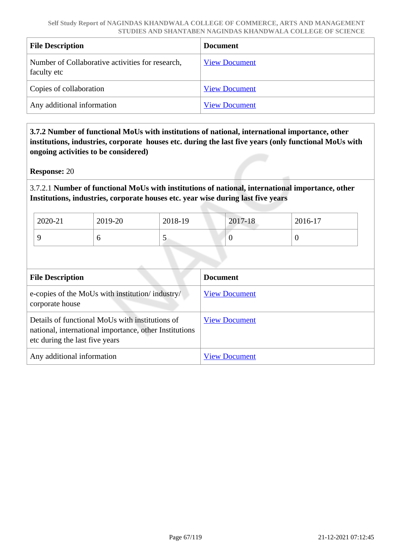| <b>File Description</b>                                         | <b>Document</b>      |
|-----------------------------------------------------------------|----------------------|
| Number of Collaborative activities for research,<br>faculty etc | <b>View Document</b> |
| Copies of collaboration                                         | <b>View Document</b> |
| Any additional information                                      | <b>View Document</b> |

 **3.7.2 Number of functional MoUs with institutions of national, international importance, other institutions, industries, corporate houses etc. during the last five years (only functional MoUs with ongoing activities to be considered)**

**Response:** 20

3.7.2.1 **Number of functional MoUs with institutions of national, international importance, other Institutions, industries, corporate houses etc. year wise during last five years** 

| 2020-21 | 2019-20 | 2018-19 | 2017-18 | $2016-17$ |
|---------|---------|---------|---------|-----------|
|         |         | ັ       |         | ◡         |

| <b>File Description</b>                                                                                                                     | <b>Document</b>      |
|---------------------------------------------------------------------------------------------------------------------------------------------|----------------------|
| e-copies of the MoUs with institution/industry/<br>corporate house                                                                          | <b>View Document</b> |
| Details of functional MoUs with institutions of<br>national, international importance, other Institutions<br>etc during the last five years | <b>View Document</b> |
| Any additional information                                                                                                                  | <b>View Document</b> |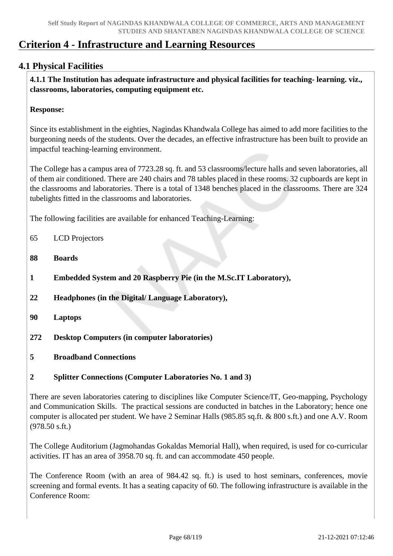# **Criterion 4 - Infrastructure and Learning Resources**

## **4.1 Physical Facilities**

 **4.1.1 The Institution has adequate infrastructure and physical facilities for teaching- learning. viz., classrooms, laboratories, computing equipment etc.** 

#### **Response:**

Since its establishment in the eighties, Nagindas Khandwala College has aimed to add more facilities to the burgeoning needs of the students. Over the decades, an effective infrastructure has been built to provide an impactful teaching-learning environment.

The College has a campus area of 7723.28 sq. ft. and 53 classrooms/lecture halls and seven laboratories, all of them air conditioned. There are 240 chairs and 78 tables placed in these rooms. 32 cupboards are kept in the classrooms and laboratories. There is a total of 1348 benches placed in the classrooms. There are 324 tubelights fitted in the classrooms and laboratories.

The following facilities are available for enhanced Teaching-Learning:

- 65 LCD Projectors
- **88 Boards**
- **1 Embedded System and 20 Raspberry Pie (in the M.Sc.IT Laboratory),**
- **22 Headphones (in the Digital/ Language Laboratory),**
- **90 Laptops**
- **272 Desktop Computers (in computer laboratories)**
- **5 Broadband Connections**

## **2 Splitter Connections (Computer Laboratories No. 1 and 3)**

There are seven laboratories catering to disciplines like Computer Science/IT, Geo-mapping, Psychology and Communication Skills. The practical sessions are conducted in batches in the Laboratory; hence one computer is allocated per student. We have 2 Seminar Halls (985.85 sq.ft. & 800 s.ft.) and one A.V. Room (978.50 s.ft.)

The College Auditorium (Jagmohandas Gokaldas Memorial Hall), when required, is used for co-curricular activities. IT has an area of 3958.70 sq. ft. and can accommodate 450 people.

The Conference Room (with an area of 984.42 sq. ft.) is used to host seminars, conferences, movie screening and formal events. It has a seating capacity of 60. The following infrastructure is available in the Conference Room: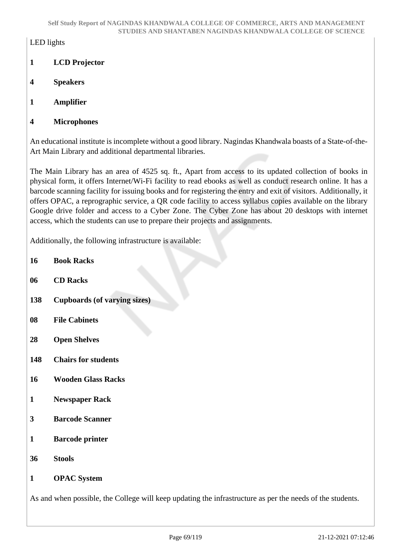## LED lights

- **1 LCD Projector**
- **4 Speakers**
- **1 Amplifier**
- **4 Microphones**

An educational institute is incomplete without a good library. Nagindas Khandwala boasts of a State-of-the-Art Main Library and additional departmental libraries.

The Main Library has an area of 4525 sq. ft., Apart from access to its updated collection of books in physical form, it offers Internet/Wi-Fi facility to read ebooks as well as conduct research online. It has a barcode scanning facility for issuing books and for registering the entry and exit of visitors. Additionally, it offers OPAC, a reprographic service, a QR code facility to access syllabus copies available on the library Google drive folder and access to a Cyber Zone. The Cyber Zone has about 20 desktops with internet access, which the students can use to prepare their projects and assignments.

Additionally, the following infrastructure is available:

- **16 Book Racks**
- **06 CD Racks**
- **138 Cupboards (of varying sizes)**
- **08 File Cabinets**
- **28 Open Shelves**
- **148 Chairs for students**
- **16 Wooden Glass Racks**
- **1 Newspaper Rack**
- **3 Barcode Scanner**
- **1 Barcode printer**
- **36 Stools**
- **1 OPAC System**

As and when possible, the College will keep updating the infrastructure as per the needs of the students.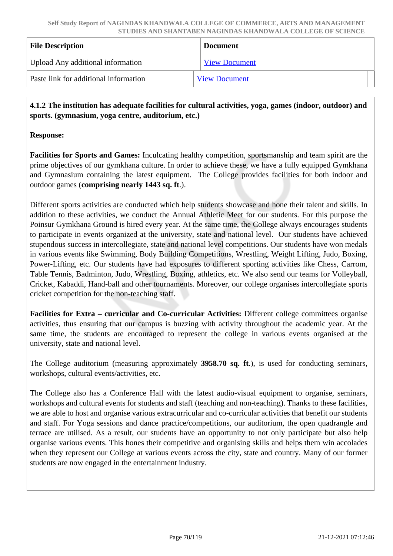| <b>File Description</b>               | <b>Document</b>      |
|---------------------------------------|----------------------|
| Upload Any additional information     | <b>View Document</b> |
| Paste link for additional information | <b>View Document</b> |

 **4.1.2 The institution has adequate facilities for cultural activities, yoga, games (indoor, outdoor) and sports. (gymnasium, yoga centre, auditorium, etc.)** 

## **Response:**

**Facilities for Sports and Games:** Inculcating healthy competition, sportsmanship and team spirit are the prime objectives of our gymkhana culture. In order to achieve these, we have a fully equipped Gymkhana and Gymnasium containing the latest equipment. The College provides facilities for both indoor and outdoor games (**comprising nearly 1443 sq. ft**.).

Different sports activities are conducted which help students showcase and hone their talent and skills. In addition to these activities, we conduct the Annual Athletic Meet for our students. For this purpose the Poinsur Gymkhana Ground is hired every year. At the same time, the College always encourages students to participate in events organized at the university, state and national level. Our students have achieved stupendous success in intercollegiate, state and national level competitions. Our students have won medals in various events like Swimming, Body Building Competitions, Wrestling, Weight Lifting, Judo, Boxing, Power-Lifting, etc. Our students have had exposures to different sporting activities like Chess, Carrom, Table Tennis, Badminton, Judo, Wrestling, Boxing, athletics, etc. We also send our teams for Volleyball, Cricket, Kabaddi, Hand-ball and other tournaments. Moreover, our college organises intercollegiate sports cricket competition for the non-teaching staff.

**Facilities for Extra – curricular and Co-curricular Activities:** Different college committees organise activities, thus ensuring that our campus is buzzing with activity throughout the academic year. At the same time, the students are encouraged to represent the college in various events organised at the university, state and national level.

The College auditorium (measuring approximately **3958.70 sq. ft**.), is used for conducting seminars, workshops, cultural events/activities, etc.

The College also has a Conference Hall with the latest audio-visual equipment to organise, seminars, workshops and cultural events for students and staff (teaching and non-teaching). Thanks to these facilities, we are able to host and organise various extracurricular and co-curricular activities that benefit our students and staff. For Yoga sessions and dance practice/competitions, our auditorium, the open quadrangle and terrace are utilised. As a result, our students have an opportunity to not only participate but also help organise various events. This hones their competitive and organising skills and helps them win accolades when they represent our College at various events across the city, state and country. Many of our former students are now engaged in the entertainment industry.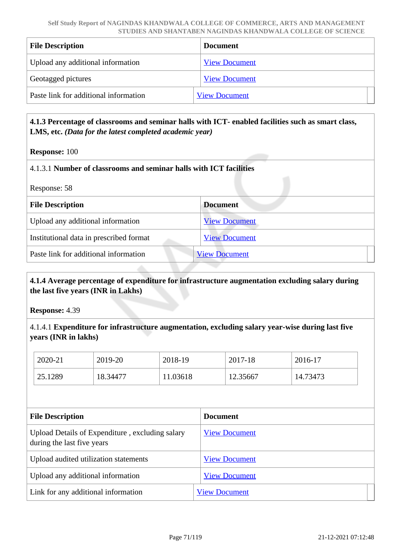| <b>File Description</b>               | <b>Document</b>      |
|---------------------------------------|----------------------|
| Upload any additional information     | <b>View Document</b> |
| Geotagged pictures                    | <b>View Document</b> |
| Paste link for additional information | <b>View Document</b> |

## **4.1.3 Percentage of classrooms and seminar halls with ICT- enabled facilities such as smart class, LMS, etc.** *(Data for the latest completed academic year)*

#### **Response:** 100

#### 4.1.3.1 **Number of classrooms and seminar halls with ICT facilities**

| Response: 58 |  |
|--------------|--|
|              |  |

| <b>File Description</b>                 | <b>Document</b>      |
|-----------------------------------------|----------------------|
| Upload any additional information       | <b>View Document</b> |
| Institutional data in prescribed format | <b>View Document</b> |
| Paste link for additional information   | <b>View Document</b> |
|                                         |                      |

## **4.1.4 Average percentage of expenditure for infrastructure augmentation excluding salary during the last five years (INR in Lakhs)**

**Response:** 4.39

## 4.1.4.1 **Expenditure for infrastructure augmentation, excluding salary year-wise during last five years (INR in lakhs)**

| 2020-21 | 2019-20  | 2018-19  | 2017-18  | 2016-17  |
|---------|----------|----------|----------|----------|
| 25.1289 | 18.34477 | 11.03618 | 12.35667 | 14.73473 |

| <b>File Description</b>                                                       | <b>Document</b>      |
|-------------------------------------------------------------------------------|----------------------|
| Upload Details of Expenditure, excluding salary<br>during the last five years | <b>View Document</b> |
| Upload audited utilization statements                                         | <b>View Document</b> |
| Upload any additional information                                             | <b>View Document</b> |
| Link for any additional information                                           | <b>View Document</b> |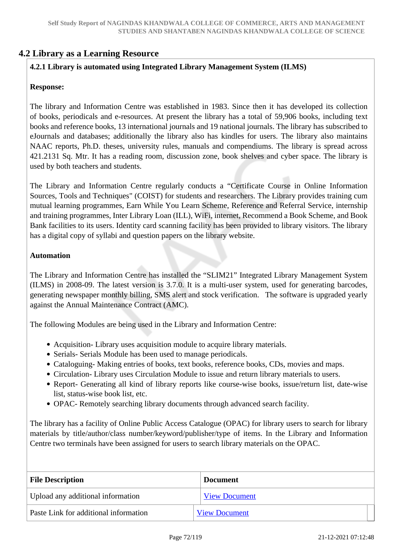## **4.2 Library as a Learning Resource**

## **4.2.1 Library is automated using Integrated Library Management System (ILMS)**

## **Response:**

The library and Information Centre was established in 1983. Since then it has developed its collection of books, periodicals and e-resources. At present the library has a total of 59,906 books, including text books and reference books, 13 international journals and 19 national journals. The library has subscribed to eJournals and databases; additionally the library also has kindles for users. The library also maintains NAAC reports, Ph.D. theses, university rules, manuals and compendiums. The library is spread across 421.2131 Sq. Mtr. It has a reading room, discussion zone, book shelves and cyber space. The library is used by both teachers and students.

The Library and Information Centre regularly conducts a "Certificate Course in Online Information Sources, Tools and Techniques" (COIST) for students and researchers. The Library provides training cum mutual learning programmes, Earn While You Learn Scheme, Reference and Referral Service, internship and training programmes, Inter Library Loan (ILL), WiFi, internet, Recommend a Book Scheme, and Book Bank facilities to its users. Identity card scanning facility has been provided to library visitors. The library has a digital copy of syllabi and question papers on the library website.

#### **Automation**

The Library and Information Centre has installed the "SLIM21" Integrated Library Management System (ILMS) in 2008-09. The latest version is 3.7.0. It is a multi-user system, used for generating barcodes, generating newspaper monthly billing, SMS alert and stock verification. The software is upgraded yearly against the Annual Maintenance Contract (AMC).

The following Modules are being used in the Library and Information Centre:

- Acquisition- Library uses acquisition module to acquire library materials.
- Serials- Serials Module has been used to manage periodicals.
- Cataloguing- Making entries of books, text books, reference books, CDs, movies and maps.
- Circulation- Library uses Circulation Module to issue and return library materials to users.
- Report- Generating all kind of library reports like course-wise books, issue/return list, date-wise list, status-wise book list, etc.
- OPAC- Remotely searching library documents through advanced search facility.

The library has a facility of Online Public Access Catalogue (OPAC) for library users to search for library materials by title/author/class number/keyword/publisher/type of items. In the Library and Information Centre two terminals have been assigned for users to search library materials on the OPAC.

| <b>File Description</b>               | <b>Document</b>      |
|---------------------------------------|----------------------|
| Upload any additional information     | <b>View Document</b> |
| Paste Link for additional information | <b>View Document</b> |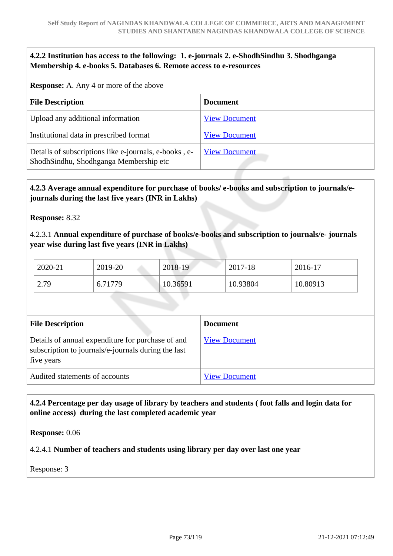### **4.2.2 Institution has access to the following: 1. e-journals 2. e-ShodhSindhu 3. Shodhganga Membership 4. e-books 5. Databases 6. Remote access to e-resources**

**Response:** A. Any 4 or more of the above

| <b>File Description</b>                                                                         | <b>Document</b>      |
|-------------------------------------------------------------------------------------------------|----------------------|
| Upload any additional information                                                               | <b>View Document</b> |
| Institutional data in prescribed format                                                         | <b>View Document</b> |
| Details of subscriptions like e-journals, e-books, e-<br>ShodhSindhu, Shodhganga Membership etc | <b>View Document</b> |

## **4.2.3 Average annual expenditure for purchase of books/ e-books and subscription to journals/ejournals during the last five years (INR in Lakhs)**

**Response:** 8.32

4.2.3.1 **Annual expenditure of purchase of books/e-books and subscription to journals/e- journals year wise during last five years (INR in Lakhs)**

| 2020-21 | 2019-20 | 2018-19  | 2017-18  | 2016-17  |
|---------|---------|----------|----------|----------|
| 2.79    | 6.71779 | 10.36591 | 10.93804 | 10.80913 |

| <b>File Description</b>                                                                                                | <b>Document</b>      |
|------------------------------------------------------------------------------------------------------------------------|----------------------|
| Details of annual expenditure for purchase of and<br>subscription to journals/e-journals during the last<br>five years | <b>View Document</b> |
| Audited statements of accounts                                                                                         | <b>View Document</b> |

### **4.2.4 Percentage per day usage of library by teachers and students ( foot falls and login data for online access) during the last completed academic year**

**Response:** 0.06

4.2.4.1 **Number of teachers and students using library per day over last one year**

Response: 3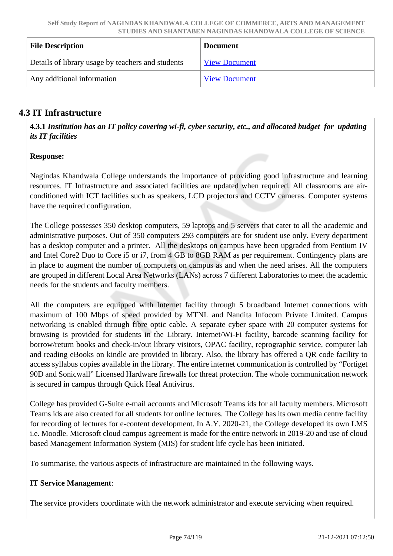| <b>File Description</b>                           | <b>Document</b>      |
|---------------------------------------------------|----------------------|
| Details of library usage by teachers and students | <b>View Document</b> |
| Any additional information                        | <b>View Document</b> |

# **4.3 IT Infrastructure**

 **4.3.1** *Institution has an IT policy covering wi-fi, cyber security, etc., and allocated budget for updating its IT facilities* 

### **Response:**

Nagindas Khandwala College understands the importance of providing good infrastructure and learning resources. IT Infrastructure and associated facilities are updated when required. All classrooms are airconditioned with ICT facilities such as speakers, LCD projectors and CCTV cameras. Computer systems have the required configuration.

The College possesses 350 desktop computers, 59 laptops and 5 servers that cater to all the academic and administrative purposes. Out of 350 computers 293 computers are for student use only. Every department has a desktop computer and a printer. All the desktops on campus have been upgraded from Pentium IV and Intel Core2 Duo to Core i5 or i7, from 4 GB to 8GB RAM as per requirement. Contingency plans are in place to augment the number of computers on campus as and when the need arises. All the computers are grouped in different Local Area Networks (LANs) across 7 different Laboratories to meet the academic needs for the students and faculty members.

All the computers are equipped with Internet facility through 5 broadband Internet connections with maximum of 100 Mbps of speed provided by MTNL and Nandita Infocom Private Limited. Campus networking is enabled through fibre optic cable. A separate cyber space with 20 computer systems for browsing is provided for students in the Library. Internet/Wi-Fi facility, barcode scanning facility for borrow/return books and check-in/out library visitors, OPAC facility, reprographic service, computer lab and reading eBooks on kindle are provided in library. Also, the library has offered a QR code facility to access syllabus copies available in the library. The entire internet communication is controlled by "Fortiget 90D and Sonicwall" Licensed Hardware firewalls for threat protection. The whole communication network is secured in campus through Quick Heal Antivirus.

College has provided G-Suite e-mail accounts and Microsoft Teams ids for all faculty members. Microsoft Teams ids are also created for all students for online lectures. The College has its own media centre facility for recording of lectures for e-content development. In A.Y. 2020-21, the College developed its own LMS i.e. Moodle. Microsoft cloud campus agreement is made for the entire network in 2019-20 and use of cloud based Management Information System (MIS) for student life cycle has been initiated.

To summarise, the various aspects of infrastructure are maintained in the following ways.

## **IT Service Management**:

The service providers coordinate with the network administrator and execute servicing when required.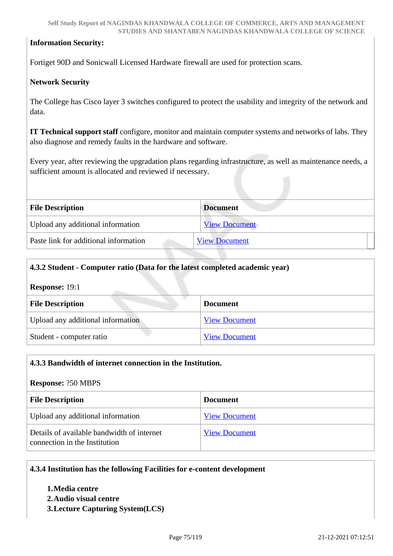### **Information Security:**

Fortiget 90D and Sonicwall Licensed Hardware firewall are used for protection scans.

### **Network Security**

The College has Cisco layer 3 switches configured to protect the usability and integrity of the network and data.

**IT Technical support staff** configure, monitor and maintain computer systems and networks of labs. They also diagnose and remedy faults in the hardware and software.

Every year, after reviewing the upgradation plans regarding infrastructure, as well as maintenance needs, a sufficient amount is allocated and reviewed if necessary.

| <b>File Description</b>               | <b>Document</b>      |
|---------------------------------------|----------------------|
| Upload any additional information     | <b>View Document</b> |
| Paste link for additional information | <b>View Document</b> |

| 4.3.2 Student - Computer ratio (Data for the latest completed academic year) |                      |  |
|------------------------------------------------------------------------------|----------------------|--|
| <b>Response: 19:1</b>                                                        |                      |  |
| <b>File Description</b>                                                      | <b>Document</b>      |  |
| Upload any additional information                                            | <b>View Document</b> |  |
| Student - computer ratio                                                     | <b>View Document</b> |  |

| 4.3.3 Bandwidth of internet connection in the Institution.                  |                      |
|-----------------------------------------------------------------------------|----------------------|
| <b>Response: ?50 MBPS</b>                                                   |                      |
| <b>File Description</b>                                                     | <b>Document</b>      |
| Upload any additional information                                           | <b>View Document</b> |
| Details of available bandwidth of internet<br>connection in the Institution | <b>View Document</b> |

### **4.3.4 Institution has the following Facilities for e-content development**

#### **1.Media centre 2.Audio visual centre**

**3.Lecture Capturing System(LCS)**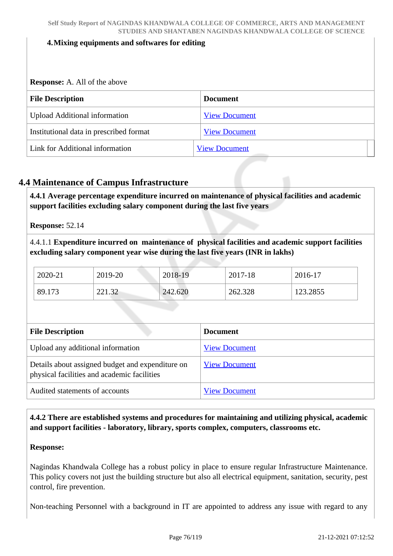#### **4.Mixing equipments and softwares for editing**

**Response:** A. All of the above

| <b>File Description</b>                 | <b>Document</b>      |
|-----------------------------------------|----------------------|
| <b>Upload Additional information</b>    | <b>View Document</b> |
| Institutional data in prescribed format | <b>View Document</b> |
| Link for Additional information         | <b>View Document</b> |

## **4.4 Maintenance of Campus Infrastructure**

 **4.4.1 Average percentage expenditure incurred on maintenance of physical facilities and academic support facilities excluding salary component during the last five years**

**Response:** 52.14

4.4.1.1 **Expenditure incurred on maintenance of physical facilities and academic support facilities excluding salary component year wise during the last five years (INR in lakhs)** 

| 2020-21 | 2019-20 | 2018-19 | 2017-18 | 2016-17  |  |
|---------|---------|---------|---------|----------|--|
| 89.173  | 221.32  | 242.620 | 262.328 | 123.2855 |  |

| <b>File Description</b>                                                                         | <b>Document</b>      |
|-------------------------------------------------------------------------------------------------|----------------------|
| Upload any additional information                                                               | <b>View Document</b> |
| Details about assigned budget and expenditure on<br>physical facilities and academic facilities | <b>View Document</b> |
| Audited statements of accounts                                                                  | <b>View Document</b> |

 **4.4.2 There are established systems and procedures for maintaining and utilizing physical, academic and support facilities - laboratory, library, sports complex, computers, classrooms etc.**

#### **Response:**

Nagindas Khandwala College has a robust policy in place to ensure regular Infrastructure Maintenance. This policy covers not just the building structure but also all electrical equipment, sanitation, security, pest control, fire prevention.

Non-teaching Personnel with a background in IT are appointed to address any issue with regard to any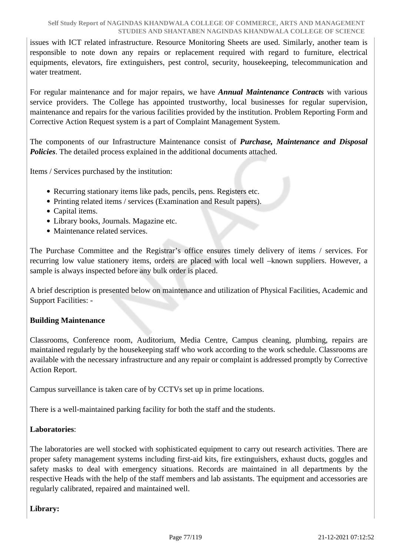issues with ICT related infrastructure. Resource Monitoring Sheets are used. Similarly, another team is responsible to note down any repairs or replacement required with regard to furniture, electrical equipments, elevators, fire extinguishers, pest control, security, housekeeping, telecommunication and water treatment.

For regular maintenance and for major repairs, we have *Annual Maintenance Contracts* with various service providers. The College has appointed trustworthy, local businesses for regular supervision, maintenance and repairs for the various facilities provided by the institution. Problem Reporting Form and Corrective Action Request system is a part of Complaint Management System.

The components of our Infrastructure Maintenance consist of *Purchase, Maintenance and Disposal Policies*. The detailed process explained in the additional documents attached.

Items / Services purchased by the institution:

- Recurring stationary items like pads, pencils, pens. Registers etc.
- Printing related items / services (Examination and Result papers).
- Capital items.
- Library books, Journals. Magazine etc.
- Maintenance related services.

The Purchase Committee and the Registrar's office ensures timely delivery of items / services. For recurring low value stationery items, orders are placed with local well –known suppliers. However, a sample is always inspected before any bulk order is placed.

A brief description is presented below on maintenance and utilization of Physical Facilities, Academic and Support Facilities: -

### **Building Maintenance**

Classrooms, Conference room, Auditorium, Media Centre, Campus cleaning, plumbing, repairs are maintained regularly by the housekeeping staff who work according to the work schedule. Classrooms are available with the necessary infrastructure and any repair or complaint is addressed promptly by Corrective Action Report.

Campus surveillance is taken care of by CCTVs set up in prime locations.

There is a well-maintained parking facility for both the staff and the students.

### **Laboratories**:

The laboratories are well stocked with sophisticated equipment to carry out research activities. There are proper safety management systems including first-aid kits, fire extinguishers, exhaust ducts, goggles and safety masks to deal with emergency situations. Records are maintained in all departments by the respective Heads with the help of the staff members and lab assistants. The equipment and accessories are regularly calibrated, repaired and maintained well.

## **Library:**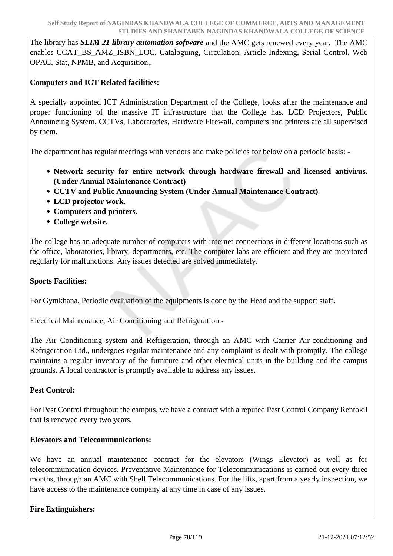The library has *SLIM 21 library automation software* and the AMC gets renewed every year. The AMC enables CCAT\_BS\_AMZ\_ISBN\_LOC, Cataloguing, Circulation, Article Indexing, Serial Control, Web OPAC, Stat, NPMB, and Acquisition,.

### **Computers and ICT Related facilities:**

A specially appointed ICT Administration Department of the College, looks after the maintenance and proper functioning of the massive IT infrastructure that the College has. LCD Projectors, Public Announcing System, CCTVs, Laboratories, Hardware Firewall, computers and printers are all supervised by them.

The department has regular meetings with vendors and make policies for below on a periodic basis: -

- **Network security for entire network through hardware firewall and licensed antivirus. (Under Annual Maintenance Contract)**
- **CCTV and Public Announcing System (Under Annual Maintenance Contract)**
- **LCD projector work.**
- **Computers and printers.**
- **College website.**

The college has an adequate number of computers with internet connections in different locations such as the office, laboratories, library, departments, etc. The computer labs are efficient and they are monitored regularly for malfunctions. Any issues detected are solved immediately.

### **Sports Facilities:**

For Gymkhana, Periodic evaluation of the equipments is done by the Head and the support staff.

Electrical Maintenance, Air Conditioning and Refrigeration -

The Air Conditioning system and Refrigeration, through an AMC with Carrier Air-conditioning and Refrigeration Ltd., undergoes regular maintenance and any complaint is dealt with promptly. The college maintains a regular inventory of the furniture and other electrical units in the building and the campus grounds. A local contractor is promptly available to address any issues.

### **Pest Control:**

For Pest Control throughout the campus, we have a contract with a reputed Pest Control Company Rentokil that is renewed every two years.

#### **Elevators and Telecommunications:**

We have an annual maintenance contract for the elevators (Wings Elevator) as well as for telecommunication devices. Preventative Maintenance for Telecommunications is carried out every three months, through an AMC with Shell Telecommunications. For the lifts, apart from a yearly inspection, we have access to the maintenance company at any time in case of any issues.

### **Fire Extinguishers:**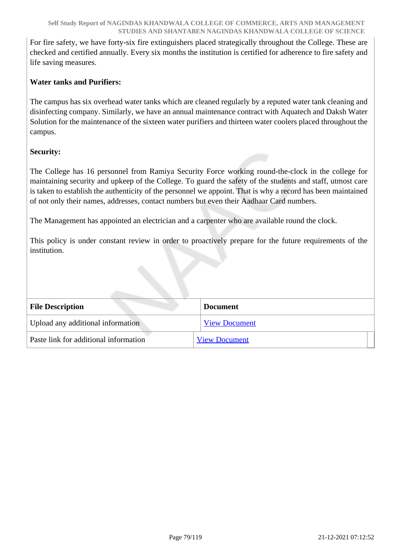For fire safety, we have forty-six fire extinguishers placed strategically throughout the College. These are checked and certified annually. Every six months the institution is certified for adherence to fire safety and life saving measures.

### **Water tanks and Purifiers:**

The campus has six overhead water tanks which are cleaned regularly by a reputed water tank cleaning and disinfecting company. Similarly, we have an annual maintenance contract with Aquatech and Daksh Water Solution for the maintenance of the sixteen water purifiers and thirteen water coolers placed throughout the campus.

### **Security:**

The College has 16 personnel from Ramiya Security Force working round-the-clock in the college for maintaining security and upkeep of the College. To guard the safety of the students and staff, utmost care is taken to establish the authenticity of the personnel we appoint. That is why a record has been maintained of not only their names, addresses, contact numbers but even their Aadhaar Card numbers.

The Management has appointed an electrician and a carpenter who are available round the clock.

This policy is under constant review in order to proactively prepare for the future requirements of the institution.

| <b>File Description</b>               | <b>Document</b>      |
|---------------------------------------|----------------------|
| Upload any additional information     | <b>View Document</b> |
| Paste link for additional information | <b>View Document</b> |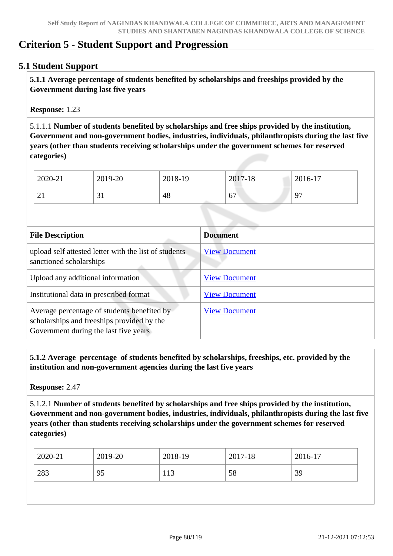# **Criterion 5 - Student Support and Progression**

### **5.1 Student Support**

 **5.1.1 Average percentage of students benefited by scholarships and freeships provided by the Government during last five years** 

**Response:** 1.23

5.1.1.1 **Number of students benefited by scholarships and free ships provided by the institution, Government and non-government bodies, industries, individuals, philanthropists during the last five years (other than students receiving scholarships under the government schemes for reserved categories)** 

| 2020-21              | 2019-20     | 2018-19 | 2017-18 | 2016-17             |
|----------------------|-------------|---------|---------|---------------------|
| $\sim$ 1<br>$\sim$ 1 | $J_{\perp}$ | 48      | 67      | Q <sub>7</sub><br>╯ |

| <b>File Description</b>                                                                                                            | <b>Document</b>      |
|------------------------------------------------------------------------------------------------------------------------------------|----------------------|
| upload self attested letter with the list of students<br>sanctioned scholarships                                                   | <b>View Document</b> |
| Upload any additional information                                                                                                  | <b>View Document</b> |
| Institutional data in prescribed format                                                                                            | <b>View Document</b> |
| Average percentage of students benefited by<br>scholarships and freeships provided by the<br>Government during the last five years | <b>View Document</b> |

 **5.1.2 Average percentage of students benefited by scholarships, freeships, etc. provided by the institution and non-government agencies during the last five years**

**Response:** 2.47

5.1.2.1 **Number of students benefited by scholarships and free ships provided by the institution, Government and non-government bodies, industries, individuals, philanthropists during the last five years (other than students receiving scholarships under the government schemes for reserved categories)** 

| 2020-21   | 2019-20 | 2018-19 | 2017-18 | 2016-17 |
|-----------|---------|---------|---------|---------|
| 283<br>95 |         | 113     | 58      | 39      |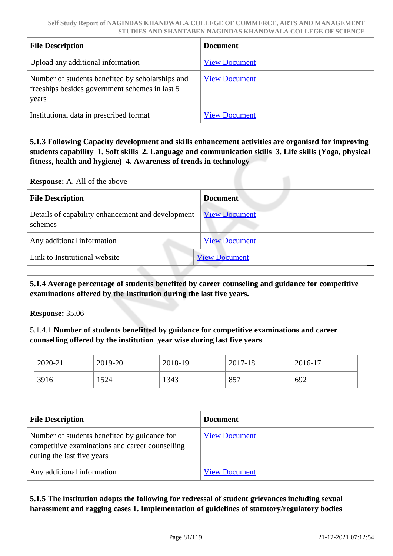| <b>File Description</b>                                                                                      | <b>Document</b>      |
|--------------------------------------------------------------------------------------------------------------|----------------------|
| Upload any additional information                                                                            | <b>View Document</b> |
| Number of students benefited by scholarships and<br>free ships besides government schemes in last 5<br>years | <b>View Document</b> |
| Institutional data in prescribed format                                                                      | <b>View Document</b> |

 **5.1.3 Following Capacity development and skills enhancement activities are organised for improving students capability 1. Soft skills 2. Language and communication skills 3. Life skills (Yoga, physical fitness, health and hygiene) 4. Awareness of trends in technology**

**Response:** A. All of the above

| <b>File Description</b>                                      | <b>Document</b>      |
|--------------------------------------------------------------|----------------------|
| Details of capability enhancement and development<br>schemes | <b>View Document</b> |
| Any additional information                                   | <b>View Document</b> |
| Link to Institutional website                                | <b>View Document</b> |

 **5.1.4 Average percentage of students benefited by career counseling and guidance for competitive examinations offered by the Institution during the last five years.**

**Response:** 35.06

5.1.4.1 **Number of students benefitted by guidance for competitive examinations and career counselling offered by the institution year wise during last five years**

| $2020 - 21$ | 2019-20 | 2018-19 | 2017-18 | 2016-17 |
|-------------|---------|---------|---------|---------|
| 3916        | 1524    | 1343    | 857     | 692     |

| <b>File Description</b>                                                                                                       | <b>Document</b>      |
|-------------------------------------------------------------------------------------------------------------------------------|----------------------|
| Number of students benefited by guidance for<br>competitive examinations and career counselling<br>during the last five years | <b>View Document</b> |
| Any additional information                                                                                                    | <b>View Document</b> |

 **5.1.5 The institution adopts the following for redressal of student grievances including sexual harassment and ragging cases 1. Implementation of guidelines of statutory/regulatory bodies**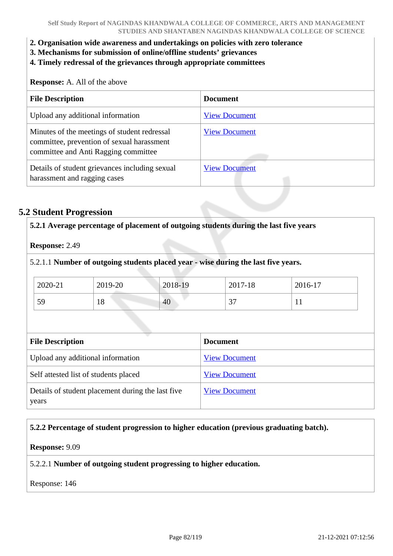- **2. Organisation wide awareness and undertakings on policies with zero tolerance**
- **3. Mechanisms for submission of online/offline students' grievances**
- **4. Timely redressal of the grievances through appropriate committees**

**Response:** A. All of the above

| <b>File Description</b>                                                                                                            | <b>Document</b>      |
|------------------------------------------------------------------------------------------------------------------------------------|----------------------|
| Upload any additional information                                                                                                  | <b>View Document</b> |
| Minutes of the meetings of student redressal<br>committee, prevention of sexual harassment<br>committee and Anti Ragging committee | <b>View Document</b> |
| Details of student grievances including sexual<br>harassment and ragging cases                                                     | <b>View Document</b> |

### **5.2 Student Progression**

| Response: 2.49                        |         |                      |                                                                                    |         |
|---------------------------------------|---------|----------------------|------------------------------------------------------------------------------------|---------|
|                                       |         |                      | 5.2.1.1 Number of outgoing students placed year - wise during the last five years. |         |
| 2020-21                               | 2019-20 | 2018-19              | 2017-18                                                                            | 2016-17 |
| 59                                    | 18      | 40                   | 37                                                                                 | 11      |
|                                       |         |                      |                                                                                    |         |
| <b>File Description</b>               |         |                      | <b>Document</b>                                                                    |         |
| Upload any additional information     |         | <b>View Document</b> |                                                                                    |         |
| Self attested list of students placed |         | <b>View Document</b> |                                                                                    |         |
|                                       |         |                      |                                                                                    |         |

### **5.2.2 Percentage of student progression to higher education (previous graduating batch).**

#### **Response:** 9.09

5.2.2.1 **Number of outgoing student progressing to higher education.**

Response: 146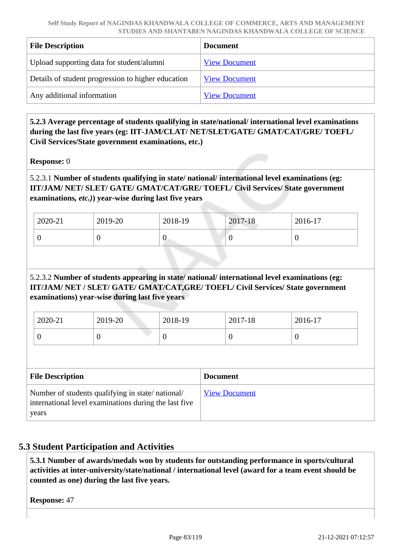| <b>File Description</b>                            | <b>Document</b>      |
|----------------------------------------------------|----------------------|
| Upload supporting data for student/alumni          | <b>View Document</b> |
| Details of student progression to higher education | <b>View Document</b> |
| Any additional information                         | <b>View Document</b> |

 **5.2.3 Average percentage of students qualifying in state/national/ international level examinations during the last five years (eg: IIT-JAM/CLAT/ NET/SLET/GATE/ GMAT/CAT/GRE/ TOEFL/ Civil Services/State government examinations, etc.)**

**Response:** 0

## 5.2.3.1 **Number of students qualifying in state/ national/ international level examinations (eg: IIT/JAM/ NET/ SLET/ GATE/ GMAT/CAT/GRE/ TOEFL/ Civil Services/ State government examinations***, etc.)***) year-wise during last five years**

| 2020-21 | 2019-20 | 2018-19 | 2017-18 | $2016-17$ |
|---------|---------|---------|---------|-----------|
|         | ◡       | ◡       |         |           |

## 5.2.3.2 **Number of students appearing in state/ national/ international level examinations (eg: IIT/JAM/ NET / SLET/ GATE/ GMAT/CAT,GRE/ TOEFL/ Civil Services/ State government examinations) year-wise during last five years**

| 2020-21 | 2019-20 | 2018-19 | 2017-18 | 2016-17 |
|---------|---------|---------|---------|---------|
| ν       |         |         | ν       | ν       |

| <b>File Description</b>                                                                                            | <b>Document</b>      |
|--------------------------------------------------------------------------------------------------------------------|----------------------|
| Number of students qualifying in state/national/<br>international level examinations during the last five<br>years | <b>View Document</b> |

# **5.3 Student Participation and Activities**

 **5.3.1 Number of awards/medals won by students for outstanding performance in sports/cultural activities at inter-university/state/national / international level (award for a team event should be counted as one) during the last five years.**

**Response:** 47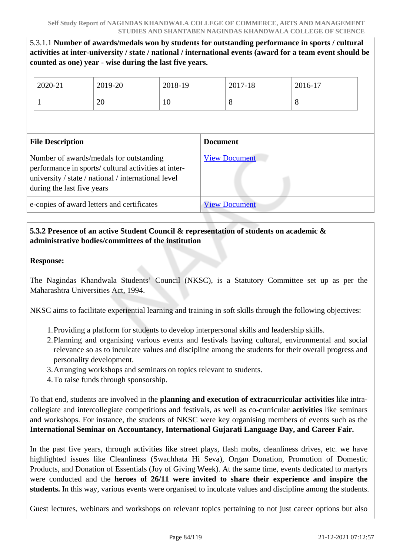## 5.3.1.1 **Number of awards/medals won by students for outstanding performance in sports / cultural activities at inter-university / state / national / international events (award for a team event should be counted as one) year - wise during the last five years.**

|                                                                                                                                                                                      | 2020-21                 | 2019-20 | 2018-19 |                      | 2017-18 | 2016-17 |  |
|--------------------------------------------------------------------------------------------------------------------------------------------------------------------------------------|-------------------------|---------|---------|----------------------|---------|---------|--|
|                                                                                                                                                                                      |                         | 20      | 10      |                      | 8       | 8       |  |
|                                                                                                                                                                                      |                         |         |         |                      |         |         |  |
|                                                                                                                                                                                      | <b>File Description</b> |         |         | <b>Document</b>      |         |         |  |
| Number of awards/medals for outstanding<br>performance in sports/ cultural activities at inter-<br>university / state / national / international level<br>during the last five years |                         |         |         | <b>View Document</b> |         |         |  |
| e-copies of award letters and certificates                                                                                                                                           |                         |         |         | <b>View Document</b> |         |         |  |

## **5.3.2 Presence of an active Student Council & representation of students on academic & administrative bodies/committees of the institution**

### **Response:**

The Nagindas Khandwala Students' Council (NKSC), is a Statutory Committee set up as per the Maharashtra Universities Act, 1994.

NKSC aims to facilitate experiential learning and training in soft skills through the following objectives:

- 1.Providing a platform for students to develop interpersonal skills and leadership skills.
- 2.Planning and organising various events and festivals having cultural, environmental and social relevance so as to inculcate values and discipline among the students for their overall progress and personality development.
- 3.Arranging workshops and seminars on topics relevant to students.
- 4.To raise funds through sponsorship.

To that end, students are involved in the **planning and execution of extracurricular activities** like intracollegiate and intercollegiate competitions and festivals, as well as co-curricular **activities** like seminars and workshops. For instance, the students of NKSC were key organising members of events such as the **International Seminar on Accountancy, International Gujarati Language Day, and Career Fair.**

In the past five years, through activities like street plays, flash mobs, cleanliness drives, etc. we have highlighted issues like Cleanliness (Swachhata Hi Seva), Organ Donation, Promotion of Domestic Products, and Donation of Essentials (Joy of Giving Week). At the same time, events dedicated to martyrs were conducted and the **heroes of 26/11 were invited to share their experience and inspire the students.** In this way, various events were organised to inculcate values and discipline among the students.

Guest lectures, webinars and workshops on relevant topics pertaining to not just career options but also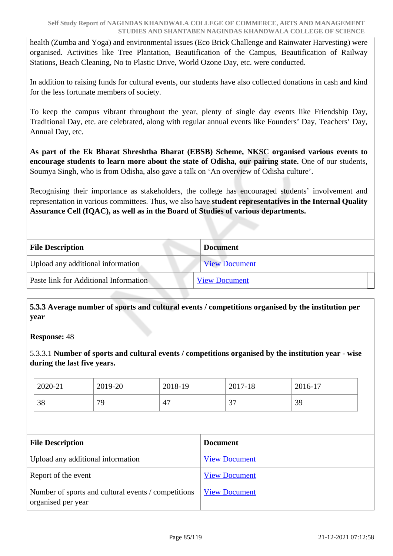health (Zumba and Yoga) and environmental issues (Eco Brick Challenge and Rainwater Harvesting) were organised. Activities like Tree Plantation, Beautification of the Campus, Beautification of Railway Stations, Beach Cleaning, No to Plastic Drive, World Ozone Day, etc. were conducted.

In addition to raising funds for cultural events, our students have also collected donations in cash and kind for the less fortunate members of society.

To keep the campus vibrant throughout the year, plenty of single day events like Friendship Day, Traditional Day, etc. are celebrated, along with regular annual events like Founders' Day, Teachers' Day, Annual Day, etc.

**As part of the Ek Bharat Shreshtha Bharat (EBSB) Scheme, NKSC organised various events to encourage students to learn more about the state of Odisha, our pairing state.** One of our students, Soumya Singh, who is from Odisha, also gave a talk on 'An overview of Odisha culture'.

Recognising their importance as stakeholders, the college has encouraged students' involvement and representation in various committees. Thus, we also have **student representatives in the Internal Quality Assurance Cell (IQAC), as well as in the Board of Studies of various departments.**

| <b>File Description</b>               | <b>Document</b>      |  |
|---------------------------------------|----------------------|--|
| Upload any additional information     | <b>View Document</b> |  |
| Paste link for Additional Information | <b>View Document</b> |  |
|                                       |                      |  |

 **5.3.3 Average number of sports and cultural events / competitions organised by the institution per year**

**Response:** 48

5.3.3.1 **Number of sports and cultural events / competitions organised by the institution year - wise during the last five years.**

| 2020-21 | 2019-20 | 2018-19 | 2017-18     | 2016-17 |
|---------|---------|---------|-------------|---------|
| 38      | 79      | 47      | $\sim$<br>◡ | 39      |

| <b>File Description</b>                                                   | <b>Document</b>      |
|---------------------------------------------------------------------------|----------------------|
| Upload any additional information                                         | <b>View Document</b> |
| Report of the event                                                       | <b>View Document</b> |
| Number of sports and cultural events / competitions<br>organised per year | <b>View Document</b> |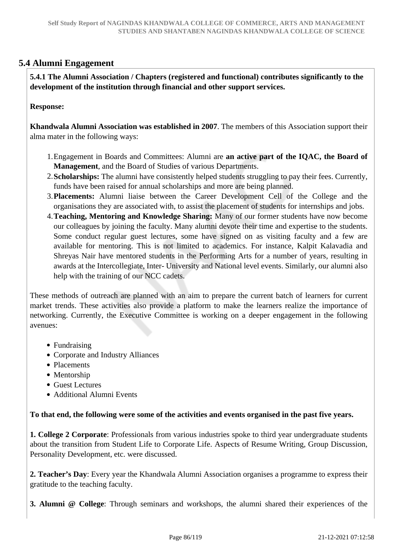## **5.4 Alumni Engagement**

 **5.4.1 The Alumni Association / Chapters (registered and functional) contributes significantly to the development of the institution through financial and other support services.**

#### **Response:**

**Khandwala Alumni Association was established in 2007**. The members of this Association support their alma mater in the following ways:

- 1.Engagement in Boards and Committees: Alumni are **an active part of the IQAC, the Board of Management**, and the Board of Studies of various Departments.
- 2.**Scholarships:** The alumni have consistently helped students struggling to pay their fees. Currently, funds have been raised for annual scholarships and more are being planned.
- 3.**Placements:** Alumni liaise between the Career Development Cell of the College and the organisations they are associated with, to assist the placement of students for internships and jobs.
- 4.**Teaching, Mentoring and Knowledge Sharing:** Many of our former students have now become our colleagues by joining the faculty. Many alumni devote their time and expertise to the students. Some conduct regular guest lectures, some have signed on as visiting faculty and a few are available for mentoring. This is not limited to academics. For instance, Kalpit Kalavadia and Shreyas Nair have mentored students in the Performing Arts for a number of years, resulting in awards at the Intercollegiate, Inter- University and National level events. Similarly, our alumni also help with the training of our NCC cadets.

These methods of outreach are planned with an aim to prepare the current batch of learners for current market trends. These activities also provide a platform to make the learners realize the importance of networking. Currently, the Executive Committee is working on a deeper engagement in the following avenues:

- Fundraising
- Corporate and Industry Alliances
- Placements
- Mentorship
- Guest Lectures
- Additional Alumni Events

**To that end, the following were some of the activities and events organised in the past five years.**

**1. College 2 Corporate**: Professionals from various industries spoke to third year undergraduate students about the transition from Student Life to Corporate Life. Aspects of Resume Writing, Group Discussion, Personality Development, etc. were discussed.

**2. Teacher's Day**: Every year the Khandwala Alumni Association organises a programme to express their gratitude to the teaching faculty.

**3. Alumni @ College**: Through seminars and workshops, the alumni shared their experiences of the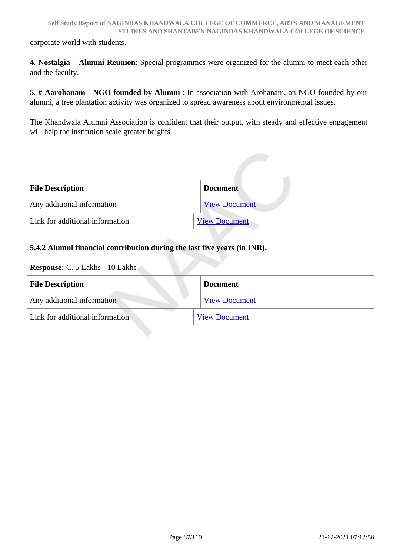corporate world with students.

**4**. **Nostalgia – Alumni Reunion**: Special programmes were organized for the alumni to meet each other and the faculty.

**5**. **# Aarohanam - NGO founded by Alumni** : In association with Arohanam, an NGO founded by our alumni, a tree plantation activity was organized to spread awareness about environmental issues.

The Khandwala Alumni Association is confident that their output, with steady and effective engagement will help the institution scale greater heights.

| <b>File Description</b>         | <b>Document</b>      |
|---------------------------------|----------------------|
| Any additional information      | <b>View Document</b> |
| Link for additional information | <b>View Document</b> |

| 5.4.2 Alumni financial contribution during the last five years (in INR). |                      |  |
|--------------------------------------------------------------------------|----------------------|--|
| <b>Response: C. 5 Lakhs - 10 Lakhs</b>                                   |                      |  |
| <b>File Description</b>                                                  | <b>Document</b>      |  |
| Any additional information                                               | <b>View Document</b> |  |
| Link for additional information                                          | <b>View Document</b> |  |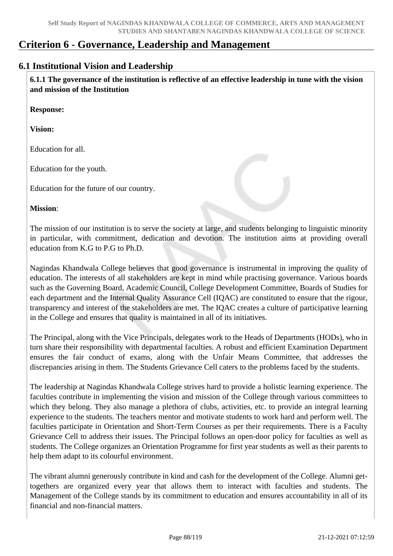# **Criterion 6 - Governance, Leadership and Management**

## **6.1 Institutional Vision and Leadership**

 **6.1.1 The governance of the institution is reflective of an effective leadership in tune with the vision and mission of the Institution**

**Response:** 

**Vision:**

Education for all.

Education for the youth.

Education for the future of our country.

**Mission**:

The mission of our institution is to serve the society at large, and students belonging to linguistic minority in particular, with commitment, dedication and devotion. The institution aims at providing overall education from K.G to P.G to Ph.D.

Nagindas Khandwala College believes that good governance is instrumental in improving the quality of education. The interests of all stakeholders are kept in mind while practising governance. Various boards such as the Governing Board, Academic Council, College Development Committee, Boards of Studies for each department and the Internal Quality Assurance Cell (IQAC) are constituted to ensure that the rigour, transparency and interest of the stakeholders are met. The IQAC creates a culture of participative learning in the College and ensures that quality is maintained in all of its initiatives.

The Principal, along with the Vice Principals, delegates work to the Heads of Departments (HODs), who in turn share their responsibility with departmental faculties. A robust and efficient Examination Department ensures the fair conduct of exams, along with the Unfair Means Committee, that addresses the discrepancies arising in them. The Students Grievance Cell caters to the problems faced by the students.

The leadership at Nagindas Khandwala College strives hard to provide a holistic learning experience. The faculties contribute in implementing the vision and mission of the College through various committees to which they belong. They also manage a plethora of clubs, activities, etc. to provide an integral learning experience to the students. The teachers mentor and motivate students to work hard and perform well. The faculties participate in Orientation and Short-Term Courses as per their requirements. There is a Faculty Grievance Cell to address their issues. The Principal follows an open-door policy for faculties as well as students. The College organizes an Orientation Programme for first year students as well as their parents to help them adapt to its colourful environment.

The vibrant alumni generously contribute in kind and cash for the development of the College. Alumni gettogethers are organized every year that allows them to interact with faculties and students. The Management of the College stands by its commitment to education and ensures accountability in all of its financial and non-financial matters.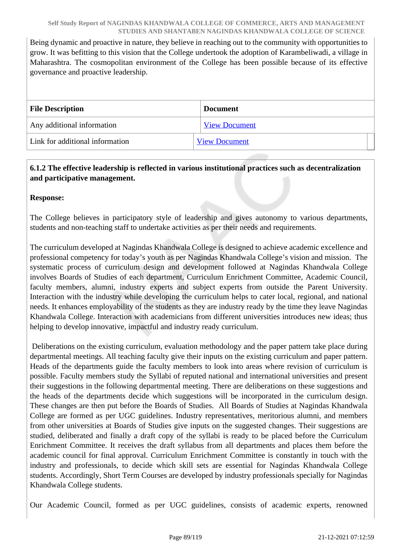Being dynamic and proactive in nature, they believe in reaching out to the community with opportunities to grow. It was befitting to this vision that the College undertook the adoption of Karambeliwadi, a village in Maharashtra. The cosmopolitan environment of the College has been possible because of its effective governance and proactive leadership.

| <b>File Description</b>         | <b>Document</b>      |  |
|---------------------------------|----------------------|--|
| Any additional information      | <b>View Document</b> |  |
| Link for additional information | <b>View Document</b> |  |

## **6.1.2 The effective leadership is reflected in various institutional practices such as decentralization and participative management.**

**Response:** 

The College believes in participatory style of leadership and gives autonomy to various departments, students and non-teaching staff to undertake activities as per their needs and requirements.

The curriculum developed at Nagindas Khandwala College is designed to achieve academic excellence and professional competency for today's youth as per Nagindas Khandwala College's vision and mission. The systematic process of curriculum design and development followed at Nagindas Khandwala College involves Boards of Studies of each department, Curriculum Enrichment Committee, Academic Council, faculty members, alumni, industry experts and subject experts from outside the Parent University. Interaction with the industry while developing the curriculum helps to cater local, regional, and national needs. It enhances employability of the students as they are industry ready by the time they leave Nagindas Khandwala College. Interaction with academicians from different universities introduces new ideas; thus helping to develop innovative, impactful and industry ready curriculum.

 Deliberations on the existing curriculum, evaluation methodology and the paper pattern take place during departmental meetings. All teaching faculty give their inputs on the existing curriculum and paper pattern. Heads of the departments guide the faculty members to look into areas where revision of curriculum is possible. Faculty members study the Syllabi of reputed national and international universities and present their suggestions in the following departmental meeting. There are deliberations on these suggestions and the heads of the departments decide which suggestions will be incorporated in the curriculum design. These changes are then put before the Boards of Studies. All Boards of Studies at Nagindas Khandwala College are formed as per UGC guidelines. Industry representatives, meritorious alumni, and members from other universities at Boards of Studies give inputs on the suggested changes. Their suggestions are studied, deliberated and finally a draft copy of the syllabi is ready to be placed before the Curriculum Enrichment Committee. It receives the draft syllabus from all departments and places them before the academic council for final approval. Curriculum Enrichment Committee is constantly in touch with the industry and professionals, to decide which skill sets are essential for Nagindas Khandwala College students. Accordingly, Short Term Courses are developed by industry professionals specially for Nagindas Khandwala College students.

Our Academic Council, formed as per UGC guidelines, consists of academic experts, renowned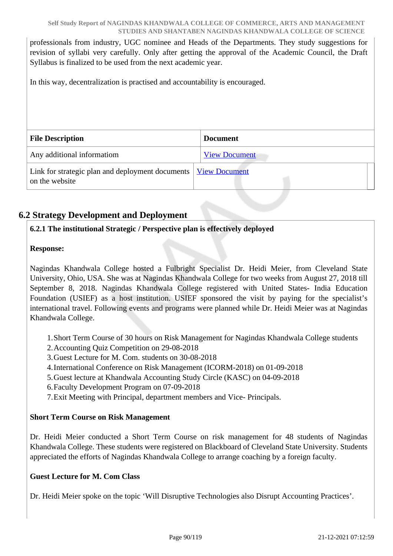professionals from industry, UGC nominee and Heads of the Departments. They study suggestions for revision of syllabi very carefully. Only after getting the approval of the Academic Council, the Draft Syllabus is finalized to be used from the next academic year.

In this way, decentralization is practised and accountability is encouraged.

| <b>File Description</b>                                                                   | <b>Document</b>      |
|-------------------------------------------------------------------------------------------|----------------------|
| Any additional informatiom                                                                | <b>View Document</b> |
| Link for strategic plan and deployment documents   <u>View Document</u><br>on the website |                      |

# **6.2 Strategy Development and Deployment**

## **6.2.1 The institutional Strategic / Perspective plan is effectively deployed**

## **Response:**

Nagindas Khandwala College hosted a Fulbright Specialist Dr. Heidi Meier, from Cleveland State University, Ohio, USA. She was at Nagindas Khandwala College for two weeks from August 27, 2018 till September 8, 2018. Nagindas Khandwala College registered with United States- India Education Foundation (USIEF) as a host institution. USIEF sponsored the visit by paying for the specialist's international travel. Following events and programs were planned while Dr. Heidi Meier was at Nagindas Khandwala College.

1.Short Term Course of 30 hours on Risk Management for Nagindas Khandwala College students

- 2.Accounting Quiz Competition on 29-08-2018
- 3.Guest Lecture for M. Com. students on 30-08-2018
- 4.International Conference on Risk Management (ICORM-2018) on 01-09-2018
- 5.Guest lecture at Khandwala Accounting Study Circle (KASC) on 04-09-2018

6.Faculty Development Program on 07-09-2018

7.Exit Meeting with Principal, department members and Vice- Principals.

### **Short Term Course on Risk Management**

Dr. Heidi Meier conducted a Short Term Course on risk management for 48 students of Nagindas Khandwala College. These students were registered on Blackboard of Cleveland State University. Students appreciated the efforts of Nagindas Khandwala College to arrange coaching by a foreign faculty.

### **Guest Lecture for M. Com Class**

Dr. Heidi Meier spoke on the topic 'Will Disruptive Technologies also Disrupt Accounting Practices'.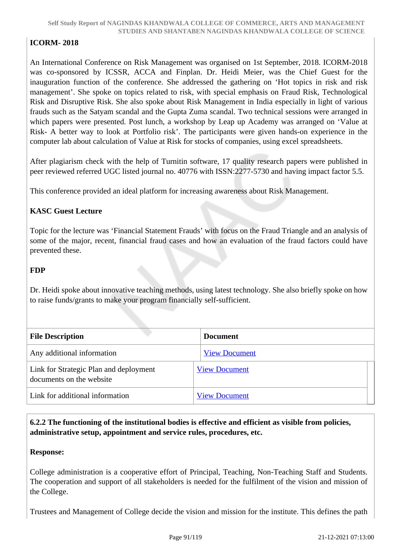## **ICORM- 2018**

An International Conference on Risk Management was organised on 1st September, 2018. ICORM-2018 was co-sponsored by ICSSR, ACCA and Finplan. Dr. Heidi Meier, was the Chief Guest for the inauguration function of the conference. She addressed the gathering on 'Hot topics in risk and risk management'. She spoke on topics related to risk, with special emphasis on Fraud Risk, Technological Risk and Disruptive Risk. She also spoke about Risk Management in India especially in light of various frauds such as the Satyam scandal and the Gupta Zuma scandal. Two technical sessions were arranged in which papers were presented. Post lunch, a workshop by Leap up Academy was arranged on 'Value at Risk- A better way to look at Portfolio risk'. The participants were given hands-on experience in the computer lab about calculation of Value at Risk for stocks of companies, using excel spreadsheets.

After plagiarism check with the help of Turnitin software, 17 quality research papers were published in peer reviewed referred UGC listed journal no. 40776 with ISSN:2277-5730 and having impact factor 5.5.

This conference provided an ideal platform for increasing awareness about Risk Management.

### **KASC Guest Lecture**

Topic for the lecture was 'Financial Statement Frauds' with focus on the Fraud Triangle and an analysis of some of the major, recent, financial fraud cases and how an evaluation of the fraud factors could have prevented these.

### **FDP**

Dr. Heidi spoke about innovative teaching methods, using latest technology. She also briefly spoke on how to raise funds/grants to make your program financially self-sufficient.

| <b>File Description</b>                | <b>Document</b>      |
|----------------------------------------|----------------------|
|                                        |                      |
| Any additional information             | <b>View Document</b> |
| Link for Strategic Plan and deployment | <b>View Document</b> |
| documents on the website               |                      |
| Link for additional information        | <b>View Document</b> |

 **6.2.2 The functioning of the institutional bodies is effective and efficient as visible from policies, administrative setup, appointment and service rules, procedures, etc.**

### **Response:**

College administration is a cooperative effort of Principal, Teaching, Non-Teaching Staff and Students. The cooperation and support of all stakeholders is needed for the fulfilment of the vision and mission of the College.

Trustees and Management of College decide the vision and mission for the institute. This defines the path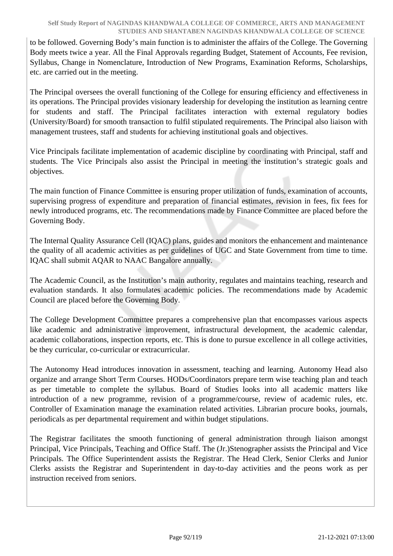to be followed. Governing Body's main function is to administer the affairs of the College. The Governing Body meets twice a year. All the Final Approvals regarding Budget, Statement of Accounts, Fee revision, Syllabus, Change in Nomenclature, Introduction of New Programs, Examination Reforms, Scholarships, etc. are carried out in the meeting.

The Principal oversees the overall functioning of the College for ensuring efficiency and effectiveness in its operations. The Principal provides visionary leadership for developing the institution as learning centre for students and staff. The Principal facilitates interaction with external regulatory bodies (University/Board) for smooth transaction to fulfil stipulated requirements. The Principal also liaison with management trustees, staff and students for achieving institutional goals and objectives.

Vice Principals facilitate implementation of academic discipline by coordinating with Principal, staff and students. The Vice Principals also assist the Principal in meeting the institution's strategic goals and objectives.

The main function of Finance Committee is ensuring proper utilization of funds, examination of accounts, supervising progress of expenditure and preparation of financial estimates, revision in fees, fix fees for newly introduced programs, etc. The recommendations made by Finance Committee are placed before the Governing Body.

The Internal Quality Assurance Cell (IQAC) plans, guides and monitors the enhancement and maintenance the quality of all academic activities as per guidelines of UGC and State Government from time to time. IQAC shall submit AQAR to NAAC Bangalore annually.

The Academic Council, as the Institution's main authority, regulates and maintains teaching, research and evaluation standards. It also formulates academic policies. The recommendations made by Academic Council are placed before the Governing Body.

The College Development Committee prepares a comprehensive plan that encompasses various aspects like academic and administrative improvement, infrastructural development, the academic calendar, academic collaborations, inspection reports, etc. This is done to pursue excellence in all college activities, be they curricular, co-curricular or extracurricular.

The Autonomy Head introduces innovation in assessment, teaching and learning. Autonomy Head also organize and arrange Short Term Courses. HODs/Coordinators prepare term wise teaching plan and teach as per timetable to complete the syllabus. Board of Studies looks into all academic matters like introduction of a new programme, revision of a programme/course, review of academic rules, etc. Controller of Examination manage the examination related activities. Librarian procure books, journals, periodicals as per departmental requirement and within budget stipulations.

The Registrar facilitates the smooth functioning of general administration through liaison amongst Principal, Vice Principals, Teaching and Office Staff. The (Jr.)Stenographer assists the Principal and Vice Principals. The Office Superintendent assists the Registrar. The Head Clerk, Senior Clerks and Junior Clerks assists the Registrar and Superintendent in day-to-day activities and the peons work as per instruction received from seniors.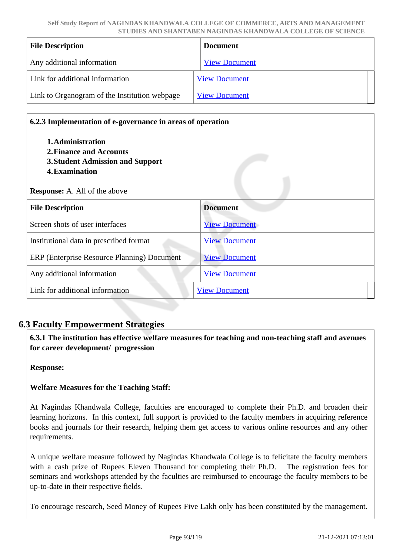| <b>File Description</b>                       | <b>Document</b>      |
|-----------------------------------------------|----------------------|
| Any additional information                    | <b>View Document</b> |
| Link for additional information               | <b>View Document</b> |
| Link to Organogram of the Institution webpage | <b>View Document</b> |

| 6.2.3 Implementation of e-governance in areas of operation<br>1. Administration<br>2. Finance and Accounts<br><b>3. Student Admission and Support</b><br>4. Examination<br><b>Response:</b> A. All of the above |                      |  |
|-----------------------------------------------------------------------------------------------------------------------------------------------------------------------------------------------------------------|----------------------|--|
| <b>File Description</b>                                                                                                                                                                                         | <b>Document</b>      |  |
| Screen shots of user interfaces                                                                                                                                                                                 | <b>View Document</b> |  |
| Institutional data in prescribed format                                                                                                                                                                         | <b>View Document</b> |  |
| ERP (Enterprise Resource Planning) Document                                                                                                                                                                     | <b>View Document</b> |  |
| Any additional information                                                                                                                                                                                      | <b>View Document</b> |  |
| Link for additional information                                                                                                                                                                                 | <b>View Document</b> |  |

## **6.3 Faculty Empowerment Strategies**

 **6.3.1 The institution has effective welfare measures for teaching and non-teaching staff and avenues for career development/ progression** 

**Response:** 

### **Welfare Measures for the Teaching Staff:**

At Nagindas Khandwala College, faculties are encouraged to complete their Ph.D. and broaden their learning horizons. In this context, full support is provided to the faculty members in acquiring reference books and journals for their research, helping them get access to various online resources and any other requirements.

A unique welfare measure followed by Nagindas Khandwala College is to felicitate the faculty members with a cash prize of Rupees Eleven Thousand for completing their Ph.D. The registration fees for seminars and workshops attended by the faculties are reimbursed to encourage the faculty members to be up-to-date in their respective fields.

To encourage research, Seed Money of Rupees Five Lakh only has been constituted by the management.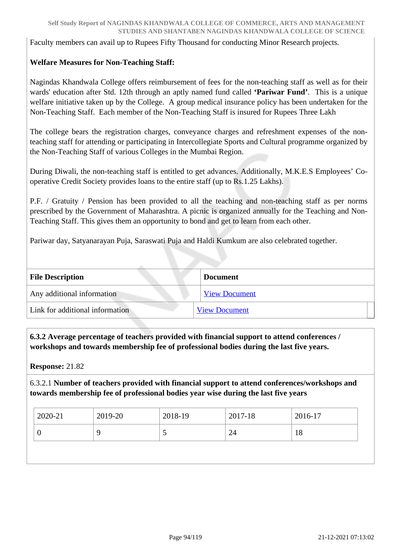Faculty members can avail up to Rupees Fifty Thousand for conducting Minor Research projects.

### **Welfare Measures for Non-Teaching Staff:**

Nagindas Khandwala College offers reimbursement of fees for the non-teaching staff as well as for their wards' education after Std. 12th through an aptly named fund called **'Pariwar Fund'**. This is a unique welfare initiative taken up by the College. A group medical insurance policy has been undertaken for the Non-Teaching Staff. Each member of the Non-Teaching Staff is insured for Rupees Three Lakh

The college bears the registration charges, conveyance charges and refreshment expenses of the nonteaching staff for attending or participating in Intercollegiate Sports and Cultural programme organized by the Non-Teaching Staff of various Colleges in the Mumbai Region.

During Diwali, the non-teaching staff is entitled to get advances. Additionally, M.K.E.S Employees' Cooperative Credit Society provides loans to the entire staff (up to Rs.1.25 Lakhs).

P.F. / Gratuity / Pension has been provided to all the teaching and non-teaching staff as per norms prescribed by the Government of Maharashtra. A picnic is organized annually for the Teaching and Non-Teaching Staff. This gives them an opportunity to bond and get to learn from each other.

Pariwar day, Satyanarayan Puja, Saraswati Puja and Haldi Kumkum are also celebrated together.

| <b>File Description</b>         | <b>Document</b>      |  |
|---------------------------------|----------------------|--|
| Any additional information      | <b>View Document</b> |  |
| Link for additional information | <b>View Document</b> |  |

 **6.3.2 Average percentage of teachers provided with financial support to attend conferences / workshops and towards membership fee of professional bodies during the last five years.**

**Response:** 21.82

6.3.2.1 **Number of teachers provided with financial support to attend conferences/workshops and towards membership fee of professional bodies year wise during the last five years**

| 2020-21 | 2019-20 | 2018-19 | $2017-18$ | 2016-17 |
|---------|---------|---------|-----------|---------|
|         |         | ັ       | 24        | 18      |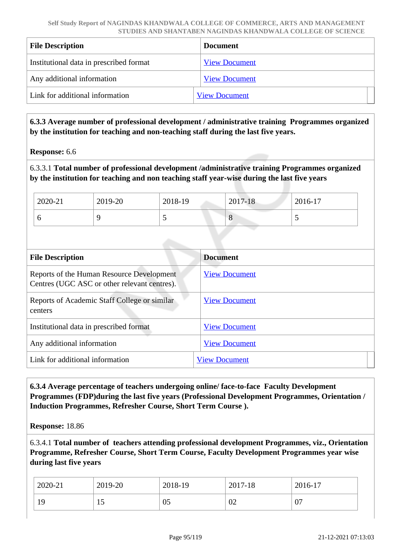| <b>File Description</b>                 | <b>Document</b>      |
|-----------------------------------------|----------------------|
| Institutional data in prescribed format | <b>View Document</b> |
| Any additional information              | <b>View Document</b> |
| Link for additional information         | <b>View Document</b> |

 **6.3.3 Average number of professional development / administrative training Programmes organized by the institution for teaching and non-teaching staff during the last five years.**

**Response:** 6.6

6.3.3.1 **Total number of professional development /administrative training Programmes organized by the institution for teaching and non teaching staff year-wise during the last five years**

| 2020-21 | 2019-20 | 2018-19 | $2017 - 18$   | 2016-17 |
|---------|---------|---------|---------------|---------|
|         |         |         | $\Omega$<br>Ő |         |

| <b>File Description</b>                                                                   | <b>Document</b>      |
|-------------------------------------------------------------------------------------------|----------------------|
| Reports of the Human Resource Development<br>Centres (UGC ASC or other relevant centres). | <b>View Document</b> |
| Reports of Academic Staff College or similar<br>centers                                   | <b>View Document</b> |
| Institutional data in prescribed format                                                   | <b>View Document</b> |
| Any additional information                                                                | <b>View Document</b> |
| Link for additional information                                                           | <b>View Document</b> |

 **6.3.4 Average percentage of teachers undergoing online/ face-to-face Faculty Development Programmes (FDP)during the last five years (Professional Development Programmes, Orientation / Induction Programmes, Refresher Course, Short Term Course ).**

**Response:** 18.86

6.3.4.1 **Total number of teachers attending professional development Programmes, viz., Orientation Programme, Refresher Course, Short Term Course, Faculty Development Programmes year wise during last five years**

| 2020-21 | 2019-20 | 2018-19 | 2017-18 | 2016-17 |
|---------|---------|---------|---------|---------|
| 19      | 15      | 05      | 02      | 07      |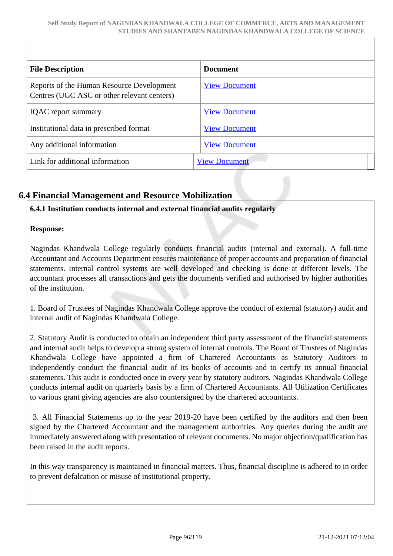| <b>File Description</b>                                                                  | <b>Document</b>      |
|------------------------------------------------------------------------------------------|----------------------|
| Reports of the Human Resource Development<br>Centres (UGC ASC or other relevant centers) | <b>View Document</b> |
| <b>IQAC</b> report summary                                                               | <b>View Document</b> |
| Institutional data in prescribed format                                                  | <b>View Document</b> |
| Any additional information                                                               | <b>View Document</b> |
| Link for additional information                                                          | <b>View Document</b> |

# **6.4 Financial Management and Resource Mobilization**

### **6.4.1 Institution conducts internal and external financial audits regularly**

#### **Response:**

Nagindas Khandwala College regularly conducts financial audits (internal and external). A full-time Accountant and Accounts Department ensures maintenance of proper accounts and preparation of financial statements. Internal control systems are well developed and checking is done at different levels. The accountant processes all transactions and gets the documents verified and authorised by higher authorities of the institution.

1. Board of Trustees of Nagindas Khandwala College approve the conduct of external (statutory) audit and internal audit of Nagindas Khandwala College.

2. Statutory Audit is conducted to obtain an independent third party assessment of the financial statements and internal audit helps to develop a strong system of internal controls. The Board of Trustees of Nagindas Khandwala College have appointed a firm of Chartered Accountants as Statutory Auditors to independently conduct the financial audit of its books of accounts and to certify its annual financial statements. This audit is conducted once in every year by statutory auditors. Nagindas Khandwala College conducts internal audit on quarterly basis by a firm of Chartered Accountants. All Utilization Certificates to various grant giving agencies are also countersigned by the chartered accountants.

 3. All Financial Statements up to the year 2019-20 have been certified by the auditors and then been signed by the Chartered Accountant and the management authorities. Any queries during the audit are immediately answered along with presentation of relevant documents. No major objection/qualification has been raised in the audit reports.

In this way transparency is maintained in financial matters. Thus, financial discipline is adhered to in order to prevent defalcation or misuse of institutional property.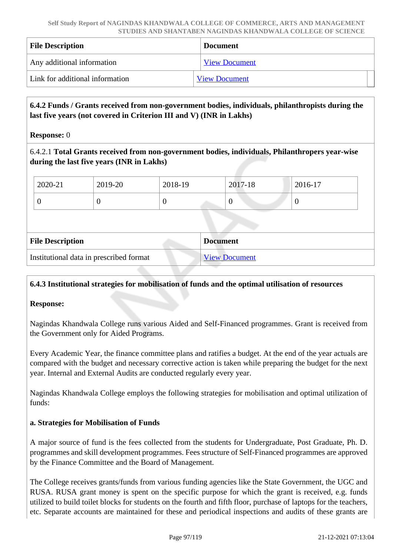| <b>File Description</b>         | <b>Document</b>      |  |
|---------------------------------|----------------------|--|
| Any additional information      | <b>View Document</b> |  |
| Link for additional information | <b>View Document</b> |  |

### **6.4.2 Funds / Grants received from non-government bodies, individuals, philanthropists during the last five years (not covered in Criterion III and V) (INR in Lakhs)**

**Response:** 0

6.4.2.1 **Total Grants received from non-government bodies, individuals, Philanthropers year-wise during the last five years (INR in Lakhs)**

| 2020-21 | 2019-20 | 2018-19 | 2017-18 | 2016-17 |
|---------|---------|---------|---------|---------|
|         | v       |         | U       |         |

| <b>File Description</b>                 | <b>Document</b>      |
|-----------------------------------------|----------------------|
| Institutional data in prescribed format | <b>View Document</b> |

### **6.4.3 Institutional strategies for mobilisation of funds and the optimal utilisation of resources**

#### **Response:**

Nagindas Khandwala College runs various Aided and Self-Financed programmes. Grant is received from the Government only for Aided Programs.

Every Academic Year, the finance committee plans and ratifies a budget. At the end of the year actuals are compared with the budget and necessary corrective action is taken while preparing the budget for the next year. Internal and External Audits are conducted regularly every year.

Nagindas Khandwala College employs the following strategies for mobilisation and optimal utilization of funds:

#### **a. Strategies for Mobilisation of Funds**

A major source of fund is the fees collected from the students for Undergraduate, Post Graduate, Ph. D. programmes and skill development programmes. Fees structure of Self-Financed programmes are approved by the Finance Committee and the Board of Management.

The College receives grants/funds from various funding agencies like the State Government, the UGC and RUSA. RUSA grant money is spent on the specific purpose for which the grant is received, e.g. funds utilized to build toilet blocks for students on the fourth and fifth floor, purchase of laptops for the teachers, etc. Separate accounts are maintained for these and periodical inspections and audits of these grants are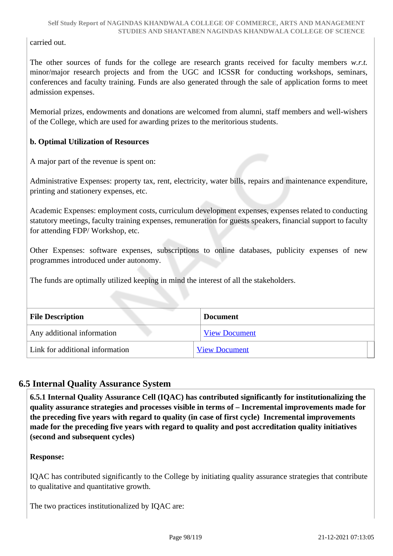carried out.

The other sources of funds for the college are research grants received for faculty members *w.r.t.* minor/major research projects and from the UGC and ICSSR for conducting workshops, seminars, conferences and faculty training. Funds are also generated through the sale of application forms to meet admission expenses.

Memorial prizes, endowments and donations are welcomed from alumni, staff members and well-wishers of the College, which are used for awarding prizes to the meritorious students.

### **b. Optimal Utilization of Resources**

A major part of the revenue is spent on:

Administrative Expenses: property tax, rent, electricity, water bills, repairs and maintenance expenditure, printing and stationery expenses, etc.

Academic Expenses: employment costs, curriculum development expenses, expenses related to conducting statutory meetings, faculty training expenses, remuneration for guests speakers, financial support to faculty for attending FDP/ Workshop, etc.

Other Expenses: software expenses, subscriptions to online databases, publicity expenses of new programmes introduced under autonomy.

The funds are optimally utilized keeping in mind the interest of all the stakeholders.

| <b>File Description</b>         | <b>Document</b>      |
|---------------------------------|----------------------|
| Any additional information      | <b>View Document</b> |
| Link for additional information | <b>View Document</b> |

# **6.5 Internal Quality Assurance System**

 **6.5.1 Internal Quality Assurance Cell (IQAC) has contributed significantly for institutionalizing the quality assurance strategies and processes visible in terms of – Incremental improvements made for the preceding five years with regard to quality (in case of first cycle) Incremental improvements made for the preceding five years with regard to quality and post accreditation quality initiatives (second and subsequent cycles)** 

### **Response:**

IQAC has contributed significantly to the College by initiating quality assurance strategies that contribute to qualitative and quantitative growth.

The two practices institutionalized by IQAC are: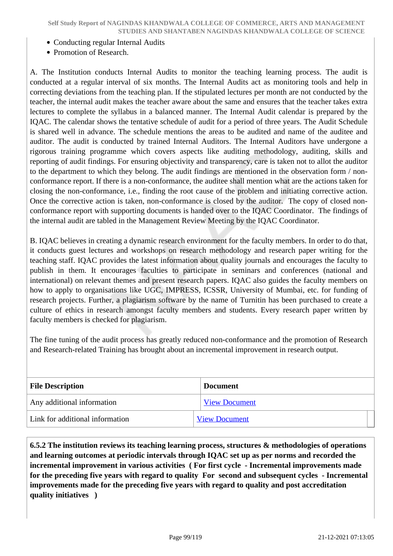- Conducting regular Internal Audits
- Promotion of Research.

A. The Institution conducts Internal Audits to monitor the teaching learning process. The audit is conducted at a regular interval of six months. The Internal Audits act as monitoring tools and help in correcting deviations from the teaching plan. If the stipulated lectures per month are not conducted by the teacher, the internal audit makes the teacher aware about the same and ensures that the teacher takes extra lectures to complete the syllabus in a balanced manner. The Internal Audit calendar is prepared by the IQAC. The calendar shows the tentative schedule of audit for a period of three years. The Audit Schedule is shared well in advance. The schedule mentions the areas to be audited and name of the auditee and auditor. The audit is conducted by trained Internal Auditors. The Internal Auditors have undergone a rigorous training programme which covers aspects like auditing methodology, auditing, skills and reporting of audit findings. For ensuring objectivity and transparency, care is taken not to allot the auditor to the department to which they belong. The audit findings are mentioned in the observation form / nonconformance report. If there is a non-conformance, the auditee shall mention what are the actions taken for closing the non-conformance, i.e., finding the root cause of the problem and initiating corrective action. Once the corrective action is taken, non-conformance is closed by the auditor. The copy of closed nonconformance report with supporting documents is handed over to the IQAC Coordinator. The findings of the internal audit are tabled in the Management Review Meeting by the IQAC Coordinator.

B. IQAC believes in creating a dynamic research environment for the faculty members. In order to do that, it conducts guest lectures and workshops on research methodology and research paper writing for the teaching staff. IQAC provides the latest information about quality journals and encourages the faculty to publish in them. It encourages faculties to participate in seminars and conferences (national and international) on relevant themes and present research papers. IQAC also guides the faculty members on how to apply to organisations like UGC, IMPRESS, ICSSR, University of Mumbai, etc. for funding of research projects. Further, a plagiarism software by the name of Turnitin has been purchased to create a culture of ethics in research amongst faculty members and students. Every research paper written by faculty members is checked for plagiarism.

The fine tuning of the audit process has greatly reduced non-conformance and the promotion of Research and Research-related Training has brought about an incremental improvement in research output.

| <b>File Description</b>         | <b>Document</b>      |  |
|---------------------------------|----------------------|--|
| Any additional information      | <b>View Document</b> |  |
| Link for additional information | <b>View Document</b> |  |

 **6.5.2 The institution reviews its teaching learning process, structures & methodologies of operations and learning outcomes at periodic intervals through IQAC set up as per norms and recorded the incremental improvement in various activities ( For first cycle - Incremental improvements made for the preceding five years with regard to quality For second and subsequent cycles - Incremental improvements made for the preceding five years with regard to quality and post accreditation quality initiatives )**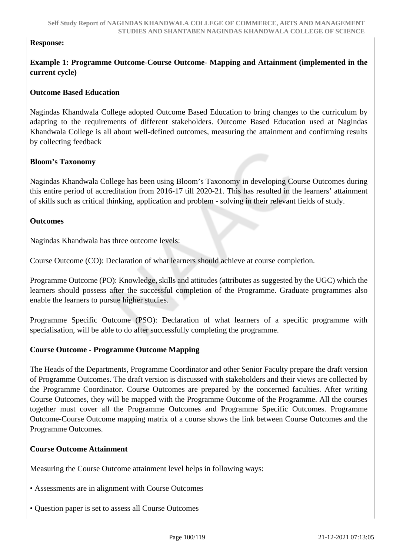#### **Response:**

### **Example 1: Programme Outcome-Course Outcome- Mapping and Attainment (implemented in the current cycle)**

#### **Outcome Based Education**

Nagindas Khandwala College adopted Outcome Based Education to bring changes to the curriculum by adapting to the requirements of different stakeholders. Outcome Based Education used at Nagindas Khandwala College is all about well-defined outcomes, measuring the attainment and confirming results by collecting feedback

#### **Bloom's Taxonomy**

Nagindas Khandwala College has been using Bloom's Taxonomy in developing Course Outcomes during this entire period of accreditation from 2016-17 till 2020-21. This has resulted in the learners' attainment of skills such as critical thinking, application and problem - solving in their relevant fields of study.

#### **Outcomes**

Nagindas Khandwala has three outcome levels:

Course Outcome (CO): Declaration of what learners should achieve at course completion.

Programme Outcome (PO): Knowledge, skills and attitudes (attributes as suggested by the UGC) which the learners should possess after the successful completion of the Programme. Graduate programmes also enable the learners to pursue higher studies.

Programme Specific Outcome (PSO): Declaration of what learners of a specific programme with specialisation, will be able to do after successfully completing the programme.

#### **Course Outcome - Programme Outcome Mapping**

The Heads of the Departments, Programme Coordinator and other Senior Faculty prepare the draft version of Programme Outcomes. The draft version is discussed with stakeholders and their views are collected by the Programme Coordinator. Course Outcomes are prepared by the concerned faculties. After writing Course Outcomes, they will be mapped with the Programme Outcome of the Programme. All the courses together must cover all the Programme Outcomes and Programme Specific Outcomes. Programme Outcome-Course Outcome mapping matrix of a course shows the link between Course Outcomes and the Programme Outcomes.

#### **Course Outcome Attainment**

Measuring the Course Outcome attainment level helps in following ways:

- Assessments are in alignment with Course Outcomes
- Question paper is set to assess all Course Outcomes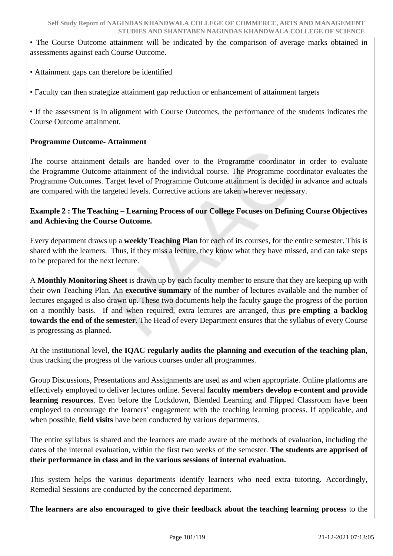• The Course Outcome attainment will be indicated by the comparison of average marks obtained in assessments against each Course Outcome.

• Attainment gaps can therefore be identified

• Faculty can then strategize attainment gap reduction or enhancement of attainment targets

• If the assessment is in alignment with Course Outcomes, the performance of the students indicates the Course Outcome attainment.

### **Programme Outcome- Attainment**

The course attainment details are handed over to the Programme coordinator in order to evaluate the Programme Outcome attainment of the individual course. The Programme coordinator evaluates the Programme Outcomes. Target level of Programme Outcome attainment is decided in advance and actuals are compared with the targeted levels. Corrective actions are taken wherever necessary.

### **Example 2 : The Teaching – Learning Process of our College Focuses on Defining Course Objectives and Achieving the Course Outcome.**

Every department draws up a **weekly Teaching Plan** for each of its courses, for the entire semester. This is shared with the learners. Thus, if they miss a lecture, they know what they have missed, and can take steps to be prepared for the next lecture.

A **Monthly Monitoring Sheet** is drawn up by each faculty member to ensure that they are keeping up with their own Teaching Plan. An **executive summary** of the number of lectures available and the number of lectures engaged is also drawn up. These two documents help the faculty gauge the progress of the portion on a monthly basis. If and when required, extra lectures are arranged, thus **pre-empting a backlog towards the end of the semester**. The Head of every Department ensures that the syllabus of every Course is progressing as planned.

At the institutional level, **the IQAC regularly audits the planning and execution of the teaching plan**, thus tracking the progress of the various courses under all programmes.

Group Discussions, Presentations and Assignments are used as and when appropriate. Online platforms are effectively employed to deliver lectures online. Several **faculty members develop e-content and provide learning resources**. Even before the Lockdown, Blended Learning and Flipped Classroom have been employed to encourage the learners' engagement with the teaching learning process. If applicable, and when possible, **field visits** have been conducted by various departments.

The entire syllabus is shared and the learners are made aware of the methods of evaluation, including the dates of the internal evaluation, within the first two weeks of the semester. **The students are apprised of their performance in class and in the various sessions of internal evaluation.**

This system helps the various departments identify learners who need extra tutoring. Accordingly, Remedial Sessions are conducted by the concerned department.

**The learners are also encouraged to give their feedback about the teaching learning process** to the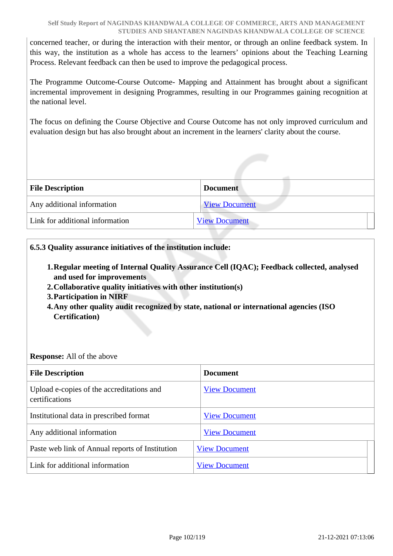concerned teacher, or during the interaction with their mentor, or through an online feedback system. In this way, the institution as a whole has access to the learners' opinions about the Teaching Learning Process. Relevant feedback can then be used to improve the pedagogical process.

The Programme Outcome-Course Outcome- Mapping and Attainment has brought about a significant incremental improvement in designing Programmes, resulting in our Programmes gaining recognition at the national level.

The focus on defining the Course Objective and Course Outcome has not only improved curriculum and evaluation design but has also brought about an increment in the learners' clarity about the course.

| <b>File Description</b>         | <b>Document</b>      |
|---------------------------------|----------------------|
| Any additional information      | <b>View Document</b> |
| Link for additional information | <b>View Document</b> |

### **6.5.3 Quality assurance initiatives of the institution include:**

- **1.Regular meeting of Internal Quality Assurance Cell (IQAC); Feedback collected, analysed and used for improvements**
- **2.Collaborative quality initiatives with other institution(s)**
- **3.Participation in NIRF**
- **4.Any other quality audit recognized by state, national or international agencies (ISO Certification)**

### **Response:** All of the above

| <b>File Description</b>                                     | <b>Document</b>      |
|-------------------------------------------------------------|----------------------|
| Upload e-copies of the accreditations and<br>certifications | <b>View Document</b> |
| Institutional data in prescribed format                     | <b>View Document</b> |
| Any additional information                                  | <b>View Document</b> |
| Paste web link of Annual reports of Institution             | <b>View Document</b> |
| Link for additional information                             | <b>View Document</b> |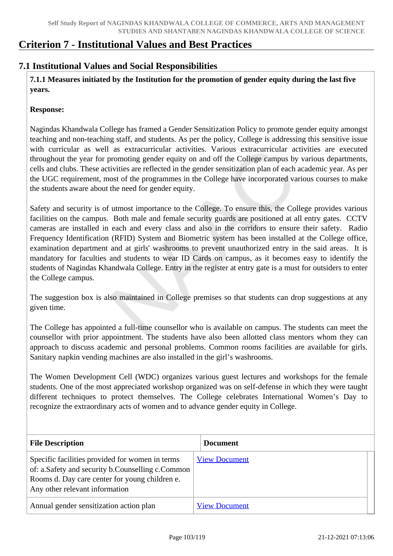# **Criterion 7 - Institutional Values and Best Practices**

## **7.1 Institutional Values and Social Responsibilities**

 **7.1.1 Measures initiated by the Institution for the promotion of gender equity during the last five years.**

#### **Response:**

Nagindas Khandwala College has framed a Gender Sensitization Policy to promote gender equity amongst teaching and non-teaching staff, and students. As per the policy, College is addressing this sensitive issue with curricular as well as extracurricular activities. Various extracurricular activities are executed throughout the year for promoting gender equity on and off the College campus by various departments, cells and clubs. These activities are reflected in the gender sensitization plan of each academic year. As per the UGC requirement, most of the programmes in the College have incorporated various courses to make the students aware about the need for gender equity.

Safety and security is of utmost importance to the College. To ensure this, the College provides various facilities on the campus. Both male and female security guards are positioned at all entry gates. CCTV cameras are installed in each and every class and also in the corridors to ensure their safety. Radio Frequency Identification (RFID) System and Biometric system has been installed at the College office, examination department and at girls' washrooms to prevent unauthorized entry in the said areas. It is mandatory for faculties and students to wear ID Cards on campus, as it becomes easy to identify the students of Nagindas Khandwala College. Entry in the register at entry gate is a must for outsiders to enter the College campus.

The suggestion box is also maintained in College premises so that students can drop suggestions at any given time.

The College has appointed a full-time counsellor who is available on campus. The students can meet the counsellor with prior appointment. The students have also been allotted class mentors whom they can approach to discuss academic and personal problems. Common rooms facilities are available for girls. Sanitary napkin vending machines are also installed in the girl's washrooms.

The Women Development Cell (WDC) organizes various guest lectures and workshops for the female students. One of the most appreciated workshop organized was on self-defense in which they were taught different techniques to protect themselves. The College celebrates International Women's Day to recognize the extraordinary acts of women and to advance gender equity in College.

| <b>File Description</b>                                                                                                                                                                 | <b>Document</b>      |
|-----------------------------------------------------------------------------------------------------------------------------------------------------------------------------------------|----------------------|
| Specific facilities provided for women in terms<br>of: a.Safety and security b.Counselling c.Common<br>Rooms d. Day care center for young children e.<br>Any other relevant information | <b>View Document</b> |
| Annual gender sensitization action plan                                                                                                                                                 | <b>View Document</b> |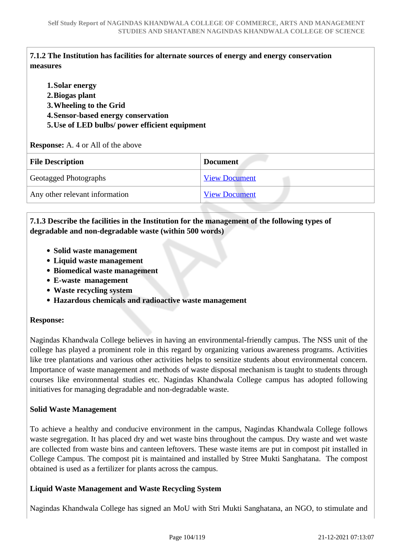## **7.1.2 The Institution has facilities for alternate sources of energy and energy conservation measures**

| 1. Solar energy<br>2. Biogas plant<br>3. Wheeling to the Grid<br>4. Sensor-based energy conservation<br>5. Use of LED bulbs/ power efficient equipment<br><b>Response:</b> A. 4 or All of the above |                      |
|-----------------------------------------------------------------------------------------------------------------------------------------------------------------------------------------------------|----------------------|
| <b>File Description</b>                                                                                                                                                                             | <b>Document</b>      |
| Geotagged Photographs                                                                                                                                                                               | <b>View Document</b> |
| Any other relevant information                                                                                                                                                                      | <b>View Document</b> |

## **7.1.3 Describe the facilities in the Institution for the management of the following types of degradable and non-degradable waste (within 500 words)**

- **Solid waste management**
- **Liquid waste management**
- **Biomedical waste management**
- **E-waste management**
- **Waste recycling system**
- **Hazardous chemicals and radioactive waste management**

### **Response:**

Nagindas Khandwala College believes in having an environmental-friendly campus. The NSS unit of the college has played a prominent role in this regard by organizing various awareness programs. Activities like tree plantations and various other activities helps to sensitize students about environmental concern. Importance of waste management and methods of waste disposal mechanism is taught to students through courses like environmental studies etc. Nagindas Khandwala College campus has adopted following initiatives for managing degradable and non-degradable waste.

### **Solid Waste Management**

To achieve a healthy and conducive environment in the campus, Nagindas Khandwala College follows waste segregation. It has placed dry and wet waste bins throughout the campus. Dry waste and wet waste are collected from waste bins and canteen leftovers. These waste items are put in compost pit installed in College Campus. The compost pit is maintained and installed by Stree Mukti Sanghatana. The compost obtained is used as a fertilizer for plants across the campus.

### **Liquid Waste Management and Waste Recycling System**

Nagindas Khandwala College has signed an MoU with Stri Mukti Sanghatana, an NGO, to stimulate and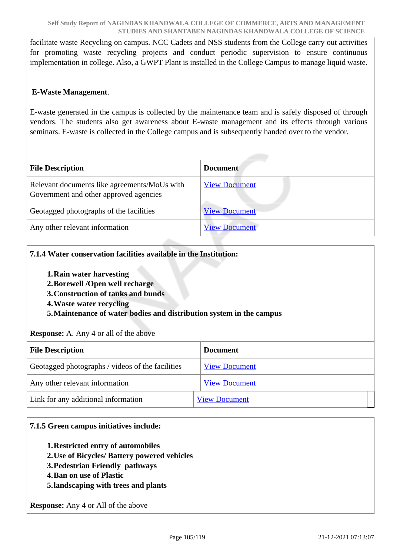facilitate waste Recycling on campus. NCC Cadets and NSS students from the College carry out activities for promoting waste recycling projects and conduct periodic supervision to ensure continuous implementation in college. Also, a GWPT Plant is installed in the College Campus to manage liquid waste.

### **E-Waste Management**.

E-waste generated in the campus is collected by the maintenance team and is safely disposed of through vendors. The students also get awareness about E-waste management and its effects through various seminars. E-waste is collected in the College campus and is subsequently handed over to the vendor.

| <b>File Description</b>                                                                | <b>Document</b>      |
|----------------------------------------------------------------------------------------|----------------------|
| Relevant documents like agreements/MoUs with<br>Government and other approved agencies | <b>View Document</b> |
| Geotagged photographs of the facilities                                                | <b>View Document</b> |
| Any other relevant information                                                         | <b>View Document</b> |

### **7.1.4 Water conservation facilities available in the Institution:**

- **1.Rain water harvesting**
- **2.Borewell /Open well recharge**
- **3.Construction of tanks and bunds**
- **4.Waste water recycling**

**5.Maintenance of water bodies and distribution system in the campus**

**Response:** A. Any 4 or all of the above

| <b>File Description</b>                          | <b>Document</b>      |
|--------------------------------------------------|----------------------|
| Geotagged photographs / videos of the facilities | <b>View Document</b> |
| Any other relevant information                   | <b>View Document</b> |
| Link for any additional information              | <b>View Document</b> |

### **7.1.5 Green campus initiatives include:**

- **1.Restricted entry of automobiles**
- **2.Use of Bicycles/ Battery powered vehicles**
- **3.Pedestrian Friendly pathways**
- **4.Ban on use of Plastic**
- **5.landscaping with trees and plants**

**Response:** Any 4 or All of the above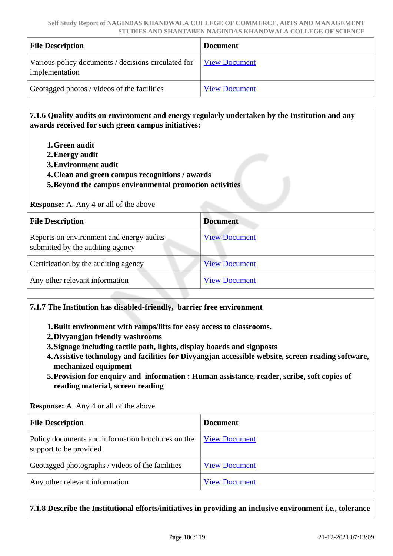| <b>File Description</b>                                               | <b>Document</b>      |
|-----------------------------------------------------------------------|----------------------|
| Various policy documents / decisions circulated for<br>implementation | View Document        |
| Geotagged photos / videos of the facilities                           | <b>View Document</b> |

 **7.1.6 Quality audits on environment and energy regularly undertaken by the Institution and any awards received for such green campus initiatives:**

- **1.Green audit**
- **2.Energy audit**
- **3.Environment audit**
- **4.Clean and green campus recognitions / awards**
- **5.Beyond the campus environmental promotion activities**

**Response:** A. Any 4 or all of the above

| <b>File Description</b>                                                      | <b>Document</b>      |
|------------------------------------------------------------------------------|----------------------|
| Reports on environment and energy audits<br>submitted by the auditing agency | <b>View Document</b> |
| Certification by the auditing agency                                         | <b>View Document</b> |
| Any other relevant information                                               | <b>View Document</b> |

#### **7.1.7 The Institution has disabled-friendly, barrier free environment**

**1.Built environment with ramps/lifts for easy access to classrooms.**

- **2.Divyangjan friendly washrooms**
- **3.Signage including tactile path, lights, display boards and signposts**
- **4.Assistive technology and facilities for Divyangjan accessible website, screen-reading software, mechanized equipment**
- **5.Provision for enquiry and information : Human assistance, reader, scribe, soft copies of reading material, screen reading**

**Response:** A. Any 4 or all of the above

| <b>File Description</b>                                                     | <b>Document</b>      |
|-----------------------------------------------------------------------------|----------------------|
| Policy documents and information brochures on the<br>support to be provided | <b>View Document</b> |
| Geotagged photographs / videos of the facilities                            | <b>View Document</b> |
| Any other relevant information                                              | <b>View Document</b> |

### **7.1.8 Describe the Institutional efforts/initiatives in providing an inclusive environment i.e., tolerance**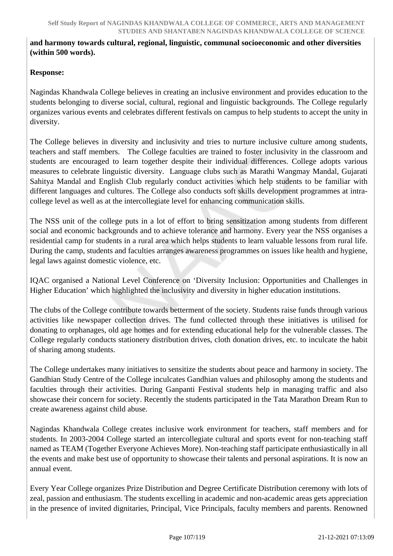### **and harmony towards cultural, regional, linguistic, communal socioeconomic and other diversities (within 500 words).**

## **Response:**

Nagindas Khandwala College believes in creating an inclusive environment and provides education to the students belonging to diverse social, cultural, regional and linguistic backgrounds. The College regularly organizes various events and celebrates different festivals on campus to help students to accept the unity in diversity.

The College believes in diversity and inclusivity and tries to nurture inclusive culture among students, teachers and staff members. The College faculties are trained to foster inclusivity in the classroom and students are encouraged to learn together despite their individual differences. College adopts various measures to celebrate linguistic diversity. Language clubs such as Marathi Wangmay Mandal, Gujarati Sahitya Mandal and English Club regularly conduct activities which help students to be familiar with different languages and cultures. The College also conducts soft skills development programmes at intracollege level as well as at the intercollegiate level for enhancing communication skills.

The NSS unit of the college puts in a lot of effort to bring sensitization among students from different social and economic backgrounds and to achieve tolerance and harmony. Every year the NSS organises a residential camp for students in a rural area which helps students to learn valuable lessons from rural life. During the camp, students and faculties arranges awareness programmes on issues like health and hygiene, legal laws against domestic violence, etc.

IQAC organised a National Level Conference on 'Diversity Inclusion: Opportunities and Challenges in Higher Education' which highlighted the inclusivity and diversity in higher education institutions.

The clubs of the College contribute towards betterment of the society. Students raise funds through various activities like newspaper collection drives. The fund collected through these initiatives is utilised for donating to orphanages, old age homes and for extending educational help for the vulnerable classes. The College regularly conducts stationery distribution drives, cloth donation drives, etc. to inculcate the habit of sharing among students.

The College undertakes many initiatives to sensitize the students about peace and harmony in society. The Gandhian Study Centre of the College inculcates Gandhian values and philosophy among the students and faculties through their activities. During Ganpanti Festival students help in managing traffic and also showcase their concern for society. Recently the students participated in the Tata Marathon Dream Run to create awareness against child abuse.

Nagindas Khandwala College creates inclusive work environment for teachers, staff members and for students. In 2003-2004 College started an intercollegiate cultural and sports event for non-teaching staff named as TEAM (Together Everyone Achieves More). Non-teaching staff participate enthusiastically in all the events and make best use of opportunity to showcase their talents and personal aspirations. It is now an annual event.

Every Year College organizes Prize Distribution and Degree Certificate Distribution ceremony with lots of zeal, passion and enthusiasm. The students excelling in academic and non-academic areas gets appreciation in the presence of invited dignitaries, Principal, Vice Principals, faculty members and parents. Renowned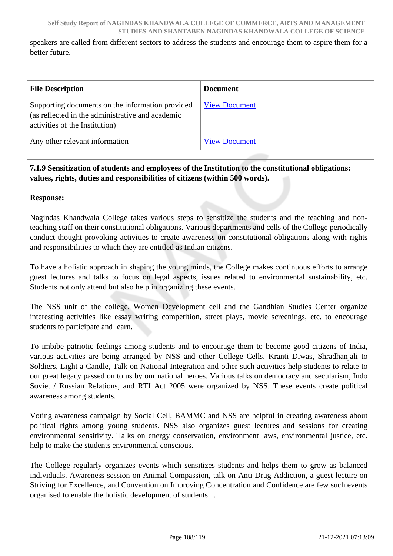speakers are called from different sectors to address the students and encourage them to aspire them for a better future.

| <b>File Description</b>                                                                                                                | <b>Document</b>      |
|----------------------------------------------------------------------------------------------------------------------------------------|----------------------|
| Supporting documents on the information provided<br>(as reflected in the administrative and academic<br>activities of the Institution) | <b>View Document</b> |
| Any other relevant information                                                                                                         | <b>View Document</b> |

## **7.1.9 Sensitization of students and employees of the Institution to the constitutional obligations: values, rights, duties and responsibilities of citizens (within 500 words).**

**Response:** 

Nagindas Khandwala College takes various steps to sensitize the students and the teaching and nonteaching staff on their constitutional obligations. Various departments and cells of the College periodically conduct thought provoking activities to create awareness on constitutional obligations along with rights and responsibilities to which they are entitled as Indian citizens.

To have a holistic approach in shaping the young minds, the College makes continuous efforts to arrange guest lectures and talks to focus on legal aspects, issues related to environmental sustainability, etc. Students not only attend but also help in organizing these events.

The NSS unit of the college, Women Development cell and the Gandhian Studies Center organize interesting activities like essay writing competition, street plays, movie screenings, etc. to encourage students to participate and learn.

To imbibe patriotic feelings among students and to encourage them to become good citizens of India, various activities are being arranged by NSS and other College Cells. Kranti Diwas, Shradhanjali to Soldiers, Light a Candle, Talk on National Integration and other such activities help students to relate to our great legacy passed on to us by our national heroes. Various talks on democracy and secularism, Indo Soviet / Russian Relations, and RTI Act 2005 were organized by NSS. These events create political awareness among students.

Voting awareness campaign by Social Cell, BAMMC and NSS are helpful in creating awareness about political rights among young students. NSS also organizes guest lectures and sessions for creating environmental sensitivity. Talks on energy conservation, environment laws, environmental justice, etc. help to make the students environmental conscious.

The College regularly organizes events which sensitizes students and helps them to grow as balanced individuals. Awareness session on Animal Compassion, talk on Anti-Drug Addiction, a guest lecture on Striving for Excellence, and Convention on Improving Concentration and Confidence are few such events organised to enable the holistic development of students. .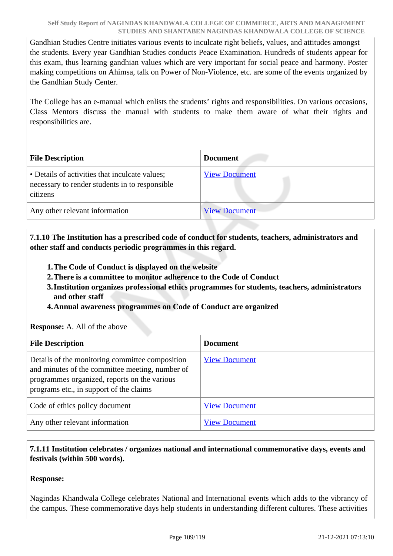Gandhian Studies Centre initiates various events to inculcate right beliefs, values, and attitudes amongst the students. Every year Gandhian Studies conducts Peace Examination. Hundreds of students appear for this exam, thus learning gandhian values which are very important for social peace and harmony. Poster making competitions on Ahimsa, talk on Power of Non-Violence, etc. are some of the events organized by the Gandhian Study Center.

The College has an e-manual which enlists the students' rights and responsibilities. On various occasions, Class Mentors discuss the manual with students to make them aware of what their rights and responsibilities are.

| <b>File Description</b>                                                                                      | <b>Document</b>      |
|--------------------------------------------------------------------------------------------------------------|----------------------|
| • Details of activities that inculcate values;<br>necessary to render students in to responsible<br>citizens | <b>View Document</b> |
| Any other relevant information                                                                               | <b>View Document</b> |

 **7.1.10 The Institution has a prescribed code of conduct for students, teachers, administrators and other staff and conducts periodic programmes in this regard.** 

- **1.The Code of Conduct is displayed on the website**
- **2.There is a committee to monitor adherence to the Code of Conduct**
- **3.Institution organizes professional ethics programmes for students, teachers, administrators and other staff**
- **4.Annual awareness programmes on Code of Conduct are organized**

#### **Response:** A. All of the above

| <b>File Description</b>                                                                                                                                                                       | <b>Document</b>      |
|-----------------------------------------------------------------------------------------------------------------------------------------------------------------------------------------------|----------------------|
| Details of the monitoring committee composition<br>and minutes of the committee meeting, number of<br>programmes organized, reports on the various<br>programs etc., in support of the claims | <b>View Document</b> |
| Code of ethics policy document                                                                                                                                                                | <b>View Document</b> |
| Any other relevant information                                                                                                                                                                | <b>View Document</b> |

## **7.1.11 Institution celebrates / organizes national and international commemorative days, events and festivals (within 500 words).**

## **Response:**

Nagindas Khandwala College celebrates National and International events which adds to the vibrancy of the campus. These commemorative days help students in understanding different cultures. These activities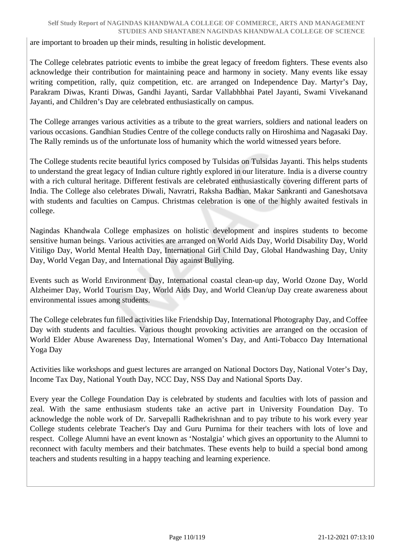are important to broaden up their minds, resulting in holistic development.

The College celebrates patriotic events to imbibe the great legacy of freedom fighters. These events also acknowledge their contribution for maintaining peace and harmony in society. Many events like essay writing competition, rally, quiz competition, etc. are arranged on Independence Day. Martyr's Day, Parakram Diwas, Kranti Diwas, Gandhi Jayanti, Sardar Vallabhbhai Patel Jayanti, Swami Vivekanand Jayanti, and Children's Day are celebrated enthusiastically on campus.

The College arranges various activities as a tribute to the great warriers, soldiers and national leaders on various occasions. Gandhian Studies Centre of the college conducts rally on Hiroshima and Nagasaki Day. The Rally reminds us of the unfortunate loss of humanity which the world witnessed years before.

The College students recite beautiful lyrics composed by Tulsidas on Tulsidas Jayanti. This helps students to understand the great legacy of Indian culture rightly explored in our literature. India is a diverse country with a rich cultural heritage. Different festivals are celebrated enthusiastically covering different parts of India. The College also celebrates Diwali, Navratri, Raksha Badhan, Makar Sankranti and Ganeshotsava with students and faculties on Campus. Christmas celebration is one of the highly awaited festivals in college.

Nagindas Khandwala College emphasizes on holistic development and inspires students to become sensitive human beings. Various activities are arranged on World Aids Day, World Disability Day, World Vitiligo Day, World Mental Health Day, International Girl Child Day, Global Handwashing Day, Unity Day, World Vegan Day, and International Day against Bullying.

Events such as World Environment Day, International coastal clean-up day, World Ozone Day, World Alzheimer Day, World Tourism Day, World Aids Day, and World Clean/up Day create awareness about environmental issues among students.

The College celebrates fun filled activities like Friendship Day, International Photography Day, and Coffee Day with students and faculties. Various thought provoking activities are arranged on the occasion of World Elder Abuse Awareness Day, International Women's Day, and Anti-Tobacco Day International Yoga Day

Activities like workshops and guest lectures are arranged on National Doctors Day, National Voter's Day, Income Tax Day, National Youth Day, NCC Day, NSS Day and National Sports Day.

Every year the College Foundation Day is celebrated by students and faculties with lots of passion and zeal. With the same enthusiasm students take an active part in University Foundation Day. To acknowledge the noble work of Dr. Sarvepalli Radhekrishnan and to pay tribute to his work every year College students celebrate Teacher's Day and Guru Purnima for their teachers with lots of love and respect. College Alumni have an event known as 'Nostalgia' which gives an opportunity to the Alumni to reconnect with faculty members and their batchmates. These events help to build a special bond among teachers and students resulting in a happy teaching and learning experience.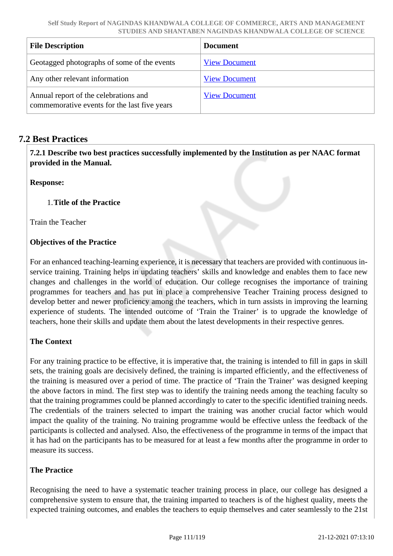| <b>File Description</b>                                                               | <b>Document</b>      |
|---------------------------------------------------------------------------------------|----------------------|
| Geotagged photographs of some of the events                                           | <b>View Document</b> |
| Any other relevant information                                                        | <b>View Document</b> |
| Annual report of the celebrations and<br>commemorative events for the last five years | <b>View Document</b> |

## **7.2 Best Practices**

 **7.2.1 Describe two best practices successfully implemented by the Institution as per NAAC format provided in the Manual.**

**Response:** 

### 1.**Title of the Practice**

Train the Teacher

## **Objectives of the Practice**

For an enhanced teaching-learning experience, it is necessary that teachers are provided with continuous inservice training. Training helps in updating teachers' skills and knowledge and enables them to face new changes and challenges in the world of education. Our college recognises the importance of training programmes for teachers and has put in place a comprehensive Teacher Training process designed to develop better and newer proficiency among the teachers, which in turn assists in improving the learning experience of students. The intended outcome of 'Train the Trainer' is to upgrade the knowledge of teachers, hone their skills and update them about the latest developments in their respective genres.

#### **The Context**

For any training practice to be effective, it is imperative that, the training is intended to fill in gaps in skill sets, the training goals are decisively defined, the training is imparted efficiently, and the effectiveness of the training is measured over a period of time. The practice of 'Train the Trainer' was designed keeping the above factors in mind. The first step was to identify the training needs among the teaching faculty so that the training programmes could be planned accordingly to cater to the specific identified training needs. The credentials of the trainers selected to impart the training was another crucial factor which would impact the quality of the training. No training programme would be effective unless the feedback of the participants is collected and analysed. Also, the effectiveness of the programme in terms of the impact that it has had on the participants has to be measured for at least a few months after the programme in order to measure its success.

#### **The Practice**

Recognising the need to have a systematic teacher training process in place, our college has designed a comprehensive system to ensure that, the training imparted to teachers is of the highest quality, meets the expected training outcomes, and enables the teachers to equip themselves and cater seamlessly to the 21st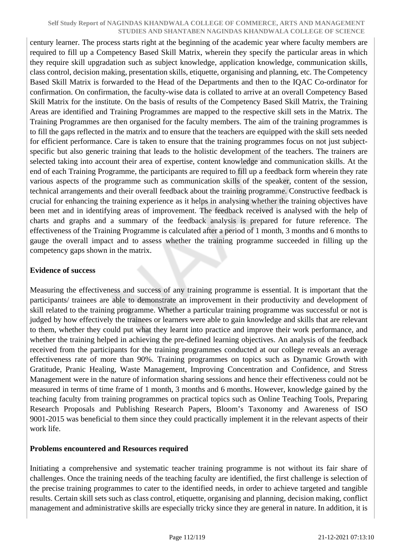century learner. The process starts right at the beginning of the academic year where faculty members are required to fill up a Competency Based Skill Matrix, wherein they specify the particular areas in which they require skill upgradation such as subject knowledge, application knowledge, communication skills, class control, decision making, presentation skills, etiquette, organising and planning, etc. The Competency Based Skill Matrix is forwarded to the Head of the Departments and then to the IQAC Co-ordinator for confirmation. On confirmation, the faculty-wise data is collated to arrive at an overall Competency Based Skill Matrix for the institute. On the basis of results of the Competency Based Skill Matrix, the Training Areas are identified and Training Programmes are mapped to the respective skill sets in the Matrix. The Training Programmes are then organised for the faculty members. The aim of the training programmes is to fill the gaps reflected in the matrix and to ensure that the teachers are equipped with the skill sets needed for efficient performance. Care is taken to ensure that the training programmes focus on not just subjectspecific but also generic training that leads to the holistic development of the teachers. The trainers are selected taking into account their area of expertise, content knowledge and communication skills. At the end of each Training Programme, the participants are required to fill up a feedback form wherein they rate various aspects of the programme such as communication skills of the speaker, content of the session, technical arrangements and their overall feedback about the training programme. Constructive feedback is crucial for enhancing the training experience as it helps in analysing whether the training objectives have been met and in identifying areas of improvement. The feedback received is analysed with the help of charts and graphs and a summary of the feedback analysis is prepared for future reference. The effectiveness of the Training Programme is calculated after a period of 1 month, 3 months and 6 months to gauge the overall impact and to assess whether the training programme succeeded in filling up the competency gaps shown in the matrix.

#### **Evidence of success**

Measuring the effectiveness and success of any training programme is essential. It is important that the participants/ trainees are able to demonstrate an improvement in their productivity and development of skill related to the training programme. Whether a particular training programme was successful or not is judged by how effectively the trainees or learners were able to gain knowledge and skills that are relevant to them, whether they could put what they learnt into practice and improve their work performance, and whether the training helped in achieving the pre-defined learning objectives. An analysis of the feedback received from the participants for the training programmes conducted at our college reveals an average effectiveness rate of more than 90%. Training programmes on topics such as Dynamic Growth with Gratitude, Pranic Healing, Waste Management, Improving Concentration and Confidence, and Stress Management were in the nature of information sharing sessions and hence their effectiveness could not be measured in terms of time frame of 1 month, 3 months and 6 months. However, knowledge gained by the teaching faculty from training programmes on practical topics such as Online Teaching Tools, Preparing Research Proposals and Publishing Research Papers, Bloom's Taxonomy and Awareness of ISO 9001-2015 was beneficial to them since they could practically implement it in the relevant aspects of their work life.

#### **Problems encountered and Resources required**

Initiating a comprehensive and systematic teacher training programme is not without its fair share of challenges. Once the training needs of the teaching faculty are identified, the first challenge is selection of the precise training programmes to cater to the identified needs, in order to achieve targeted and tangible results. Certain skill sets such as class control, etiquette, organising and planning, decision making, conflict management and administrative skills are especially tricky since they are general in nature. In addition, it is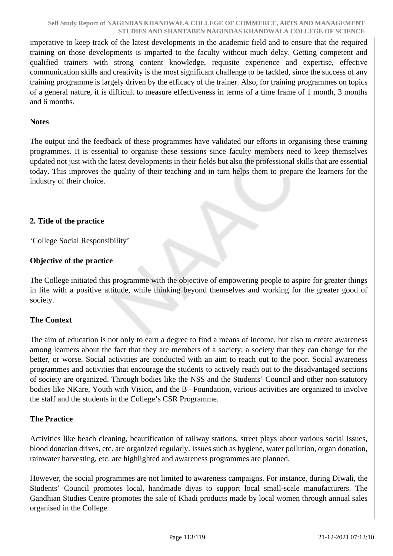imperative to keep track of the latest developments in the academic field and to ensure that the required training on those developments is imparted to the faculty without much delay. Getting competent and qualified trainers with strong content knowledge, requisite experience and expertise, effective communication skills and creativity is the most significant challenge to be tackled, since the success of any training programme is largely driven by the efficacy of the trainer. Also, for training programmes on topics of a general nature, it is difficult to measure effectiveness in terms of a time frame of 1 month, 3 months and 6 months.

#### **Notes**

The output and the feedback of these programmes have validated our efforts in organising these training programmes. It is essential to organise these sessions since faculty members need to keep themselves updated not just with the latest developments in their fields but also the professional skills that are essential today. This improves the quality of their teaching and in turn helps them to prepare the learners for the industry of their choice.

#### **2. Title of the practice**

'College Social Responsibility'

### **Objective of the practice**

The College initiated this programme with the objective of empowering people to aspire for greater things in life with a positive attitude, while thinking beyond themselves and working for the greater good of society.

## **The Context**

The aim of education is not only to earn a degree to find a means of income, but also to create awareness among learners about the fact that they are members of a society; a society that they can change for the better, or worse. Social activities are conducted with an aim to reach out to the poor. Social awareness programmes and activities that encourage the students to actively reach out to the disadvantaged sections of society are organized. Through bodies like the NSS and the Students' Council and other non-statutory bodies like NKare, Youth with Vision, and the B –Foundation, various activities are organized to involve the staff and the students in the College's CSR Programme.

#### **The Practice**

Activities like beach cleaning, beautification of railway stations, street plays about various social issues, blood donation drives, etc. are organized regularly. Issues such as hygiene, water pollution, organ donation, rainwater harvesting, etc. are highlighted and awareness programmes are planned.

However, the social programmes are not limited to awareness campaigns. For instance, during Diwali, the Students' Council promotes local, handmade diyas to support local small-scale manufacturers. The Gandhian Studies Centre promotes the sale of Khadi products made by local women through annual sales organised in the College.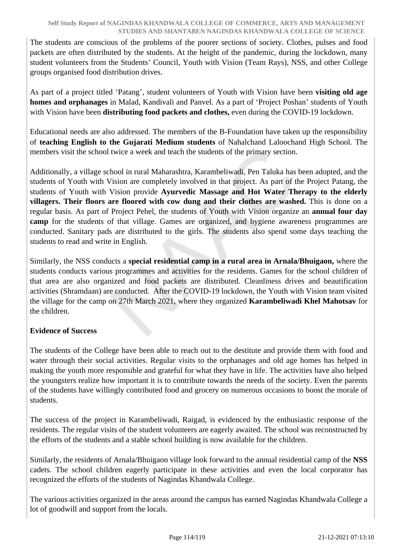The students are conscious of the problems of the poorer sections of society. Clothes, pulses and food packets are often distributed by the students. At the height of the pandemic, during the lockdown, many student volunteers from the Students' Council, Youth with Vision (Team Rays), NSS, and other College groups organised food distribution drives.

As part of a project titled 'Patang', student volunteers of Youth with Vision have been **visiting old age homes and orphanages** in Malad, Kandivali and Panvel. As a part of 'Project Poshan' students of Youth with Vision have been **distributing food packets and clothes,** even during the COVID-19 lockdown.

Educational needs are also addressed. The members of the B-Foundation have taken up the responsibility of **teaching English to the Gujarati Medium students** of Nahalchand Laloochand High School. The members visit the school twice a week and teach the students of the primary section.

Additionally, a village school in rural Maharashtra, Karambeliwadi, Pen Taluka has been adopted, and the students of Youth with Vision are completely involved in that project. As part of the Project Patang, the students of Youth with Vision provide **Ayurvedic Massage and Hot Water Therapy to the elderly villagers. Their floors are floored with cow dung and their clothes are washed.** This is done on a regular basis. As part of Project Pehel, the students of Youth with Vision organize an **annual four day camp** for the students of that village. Games are organized, and hygiene awareness programmes are conducted. Sanitary pads are distributed to the girls. The students also spend some days teaching the students to read and write in English.

Similarly, the NSS conducts a **special residential camp in a rural area in Arnala/Bhuigaon,** where the students conducts various programmes and activities for the residents. Games for the school children of that area are also organized and food packets are distributed. Cleanliness drives and beautification activities (Shramdaan) are conducted. After the COVID-19 lockdown, the Youth with Vision team visited the village for the camp on 27th March 2021, where they organized **Karambeliwadi Khel Mahotsav** for the children.

## **Evidence of Success**

The students of the College have been able to reach out to the destitute and provide them with food and water through their social activities. Regular visits to the orphanages and old age homes has helped in making the youth more responsible and grateful for what they have in life. The activities have also helped the youngsters realize how important it is to contribute towards the needs of the society. Even the parents of the students have willingly contributed food and grocery on numerous occasions to boost the morale of students.

The success of the project in Karambeliwadi, Raigad, is evidenced by the enthusiastic response of the residents. The regular visits of the student volunteers are eagerly awaited. The school was reconstructed by the efforts of the students and a stable school building is now available for the children.

Similarly, the residents of Arnala/Bhuigaon village look forward to the annual residential camp of the **NSS** cadets. The school children eagerly participate in these activities and even the local corporator has recognized the efforts of the students of Nagindas Khandwala College.

The various activities organized in the areas around the campus has earned Nagindas Khandwala College a lot of goodwill and support from the locals.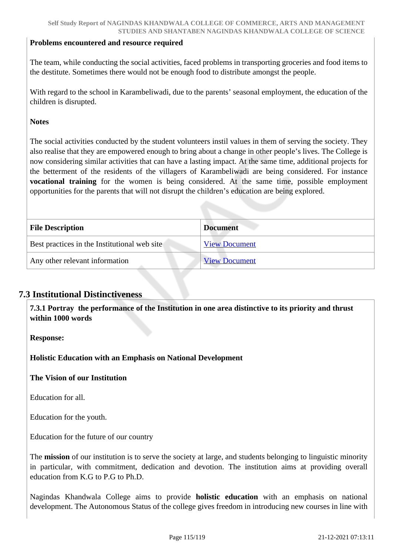#### **Problems encountered and resource required**

The team, while conducting the social activities, faced problems in transporting groceries and food items to the destitute. Sometimes there would not be enough food to distribute amongst the people.

With regard to the school in Karambeliwadi, due to the parents' seasonal employment, the education of the children is disrupted.

#### **Notes**

The social activities conducted by the student volunteers instil values in them of serving the society. They also realise that they are empowered enough to bring about a change in other people's lives. The College is now considering similar activities that can have a lasting impact. At the same time, additional projects for the betterment of the residents of the villagers of Karambeliwadi are being considered. For instance **vocational training** for the women is being considered. At the same time, possible employment opportunities for the parents that will not disrupt the children's education are being explored.

| <b>File Description</b>                      | <b>Document</b>      |
|----------------------------------------------|----------------------|
| Best practices in the Institutional web site | <b>View Document</b> |
| Any other relevant information               | <b>View Document</b> |

#### **7.3 Institutional Distinctiveness**

 **7.3.1 Portray the performance of the Institution in one area distinctive to its priority and thrust within 1000 words**

**Response:** 

**Holistic Education with an Emphasis on National Development**

**The Vision of our Institution** 

Education for all.

Education for the youth.

Education for the future of our country

The **mission** of our institution is to serve the society at large, and students belonging to linguistic minority in particular, with commitment, dedication and devotion. The institution aims at providing overall education from K.G to P.G to Ph.D.

Nagindas Khandwala College aims to provide **holistic education** with an emphasis on national development. The Autonomous Status of the college gives freedom in introducing new courses in line with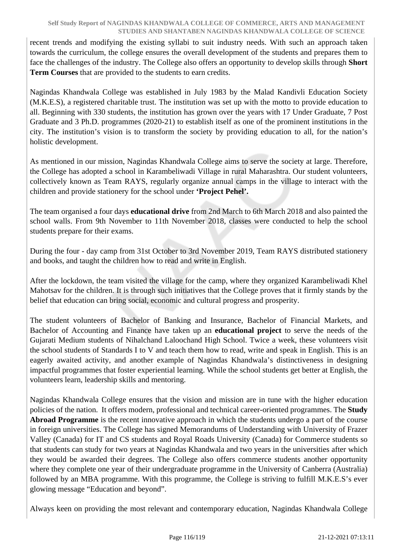recent trends and modifying the existing syllabi to suit industry needs. With such an approach taken towards the curriculum, the college ensures the overall development of the students and prepares them to face the challenges of the industry. The College also offers an opportunity to develop skills through **Short Term Courses** that are provided to the students to earn credits.

Nagindas Khandwala College was established in July 1983 by the Malad Kandivli Education Society (M.K.E.S), a registered charitable trust. The institution was set up with the motto to provide education to all. Beginning with 330 students, the institution has grown over the years with 17 Under Graduate, 7 Post Graduate and 3 Ph.D. programmes (2020-21) to establish itself as one of the prominent institutions in the city. The institution's vision is to transform the society by providing education to all, for the nation's holistic development.

As mentioned in our mission, Nagindas Khandwala College aims to serve the society at large. Therefore, the College has adopted a school in Karambeliwadi Village in rural Maharashtra. Our student volunteers, collectively known as Team RAYS, regularly organize annual camps in the village to interact with the children and provide stationery for the school under **'Project Pehel'.** 

The team organised a four days **educational drive** from 2nd March to 6th March 2018 and also painted the school walls. From 9th November to 11th November 2018, classes were conducted to help the school students prepare for their exams.

During the four - day camp from 31st October to 3rd November 2019, Team RAYS distributed stationery and books, and taught the children how to read and write in English.

After the lockdown, the team visited the village for the camp, where they organized Karambeliwadi Khel Mahotsav for the children. It is through such initiatives that the College proves that it firmly stands by the belief that education can bring social, economic and cultural progress and prosperity.

The student volunteers of Bachelor of Banking and Insurance, Bachelor of Financial Markets, and Bachelor of Accounting and Finance have taken up an **educational project** to serve the needs of the Gujarati Medium students of Nihalchand Laloochand High School. Twice a week, these volunteers visit the school students of Standards I to V and teach them how to read, write and speak in English. This is an eagerly awaited activity, and another example of Nagindas Khandwala's distinctiveness in designing impactful programmes that foster experiential learning. While the school students get better at English, the volunteers learn, leadership skills and mentoring.

Nagindas Khandwala College ensures that the vision and mission are in tune with the higher education policies of the nation. It offers modern, professional and technical career-oriented programmes. The **Study Abroad Programme** is the recent innovative approach in which the students undergo a part of the course in foreign universities. The College has signed Memorandums of Understanding with University of Frazer Valley (Canada) for IT and CS students and Royal Roads University (Canada) for Commerce students so that students can study for two years at Nagindas Khandwala and two years in the universities after which they would be awarded their degrees. The College also offers commerce students another opportunity where they complete one year of their undergraduate programme in the University of Canberra (Australia) followed by an MBA programme. With this programme, the College is striving to fulfill M.K.E.S's ever glowing message "Education and beyond".

Always keen on providing the most relevant and contemporary education, Nagindas Khandwala College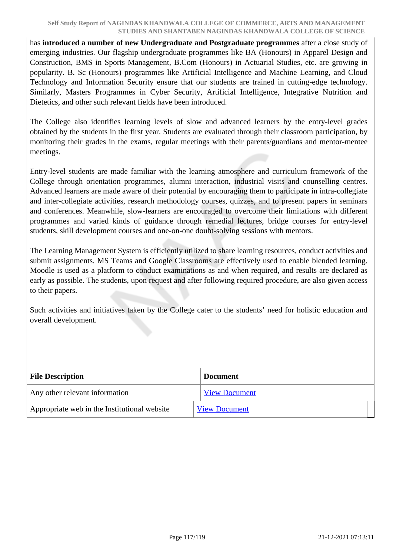has **introduced a number of new Undergraduate and Postgraduate programmes** after a close study of emerging industries. Our flagship undergraduate programmes like BA (Honours) in Apparel Design and Construction, BMS in Sports Management, B.Com (Honours) in Actuarial Studies, etc. are growing in popularity. B. Sc (Honours) programmes like Artificial Intelligence and Machine Learning, and Cloud Technology and Information Security ensure that our students are trained in cutting-edge technology. Similarly, Masters Programmes in Cyber Security, Artificial Intelligence, Integrative Nutrition and Dietetics, and other such relevant fields have been introduced.

The College also identifies learning levels of slow and advanced learners by the entry-level grades obtained by the students in the first year. Students are evaluated through their classroom participation, by monitoring their grades in the exams, regular meetings with their parents/guardians and mentor-mentee meetings.

Entry-level students are made familiar with the learning atmosphere and curriculum framework of the College through orientation programmes, alumni interaction, industrial visits and counselling centres. Advanced learners are made aware of their potential by encouraging them to participate in intra-collegiate and inter-collegiate activities, research methodology courses, quizzes, and to present papers in seminars and conferences. Meanwhile, slow-learners are encouraged to overcome their limitations with different programmes and varied kinds of guidance through remedial lectures, bridge courses for entry-level students, skill development courses and one-on-one doubt-solving sessions with mentors.

The Learning Management System is efficiently utilized to share learning resources, conduct activities and submit assignments. MS Teams and Google Classrooms are effectively used to enable blended learning. Moodle is used as a platform to conduct examinations as and when required, and results are declared as early as possible. The students, upon request and after following required procedure, are also given access to their papers.

Such activities and initiatives taken by the College cater to the students' need for holistic education and overall development.

| <b>File Description</b>                      | <b>Document</b>      |
|----------------------------------------------|----------------------|
| Any other relevant information               | <b>View Document</b> |
| Appropriate web in the Institutional website | <b>View Document</b> |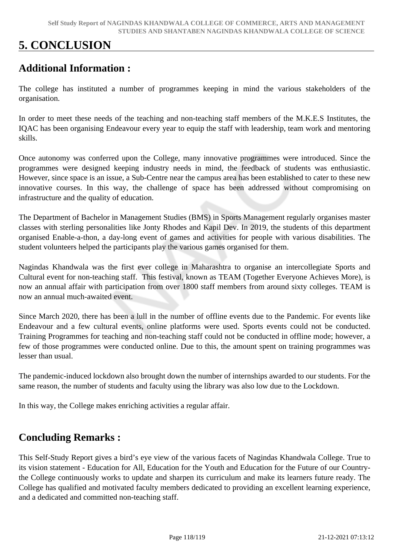# **5. CONCLUSION**

## **Additional Information :**

The college has instituted a number of programmes keeping in mind the various stakeholders of the organisation.

In order to meet these needs of the teaching and non-teaching staff members of the M.K.E.S Institutes, the IQAC has been organising Endeavour every year to equip the staff with leadership, team work and mentoring skills.

Once autonomy was conferred upon the College, many innovative programmes were introduced. Since the programmes were designed keeping industry needs in mind, the feedback of students was enthusiastic. However, since space is an issue, a Sub-Centre near the campus area has been established to cater to these new innovative courses. In this way, the challenge of space has been addressed without compromising on infrastructure and the quality of education.

The Department of Bachelor in Management Studies (BMS) in Sports Management regularly organises master classes with sterling personalities like Jonty Rhodes and Kapil Dev. In 2019, the students of this department organised Enable-a-thon, a day-long event of games and activities for people with various disabilities. The student volunteers helped the participants play the various games organised for them.

Nagindas Khandwala was the first ever college in Maharashtra to organise an intercollegiate Sports and Cultural event for non-teaching staff. This festival, known as TEAM (Together Everyone Achieves More), is now an annual affair with participation from over 1800 staff members from around sixty colleges. TEAM is now an annual much-awaited event.

Since March 2020, there has been a lull in the number of offline events due to the Pandemic. For events like Endeavour and a few cultural events, online platforms were used. Sports events could not be conducted. Training Programmes for teaching and non-teaching staff could not be conducted in offline mode; however, a few of those programmes were conducted online. Due to this, the amount spent on training programmes was lesser than usual.

The pandemic-induced lockdown also brought down the number of internships awarded to our students. For the same reason, the number of students and faculty using the library was also low due to the Lockdown.

In this way, the College makes enriching activities a regular affair.

## **Concluding Remarks :**

This Self-Study Report gives a bird's eye view of the various facets of Nagindas Khandwala College. True to its vision statement - Education for All, Education for the Youth and Education for the Future of our Countrythe College continuously works to update and sharpen its curriculum and make its learners future ready. The College has qualified and motivated faculty members dedicated to providing an excellent learning experience, and a dedicated and committed non-teaching staff.